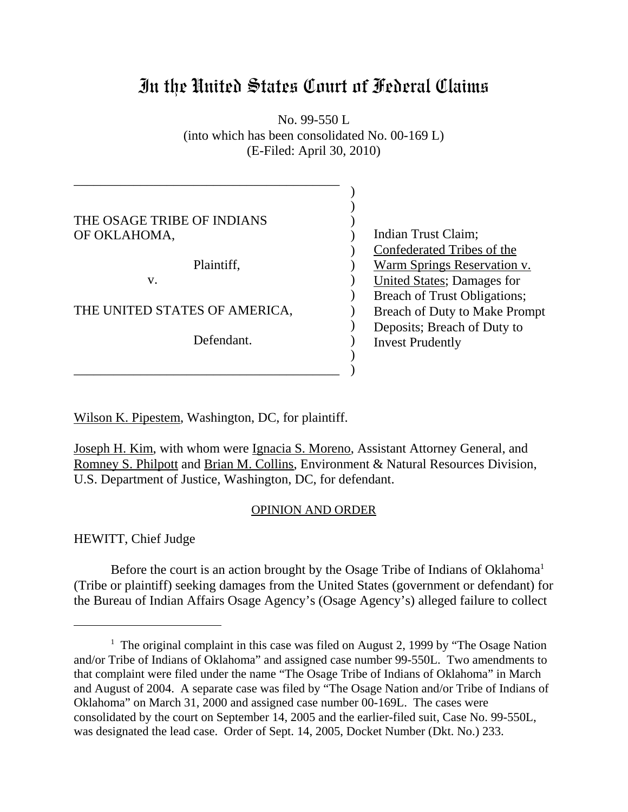# In the United States Court of Federal Claims

No. 99-550 L (into which has been consolidated No. 00-169 L) (E-Filed: April 30, 2010)

| THE OSAGE TRIBE OF INDIANS    |                                      |
|-------------------------------|--------------------------------------|
| OF OKLAHOMA,                  | Indian Trust Claim;                  |
|                               | Confederated Tribes of the           |
| Plaintiff,                    | <u>Warm Springs Reservation v.</u>   |
| V.                            | <b>United States</b> ; Damages for   |
|                               | Breach of Trust Obligations;         |
| THE UNITED STATES OF AMERICA, | <b>Breach of Duty to Make Prompt</b> |
|                               | Deposits; Breach of Duty to          |
| Defendant.                    | <b>Invest Prudently</b>              |
|                               |                                      |
|                               |                                      |

Wilson K. Pipestem, Washington, DC, for plaintiff.

Joseph H. Kim, with whom were Ignacia S. Moreno, Assistant Attorney General, and Romney S. Philpott and Brian M. Collins, Environment & Natural Resources Division, U.S. Department of Justice, Washington, DC, for defendant.

## OPINION AND ORDER

HEWITT, Chief Judge

Before the court is an action brought by the Osage Tribe of Indians of Oklahoma<sup>1</sup> (Tribe or plaintiff) seeking damages from the United States (government or defendant) for the Bureau of Indian Affairs Osage Agency's (Osage Agency's) alleged failure to collect

<sup>&</sup>lt;sup>1</sup> The original complaint in this case was filed on August 2, 1999 by "The Osage Nation and/or Tribe of Indians of Oklahoma" and assigned case number 99-550L. Two amendments to that complaint were filed under the name "The Osage Tribe of Indians of Oklahoma" in March and August of 2004. A separate case was filed by "The Osage Nation and/or Tribe of Indians of Oklahoma" on March 31, 2000 and assigned case number 00-169L. The cases were consolidated by the court on September 14, 2005 and the earlier-filed suit, Case No. 99-550L, was designated the lead case. Order of Sept. 14, 2005, Docket Number (Dkt. No.) 233.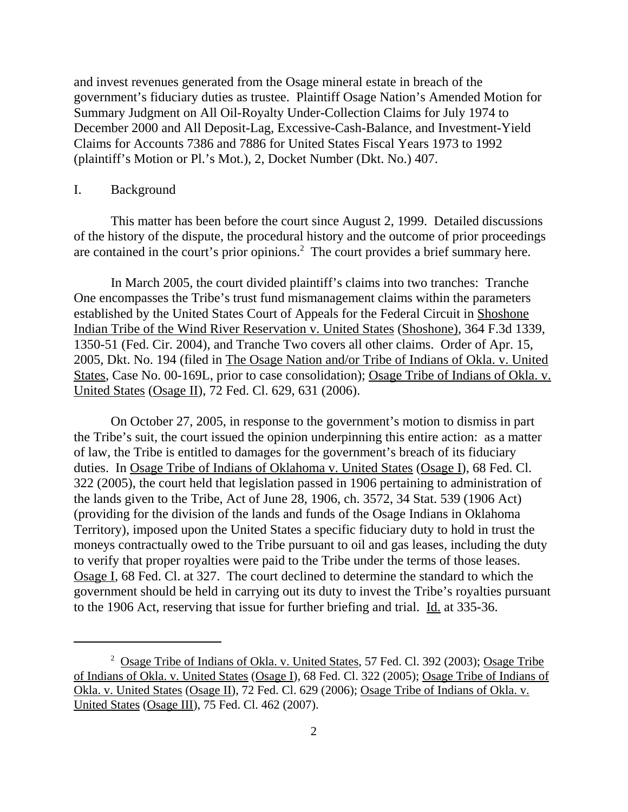and invest revenues generated from the Osage mineral estate in breach of the government's fiduciary duties as trustee. Plaintiff Osage Nation's Amended Motion for Summary Judgment on All Oil-Royalty Under-Collection Claims for July 1974 to December 2000 and All Deposit-Lag, Excessive-Cash-Balance, and Investment-Yield Claims for Accounts 7386 and 7886 for United States Fiscal Years 1973 to 1992 (plaintiff's Motion or Pl.'s Mot.), 2, Docket Number (Dkt. No.) 407.

#### I. Background

This matter has been before the court since August 2, 1999. Detailed discussions of the history of the dispute, the procedural history and the outcome of prior proceedings are contained in the court's prior opinions.<sup>2</sup> The court provides a brief summary here.

In March 2005, the court divided plaintiff's claims into two tranches: Tranche One encompasses the Tribe's trust fund mismanagement claims within the parameters established by the United States Court of Appeals for the Federal Circuit in Shoshone Indian Tribe of the Wind River Reservation v. United States (Shoshone), 364 F.3d 1339, 1350-51 (Fed. Cir. 2004), and Tranche Two covers all other claims. Order of Apr. 15, 2005, Dkt. No. 194 (filed in The Osage Nation and/or Tribe of Indians of Okla. v. United States, Case No. 00-169L, prior to case consolidation); Osage Tribe of Indians of Okla. v. United States (Osage II), 72 Fed. Cl. 629, 631 (2006).

On October 27, 2005, in response to the government's motion to dismiss in part the Tribe's suit, the court issued the opinion underpinning this entire action: as a matter of law, the Tribe is entitled to damages for the government's breach of its fiduciary duties. In Osage Tribe of Indians of Oklahoma v. United States (Osage I), 68 Fed. Cl. 322 (2005), the court held that legislation passed in 1906 pertaining to administration of the lands given to the Tribe, Act of June 28, 1906, ch. 3572, 34 Stat. 539 (1906 Act) (providing for the division of the lands and funds of the Osage Indians in Oklahoma Territory), imposed upon the United States a specific fiduciary duty to hold in trust the moneys contractually owed to the Tribe pursuant to oil and gas leases, including the duty to verify that proper royalties were paid to the Tribe under the terms of those leases. Osage I, 68 Fed. Cl. at 327. The court declined to determine the standard to which the government should be held in carrying out its duty to invest the Tribe's royalties pursuant to the 1906 Act, reserving that issue for further briefing and trial. Id. at 335-36.

<sup>&</sup>lt;sup>2</sup> Osage Tribe of Indians of Okla. v. United States, 57 Fed. Cl. 392 (2003); Osage Tribe of Indians of Okla. v. United States (Osage I), 68 Fed. Cl. 322 (2005); Osage Tribe of Indians of Okla. v. United States (Osage II), 72 Fed. Cl. 629 (2006); Osage Tribe of Indians of Okla. v. United States (Osage III), 75 Fed. Cl. 462 (2007).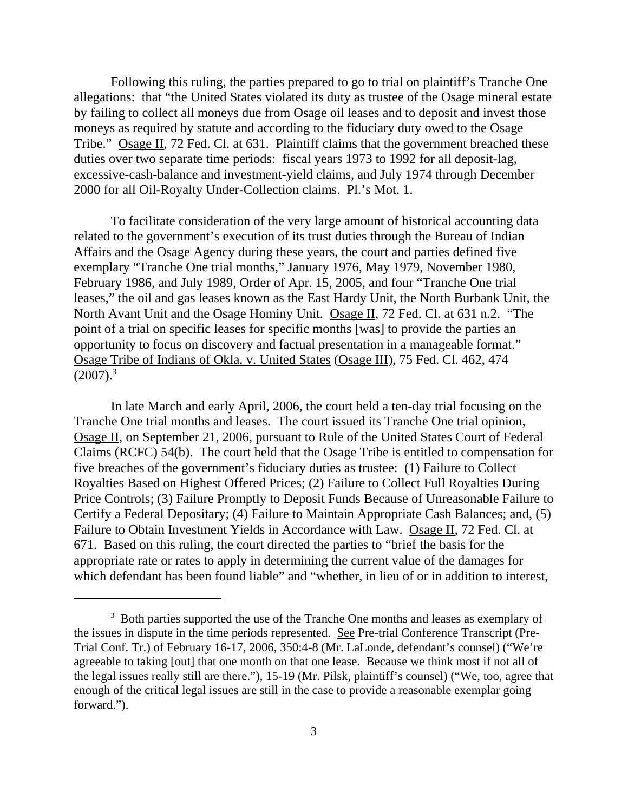Following this ruling, the parties prepared to go to trial on plaintiff's Tranche One allegations: that "the United States violated its duty as trustee of the Osage mineral estate by failing to collect all moneys due from Osage oil leases and to deposit and invest those moneys as required by statute and according to the fiduciary duty owed to the Osage Tribe." Osage II, 72 Fed. Cl. at 631. Plaintiff claims that the government breached these duties over two separate time periods: fiscal years 1973 to 1992 for all deposit-lag, excessive-cash-balance and investment-yield claims, and July 1974 through December 2000 for all Oil-Royalty Under-Collection claims. Pl.'s Mot. 1.

To facilitate consideration of the very large amount of historical accounting data related to the government's execution of its trust duties through the Bureau of Indian Affairs and the Osage Agency during these years, the court and parties defined five exemplary "Tranche One trial months," January 1976, May 1979, November 1980, February 1986, and July 1989, Order of Apr. 15, 2005, and four "Tranche One trial leases," the oil and gas leases known as the East Hardy Unit, the North Burbank Unit, the North Avant Unit and the Osage Hominy Unit. Osage II, 72 Fed. Cl. at 631 n.2. "The point of a trial on specific leases for specific months [was] to provide the parties an opportunity to focus on discovery and factual presentation in a manageable format." Osage Tribe of Indians of Okla. v. United States (Osage III), 75 Fed. Cl. 462, 474  $(2007).$ <sup>3</sup>

In late March and early April, 2006, the court held a ten-day trial focusing on the Tranche One trial months and leases. The court issued its Tranche One trial opinion, Osage II, on September 21, 2006, pursuant to Rule of the United States Court of Federal Claims (RCFC) 54(b). The court held that the Osage Tribe is entitled to compensation for five breaches of the government's fiduciary duties as trustee: (1) Failure to Collect Royalties Based on Highest Offered Prices; (2) Failure to Collect Full Royalties During Price Controls; (3) Failure Promptly to Deposit Funds Because of Unreasonable Failure to Certify a Federal Depositary; (4) Failure to Maintain Appropriate Cash Balances; and, (5) Failure to Obtain Investment Yields in Accordance with Law. Osage II, 72 Fed. Cl. at 671. Based on this ruling, the court directed the parties to "brief the basis for the appropriate rate or rates to apply in determining the current value of the damages for which defendant has been found liable" and "whether, in lieu of or in addition to interest,

<sup>&</sup>lt;sup>3</sup> Both parties supported the use of the Tranche One months and leases as exemplary of the issues in dispute in the time periods represented. See Pre-trial Conference Transcript (Pre-Trial Conf. Tr.) of February 16-17, 2006, 350:4-8 (Mr. LaLonde, defendant's counsel) ("We're agreeable to taking [out] that one month on that one lease. Because we think most if not all of the legal issues really still are there."), 15-19 (Mr. Pilsk, plaintiff's counsel) ("We, too, agree that enough of the critical legal issues are still in the case to provide a reasonable exemplar going forward.").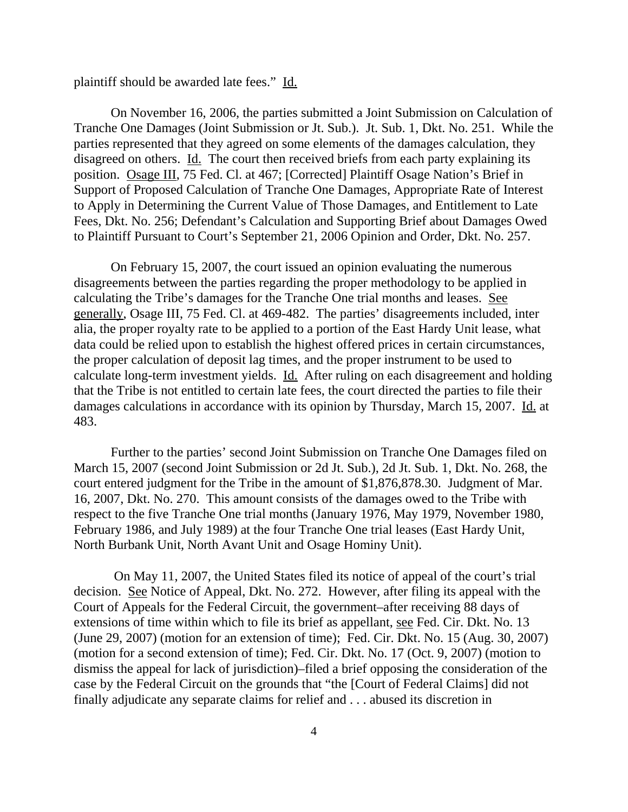plaintiff should be awarded late fees." Id.

On November 16, 2006, the parties submitted a Joint Submission on Calculation of Tranche One Damages (Joint Submission or Jt. Sub.). Jt. Sub. 1, Dkt. No. 251. While the parties represented that they agreed on some elements of the damages calculation, they disagreed on others. Id. The court then received briefs from each party explaining its position. Osage III, 75 Fed. Cl. at 467; [Corrected] Plaintiff Osage Nation's Brief in Support of Proposed Calculation of Tranche One Damages, Appropriate Rate of Interest to Apply in Determining the Current Value of Those Damages, and Entitlement to Late Fees, Dkt. No. 256; Defendant's Calculation and Supporting Brief about Damages Owed to Plaintiff Pursuant to Court's September 21, 2006 Opinion and Order, Dkt. No. 257.

On February 15, 2007, the court issued an opinion evaluating the numerous disagreements between the parties regarding the proper methodology to be applied in calculating the Tribe's damages for the Tranche One trial months and leases. See generally, Osage III, 75 Fed. Cl. at 469-482. The parties' disagreements included, inter alia, the proper royalty rate to be applied to a portion of the East Hardy Unit lease, what data could be relied upon to establish the highest offered prices in certain circumstances, the proper calculation of deposit lag times, and the proper instrument to be used to calculate long-term investment yields. Id. After ruling on each disagreement and holding that the Tribe is not entitled to certain late fees, the court directed the parties to file their damages calculations in accordance with its opinion by Thursday, March 15, 2007. Id. at 483.

Further to the parties' second Joint Submission on Tranche One Damages filed on March 15, 2007 (second Joint Submission or 2d Jt. Sub.), 2d Jt. Sub. 1, Dkt. No. 268, the court entered judgment for the Tribe in the amount of \$1,876,878.30. Judgment of Mar. 16, 2007, Dkt. No. 270. This amount consists of the damages owed to the Tribe with respect to the five Tranche One trial months (January 1976, May 1979, November 1980, February 1986, and July 1989) at the four Tranche One trial leases (East Hardy Unit, North Burbank Unit, North Avant Unit and Osage Hominy Unit).

 On May 11, 2007, the United States filed its notice of appeal of the court's trial decision. See Notice of Appeal, Dkt. No. 272. However, after filing its appeal with the Court of Appeals for the Federal Circuit, the government–after receiving 88 days of extensions of time within which to file its brief as appellant, see Fed. Cir. Dkt. No. 13 (June 29, 2007) (motion for an extension of time); Fed. Cir. Dkt. No. 15 (Aug. 30, 2007) (motion for a second extension of time); Fed. Cir. Dkt. No. 17 (Oct. 9, 2007) (motion to dismiss the appeal for lack of jurisdiction)–filed a brief opposing the consideration of the case by the Federal Circuit on the grounds that "the [Court of Federal Claims] did not finally adjudicate any separate claims for relief and . . . abused its discretion in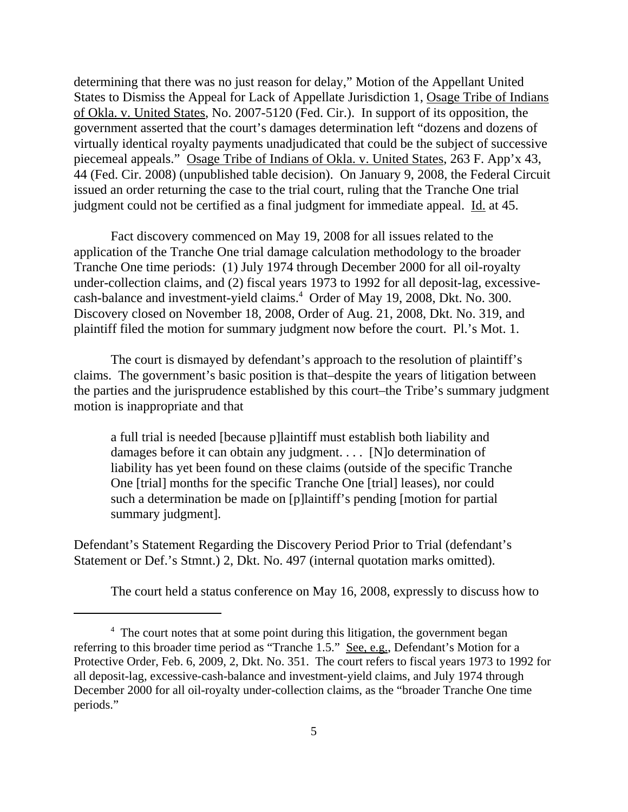determining that there was no just reason for delay," Motion of the Appellant United States to Dismiss the Appeal for Lack of Appellate Jurisdiction 1, Osage Tribe of Indians of Okla. v. United States, No. 2007-5120 (Fed. Cir.). In support of its opposition, the government asserted that the court's damages determination left "dozens and dozens of virtually identical royalty payments unadjudicated that could be the subject of successive piecemeal appeals." Osage Tribe of Indians of Okla. v. United States, 263 F. App'x 43, 44 (Fed. Cir. 2008) (unpublished table decision). On January 9, 2008, the Federal Circuit issued an order returning the case to the trial court, ruling that the Tranche One trial judgment could not be certified as a final judgment for immediate appeal. Id. at 45.

Fact discovery commenced on May 19, 2008 for all issues related to the application of the Tranche One trial damage calculation methodology to the broader Tranche One time periods: (1) July 1974 through December 2000 for all oil-royalty under-collection claims, and (2) fiscal years 1973 to 1992 for all deposit-lag, excessivecash-balance and investment-yield claims.<sup>4</sup> Order of May 19, 2008, Dkt. No. 300. Discovery closed on November 18, 2008, Order of Aug. 21, 2008, Dkt. No. 319, and plaintiff filed the motion for summary judgment now before the court. Pl.'s Mot. 1.

The court is dismayed by defendant's approach to the resolution of plaintiff's claims. The government's basic position is that–despite the years of litigation between the parties and the jurisprudence established by this court–the Tribe's summary judgment motion is inappropriate and that

a full trial is needed [because p]laintiff must establish both liability and damages before it can obtain any judgment. . . . [N]o determination of liability has yet been found on these claims (outside of the specific Tranche One [trial] months for the specific Tranche One [trial] leases), nor could such a determination be made on [p]laintiff's pending [motion for partial summary judgment].

Defendant's Statement Regarding the Discovery Period Prior to Trial (defendant's Statement or Def.'s Stmnt.) 2, Dkt. No. 497 (internal quotation marks omitted).

The court held a status conference on May 16, 2008, expressly to discuss how to

<sup>&</sup>lt;sup>4</sup> The court notes that at some point during this litigation, the government began referring to this broader time period as "Tranche 1.5." See, e.g., Defendant's Motion for a Protective Order, Feb. 6, 2009, 2, Dkt. No. 351. The court refers to fiscal years 1973 to 1992 for all deposit-lag, excessive-cash-balance and investment-yield claims, and July 1974 through December 2000 for all oil-royalty under-collection claims, as the "broader Tranche One time periods."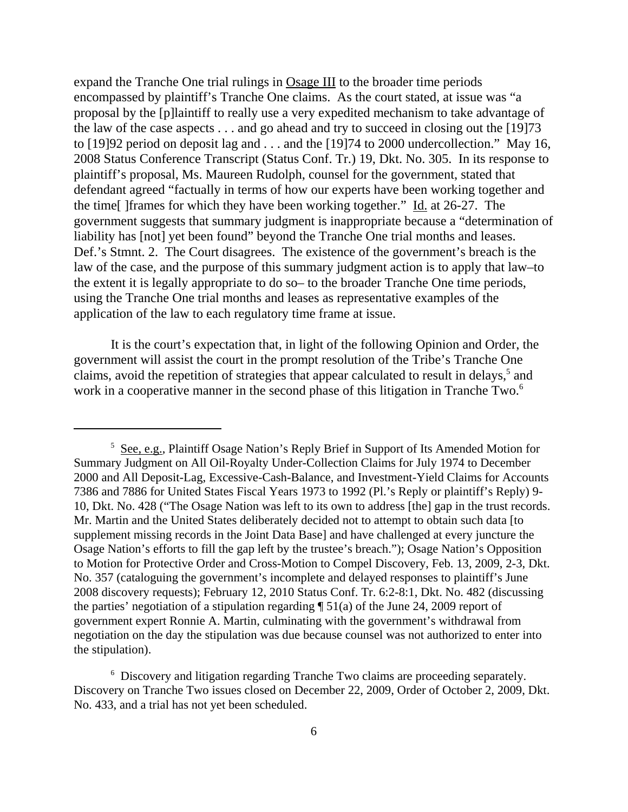expand the Tranche One trial rulings in Osage III to the broader time periods encompassed by plaintiff's Tranche One claims. As the court stated, at issue was "a proposal by the [p]laintiff to really use a very expedited mechanism to take advantage of the law of the case aspects . . . and go ahead and try to succeed in closing out the [19]73 to [19]92 period on deposit lag and . . . and the [19]74 to 2000 undercollection." May 16, 2008 Status Conference Transcript (Status Conf. Tr.) 19, Dkt. No. 305. In its response to plaintiff's proposal, Ms. Maureen Rudolph, counsel for the government, stated that defendant agreed "factually in terms of how our experts have been working together and the time[ ]frames for which they have been working together." Id. at 26-27. The government suggests that summary judgment is inappropriate because a "determination of liability has [not] yet been found" beyond the Tranche One trial months and leases. Def.'s Stmnt. 2. The Court disagrees. The existence of the government's breach is the law of the case, and the purpose of this summary judgment action is to apply that law–to the extent it is legally appropriate to do so– to the broader Tranche One time periods, using the Tranche One trial months and leases as representative examples of the application of the law to each regulatory time frame at issue.

It is the court's expectation that, in light of the following Opinion and Order, the government will assist the court in the prompt resolution of the Tribe's Tranche One claims, avoid the repetition of strategies that appear calculated to result in delays,<sup>5</sup> and work in a cooperative manner in the second phase of this litigation in Tranche Two.<sup>6</sup>

<sup>6</sup> Discovery and litigation regarding Tranche Two claims are proceeding separately. Discovery on Tranche Two issues closed on December 22, 2009, Order of October 2, 2009, Dkt. No. 433, and a trial has not yet been scheduled.

<sup>&</sup>lt;sup>5</sup> See, e.g., Plaintiff Osage Nation's Reply Brief in Support of Its Amended Motion for Summary Judgment on All Oil-Royalty Under-Collection Claims for July 1974 to December 2000 and All Deposit-Lag, Excessive-Cash-Balance, and Investment-Yield Claims for Accounts 7386 and 7886 for United States Fiscal Years 1973 to 1992 (Pl.'s Reply or plaintiff's Reply) 9- 10, Dkt. No. 428 ("The Osage Nation was left to its own to address [the] gap in the trust records. Mr. Martin and the United States deliberately decided not to attempt to obtain such data [to supplement missing records in the Joint Data Base] and have challenged at every juncture the Osage Nation's efforts to fill the gap left by the trustee's breach."); Osage Nation's Opposition to Motion for Protective Order and Cross-Motion to Compel Discovery, Feb. 13, 2009, 2-3, Dkt. No. 357 (cataloguing the government's incomplete and delayed responses to plaintiff's June 2008 discovery requests); February 12, 2010 Status Conf. Tr. 6:2-8:1, Dkt. No. 482 (discussing the parties' negotiation of a stipulation regarding  $\P$  51(a) of the June 24, 2009 report of government expert Ronnie A. Martin, culminating with the government's withdrawal from negotiation on the day the stipulation was due because counsel was not authorized to enter into the stipulation).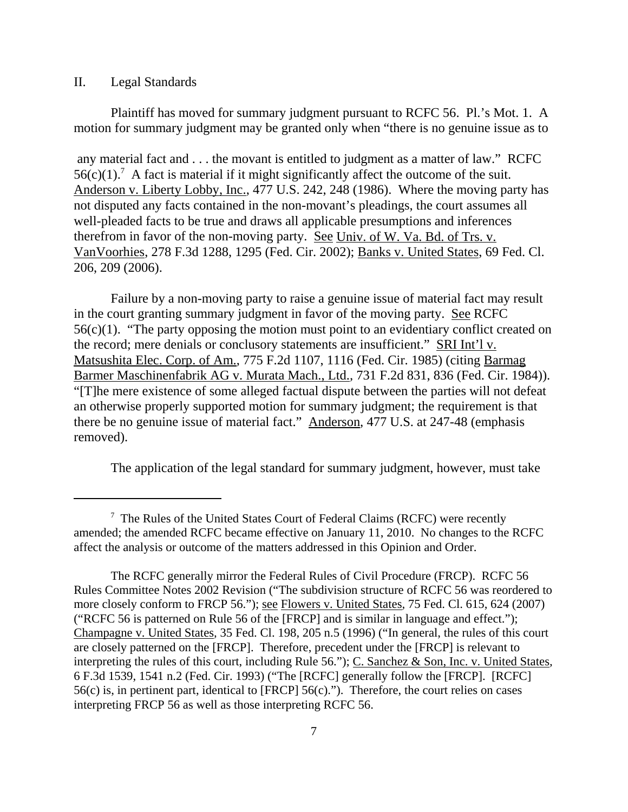## II. Legal Standards

Plaintiff has moved for summary judgment pursuant to RCFC 56. Pl.'s Mot. 1. A motion for summary judgment may be granted only when "there is no genuine issue as to

 any material fact and . . . the movant is entitled to judgment as a matter of law." RCFC  $56(c)(1)$ .<sup>7</sup> A fact is material if it might significantly affect the outcome of the suit. Anderson v. Liberty Lobby, Inc., 477 U.S. 242, 248 (1986). Where the moving party has not disputed any facts contained in the non-movant's pleadings, the court assumes all well-pleaded facts to be true and draws all applicable presumptions and inferences therefrom in favor of the non-moving party. See Univ. of W. Va. Bd. of Trs. v. VanVoorhies, 278 F.3d 1288, 1295 (Fed. Cir. 2002); Banks v. United States, 69 Fed. Cl. 206, 209 (2006).

Failure by a non-moving party to raise a genuine issue of material fact may result in the court granting summary judgment in favor of the moving party. See RCFC 56(c)(1). "The party opposing the motion must point to an evidentiary conflict created on the record; mere denials or conclusory statements are insufficient." SRI Int'l v. Matsushita Elec. Corp. of Am., 775 F.2d 1107, 1116 (Fed. Cir. 1985) (citing Barmag Barmer Maschinenfabrik AG v. Murata Mach., Ltd.*,* 731 F.2d 831, 836 (Fed. Cir. 1984)). "[T]he mere existence of some alleged factual dispute between the parties will not defeat an otherwise properly supported motion for summary judgment; the requirement is that there be no genuine issue of material fact." Anderson*,* 477 U.S. at 247-48 (emphasis removed).

The application of the legal standard for summary judgment, however, must take

 $7$  The Rules of the United States Court of Federal Claims (RCFC) were recently amended; the amended RCFC became effective on January 11, 2010. No changes to the RCFC affect the analysis or outcome of the matters addressed in this Opinion and Order.

The RCFC generally mirror the Federal Rules of Civil Procedure (FRCP). RCFC 56 Rules Committee Notes 2002 Revision ("The subdivision structure of RCFC 56 was reordered to more closely conform to FRCP 56."); see Flowers v. United States*,* 75 Fed. Cl. 615, 624 (2007) ("RCFC 56 is patterned on Rule 56 of the [FRCP] and is similar in language and effect."); Champagne v. United States*,* 35 Fed. Cl. 198, 205 n.5 (1996) ("In general, the rules of this court are closely patterned on the [FRCP]. Therefore, precedent under the [FRCP] is relevant to interpreting the rules of this court, including Rule 56."); C. Sanchez & Son, Inc. v. United States*,* 6 F.3d 1539, 1541 n.2 (Fed. Cir. 1993) ("The [RCFC] generally follow the [FRCP]. [RCFC] 56(c) is, in pertinent part, identical to [FRCP] 56(c)."). Therefore, the court relies on cases interpreting FRCP 56 as well as those interpreting RCFC 56.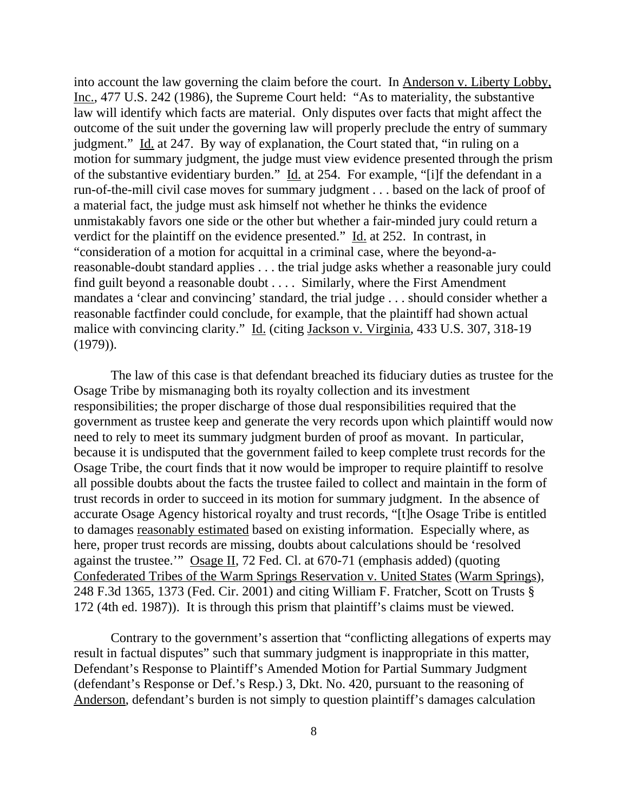into account the law governing the claim before the court. In Anderson v. Liberty Lobby, Inc., 477 U.S. 242 (1986), the Supreme Court held: "As to materiality, the substantive law will identify which facts are material. Only disputes over facts that might affect the outcome of the suit under the governing law will properly preclude the entry of summary judgment." Id. at 247. By way of explanation, the Court stated that, "in ruling on a motion for summary judgment, the judge must view evidence presented through the prism of the substantive evidentiary burden." Id. at 254. For example, "[i]f the defendant in a run-of-the-mill civil case moves for summary judgment . . . based on the lack of proof of a material fact, the judge must ask himself not whether he thinks the evidence unmistakably favors one side or the other but whether a fair-minded jury could return a verdict for the plaintiff on the evidence presented." Id. at 252. In contrast, in "consideration of a motion for acquittal in a criminal case, where the beyond-areasonable-doubt standard applies . . . the trial judge asks whether a reasonable jury could find guilt beyond a reasonable doubt . . . . Similarly, where the First Amendment mandates a 'clear and convincing' standard, the trial judge . . . should consider whether a reasonable factfinder could conclude, for example, that the plaintiff had shown actual malice with convincing clarity." Id. (citing Jackson v. Virginia, 433 U.S. 307, 318-19 (1979)).

The law of this case is that defendant breached its fiduciary duties as trustee for the Osage Tribe by mismanaging both its royalty collection and its investment responsibilities; the proper discharge of those dual responsibilities required that the government as trustee keep and generate the very records upon which plaintiff would now need to rely to meet its summary judgment burden of proof as movant. In particular, because it is undisputed that the government failed to keep complete trust records for the Osage Tribe, the court finds that it now would be improper to require plaintiff to resolve all possible doubts about the facts the trustee failed to collect and maintain in the form of trust records in order to succeed in its motion for summary judgment. In the absence of accurate Osage Agency historical royalty and trust records, "[t]he Osage Tribe is entitled to damages reasonably estimated based on existing information. Especially where, as here, proper trust records are missing, doubts about calculations should be 'resolved against the trustee.'" Osage II, 72 Fed. Cl. at 670-71 (emphasis added) (quoting Confederated Tribes of the Warm Springs Reservation v. United States (Warm Springs), 248 F.3d 1365, 1373 (Fed. Cir. 2001) and citing William F. Fratcher, Scott on Trusts § 172 (4th ed. 1987)). It is through this prism that plaintiff's claims must be viewed.

Contrary to the government's assertion that "conflicting allegations of experts may result in factual disputes" such that summary judgment is inappropriate in this matter, Defendant's Response to Plaintiff's Amended Motion for Partial Summary Judgment (defendant's Response or Def.'s Resp.) 3, Dkt. No. 420, pursuant to the reasoning of Anderson, defendant's burden is not simply to question plaintiff's damages calculation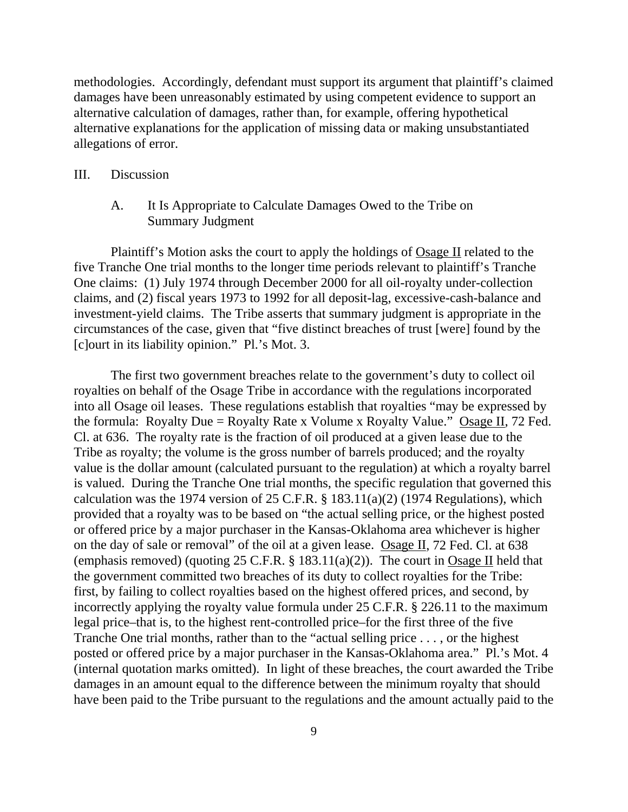methodologies. Accordingly, defendant must support its argument that plaintiff's claimed damages have been unreasonably estimated by using competent evidence to support an alternative calculation of damages, rather than, for example, offering hypothetical alternative explanations for the application of missing data or making unsubstantiated allegations of error.

## III. Discussion

A. It Is Appropriate to Calculate Damages Owed to the Tribe on Summary Judgment

Plaintiff's Motion asks the court to apply the holdings of  $\overline{Osage II}$  related to the five Tranche One trial months to the longer time periods relevant to plaintiff's Tranche One claims: (1) July 1974 through December 2000 for all oil-royalty under-collection claims, and (2) fiscal years 1973 to 1992 for all deposit-lag, excessive-cash-balance and investment-yield claims. The Tribe asserts that summary judgment is appropriate in the circumstances of the case, given that "five distinct breaches of trust [were] found by the [c]ourt in its liability opinion." Pl.'s Mot. 3.

The first two government breaches relate to the government's duty to collect oil royalties on behalf of the Osage Tribe in accordance with the regulations incorporated into all Osage oil leases. These regulations establish that royalties "may be expressed by the formula: Royalty Due = Royalty Rate x Volume x Royalty Value." Osage II, 72 Fed. Cl. at 636. The royalty rate is the fraction of oil produced at a given lease due to the Tribe as royalty; the volume is the gross number of barrels produced; and the royalty value is the dollar amount (calculated pursuant to the regulation) at which a royalty barrel is valued. During the Tranche One trial months, the specific regulation that governed this calculation was the 1974 version of 25 C.F.R.  $\S$  183.11(a)(2) (1974 Regulations), which provided that a royalty was to be based on "the actual selling price, or the highest posted or offered price by a major purchaser in the Kansas-Oklahoma area whichever is higher on the day of sale or removal" of the oil at a given lease. Osage II, 72 Fed. Cl. at 638 (emphasis removed) (quoting 25 C.F.R.  $\S$  183.11(a)(2)). The court in Osage II held that the government committed two breaches of its duty to collect royalties for the Tribe: first, by failing to collect royalties based on the highest offered prices, and second, by incorrectly applying the royalty value formula under 25 C.F.R. § 226.11 to the maximum legal price–that is, to the highest rent-controlled price–for the first three of the five Tranche One trial months, rather than to the "actual selling price . . . , or the highest posted or offered price by a major purchaser in the Kansas-Oklahoma area." Pl.'s Mot. 4 (internal quotation marks omitted). In light of these breaches, the court awarded the Tribe damages in an amount equal to the difference between the minimum royalty that should have been paid to the Tribe pursuant to the regulations and the amount actually paid to the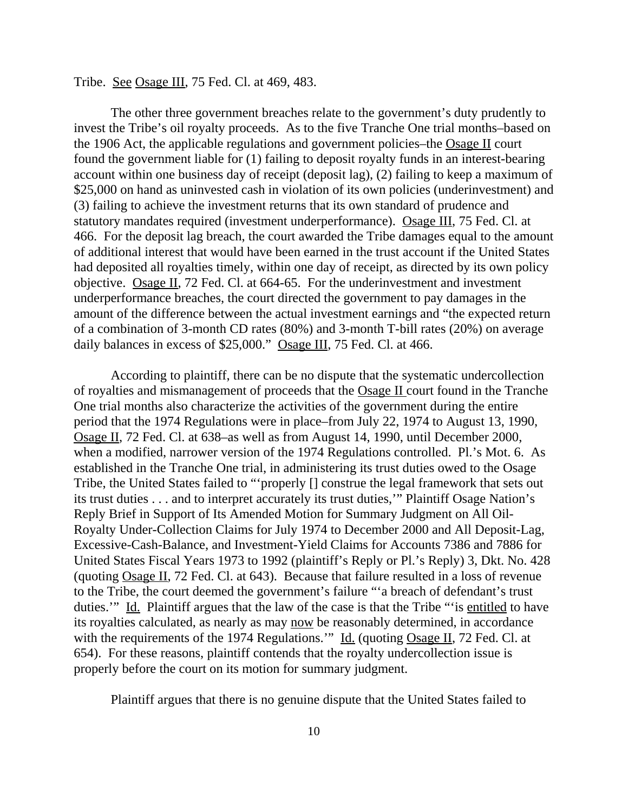#### Tribe. See Osage III, 75 Fed. Cl. at 469, 483.

The other three government breaches relate to the government's duty prudently to invest the Tribe's oil royalty proceeds. As to the five Tranche One trial months–based on the 1906 Act, the applicable regulations and government policies–the Osage II court found the government liable for (1) failing to deposit royalty funds in an interest-bearing account within one business day of receipt (deposit lag), (2) failing to keep a maximum of \$25,000 on hand as uninvested cash in violation of its own policies (underinvestment) and (3) failing to achieve the investment returns that its own standard of prudence and statutory mandates required (investment underperformance). Osage III, 75 Fed. Cl. at 466. For the deposit lag breach, the court awarded the Tribe damages equal to the amount of additional interest that would have been earned in the trust account if the United States had deposited all royalties timely, within one day of receipt, as directed by its own policy objective. Osage II, 72 Fed. Cl. at 664-65. For the underinvestment and investment underperformance breaches, the court directed the government to pay damages in the amount of the difference between the actual investment earnings and "the expected return of a combination of 3-month CD rates (80%) and 3-month T-bill rates (20%) on average daily balances in excess of \$25,000." Osage III, 75 Fed. Cl. at 466.

According to plaintiff, there can be no dispute that the systematic undercollection of royalties and mismanagement of proceeds that the Osage II court found in the Tranche One trial months also characterize the activities of the government during the entire period that the 1974 Regulations were in place–from July 22, 1974 to August 13, 1990, Osage II, 72 Fed. Cl. at 638–as well as from August 14, 1990, until December 2000, when a modified, narrower version of the 1974 Regulations controlled. Pl.'s Mot. 6. As established in the Tranche One trial, in administering its trust duties owed to the Osage Tribe, the United States failed to "'properly [] construe the legal framework that sets out its trust duties . . . and to interpret accurately its trust duties,'" Plaintiff Osage Nation's Reply Brief in Support of Its Amended Motion for Summary Judgment on All Oil-Royalty Under-Collection Claims for July 1974 to December 2000 and All Deposit-Lag, Excessive-Cash-Balance, and Investment-Yield Claims for Accounts 7386 and 7886 for United States Fiscal Years 1973 to 1992 (plaintiff's Reply or Pl.'s Reply) 3, Dkt. No. 428 (quoting Osage II, 72 Fed. Cl. at 643). Because that failure resulted in a loss of revenue to the Tribe, the court deemed the government's failure "'a breach of defendant's trust duties." Id. Plaintiff argues that the law of the case is that the Tribe "'is entitled to have its royalties calculated, as nearly as may now be reasonably determined, in accordance with the requirements of the 1974 Regulations." Id. (quoting Osage II, 72 Fed. Cl. at 654). For these reasons, plaintiff contends that the royalty undercollection issue is properly before the court on its motion for summary judgment.

Plaintiff argues that there is no genuine dispute that the United States failed to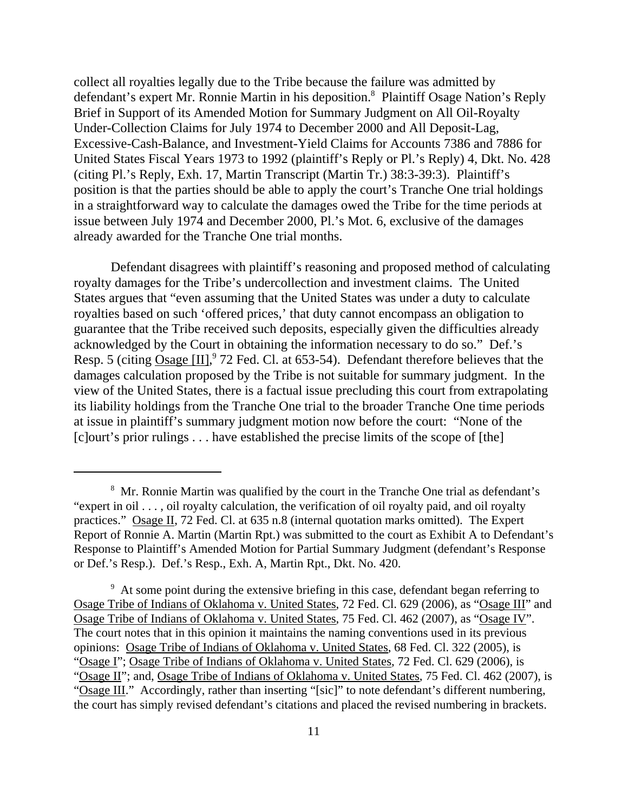collect all royalties legally due to the Tribe because the failure was admitted by defendant's expert Mr. Ronnie Martin in his deposition.<sup>8</sup> Plaintiff Osage Nation's Reply Brief in Support of its Amended Motion for Summary Judgment on All Oil-Royalty Under-Collection Claims for July 1974 to December 2000 and All Deposit-Lag, Excessive-Cash-Balance, and Investment-Yield Claims for Accounts 7386 and 7886 for United States Fiscal Years 1973 to 1992 (plaintiff's Reply or Pl.'s Reply) 4, Dkt. No. 428 (citing Pl.'s Reply, Exh. 17, Martin Transcript (Martin Tr.) 38:3-39:3). Plaintiff's position is that the parties should be able to apply the court's Tranche One trial holdings in a straightforward way to calculate the damages owed the Tribe for the time periods at issue between July 1974 and December 2000, Pl.'s Mot. 6, exclusive of the damages already awarded for the Tranche One trial months.

Defendant disagrees with plaintiff's reasoning and proposed method of calculating royalty damages for the Tribe's undercollection and investment claims. The United States argues that "even assuming that the United States was under a duty to calculate royalties based on such 'offered prices,' that duty cannot encompass an obligation to guarantee that the Tribe received such deposits, especially given the difficulties already acknowledged by the Court in obtaining the information necessary to do so." Def.'s Resp. 5 (citing Osage [II],<sup>9</sup> 72 Fed. Cl. at 653-54). Defendant therefore believes that the damages calculation proposed by the Tribe is not suitable for summary judgment. In the view of the United States, there is a factual issue precluding this court from extrapolating its liability holdings from the Tranche One trial to the broader Tranche One time periods at issue in plaintiff's summary judgment motion now before the court: "None of the [c]ourt's prior rulings . . . have established the precise limits of the scope of [the]

<sup>&</sup>lt;sup>8</sup> Mr. Ronnie Martin was qualified by the court in the Tranche One trial as defendant's "expert in oil . . . , oil royalty calculation, the verification of oil royalty paid, and oil royalty practices." Osage II, 72 Fed. Cl. at 635 n.8 (internal quotation marks omitted). The Expert Report of Ronnie A. Martin (Martin Rpt.) was submitted to the court as Exhibit A to Defendant's Response to Plaintiff's Amended Motion for Partial Summary Judgment (defendant's Response or Def.'s Resp.). Def.'s Resp., Exh. A, Martin Rpt., Dkt. No. 420.

<sup>&</sup>lt;sup>9</sup> At some point during the extensive briefing in this case, defendant began referring to Osage Tribe of Indians of Oklahoma v. United States, 72 Fed. Cl. 629 (2006), as "Osage III" and Osage Tribe of Indians of Oklahoma v. United States, 75 Fed. Cl. 462 (2007), as "Osage IV". The court notes that in this opinion it maintains the naming conventions used in its previous opinions: Osage Tribe of Indians of Oklahoma v. United States, 68 Fed. Cl. 322 (2005), is "Osage I"; Osage Tribe of Indians of Oklahoma v. United States, 72 Fed. Cl. 629 (2006), is "Osage II"; and, Osage Tribe of Indians of Oklahoma v. United States, 75 Fed. Cl. 462 (2007), is "Osage III." Accordingly, rather than inserting "[sic]" to note defendant's different numbering, the court has simply revised defendant's citations and placed the revised numbering in brackets.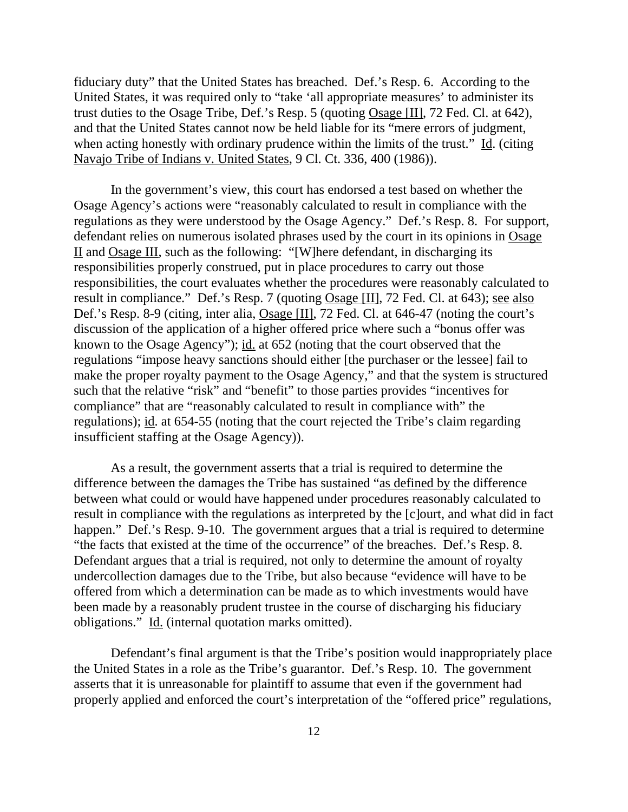fiduciary duty" that the United States has breached. Def.'s Resp. 6. According to the United States, it was required only to "take 'all appropriate measures' to administer its trust duties to the Osage Tribe, Def.'s Resp. 5 (quoting Osage [II], 72 Fed. Cl. at 642), and that the United States cannot now be held liable for its "mere errors of judgment, when acting honestly with ordinary prudence within the limits of the trust." Id. (citing Navajo Tribe of Indians v. United States, 9 Cl. Ct. 336, 400 (1986)).

In the government's view, this court has endorsed a test based on whether the Osage Agency's actions were "reasonably calculated to result in compliance with the regulations as they were understood by the Osage Agency." Def.'s Resp. 8. For support, defendant relies on numerous isolated phrases used by the court in its opinions in Osage II and Osage III, such as the following: "[W]here defendant, in discharging its responsibilities properly construed, put in place procedures to carry out those responsibilities, the court evaluates whether the procedures were reasonably calculated to result in compliance." Def.'s Resp. 7 (quoting Osage [II], 72 Fed. Cl. at 643); see also Def.'s Resp. 8-9 (citing, inter alia, Osage [II], 72 Fed. Cl. at 646-47 (noting the court's discussion of the application of a higher offered price where such a "bonus offer was known to the Osage Agency"); id. at 652 (noting that the court observed that the regulations "impose heavy sanctions should either [the purchaser or the lessee] fail to make the proper royalty payment to the Osage Agency," and that the system is structured such that the relative "risk" and "benefit" to those parties provides "incentives for compliance" that are "reasonably calculated to result in compliance with" the regulations); id. at 654-55 (noting that the court rejected the Tribe's claim regarding insufficient staffing at the Osage Agency)).

As a result, the government asserts that a trial is required to determine the difference between the damages the Tribe has sustained "as defined by the difference between what could or would have happened under procedures reasonably calculated to result in compliance with the regulations as interpreted by the [c]ourt, and what did in fact happen." Def.'s Resp. 9-10. The government argues that a trial is required to determine "the facts that existed at the time of the occurrence" of the breaches. Def.'s Resp. 8. Defendant argues that a trial is required, not only to determine the amount of royalty undercollection damages due to the Tribe, but also because "evidence will have to be offered from which a determination can be made as to which investments would have been made by a reasonably prudent trustee in the course of discharging his fiduciary obligations." Id. (internal quotation marks omitted).

Defendant's final argument is that the Tribe's position would inappropriately place the United States in a role as the Tribe's guarantor. Def.'s Resp. 10. The government asserts that it is unreasonable for plaintiff to assume that even if the government had properly applied and enforced the court's interpretation of the "offered price" regulations,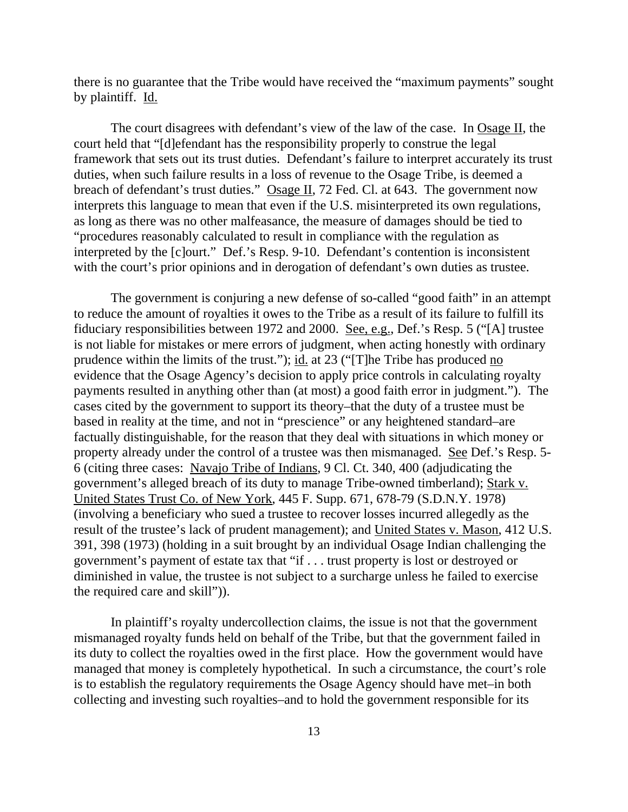there is no guarantee that the Tribe would have received the "maximum payments" sought by plaintiff. Id.

The court disagrees with defendant's view of the law of the case. In Osage II, the court held that "[d]efendant has the responsibility properly to construe the legal framework that sets out its trust duties. Defendant's failure to interpret accurately its trust duties, when such failure results in a loss of revenue to the Osage Tribe, is deemed a breach of defendant's trust duties." Osage II, 72 Fed. Cl. at 643. The government now interprets this language to mean that even if the U.S. misinterpreted its own regulations, as long as there was no other malfeasance, the measure of damages should be tied to "procedures reasonably calculated to result in compliance with the regulation as interpreted by the [c]ourt." Def.'s Resp. 9-10. Defendant's contention is inconsistent with the court's prior opinions and in derogation of defendant's own duties as trustee.

The government is conjuring a new defense of so-called "good faith" in an attempt to reduce the amount of royalties it owes to the Tribe as a result of its failure to fulfill its fiduciary responsibilities between 1972 and 2000. See, e.g., Def.'s Resp. 5 ("[A] trustee is not liable for mistakes or mere errors of judgment, when acting honestly with ordinary prudence within the limits of the trust."); id. at 23 ("[T]he Tribe has produced no evidence that the Osage Agency's decision to apply price controls in calculating royalty payments resulted in anything other than (at most) a good faith error in judgment."). The cases cited by the government to support its theory–that the duty of a trustee must be based in reality at the time, and not in "prescience" or any heightened standard–are factually distinguishable, for the reason that they deal with situations in which money or property already under the control of a trustee was then mismanaged. See Def.'s Resp. 5- 6 (citing three cases: Navajo Tribe of Indians, 9 Cl. Ct. 340, 400 (adjudicating the government's alleged breach of its duty to manage Tribe-owned timberland); Stark v. United States Trust Co. of New York, 445 F. Supp. 671, 678-79 (S.D.N.Y. 1978) (involving a beneficiary who sued a trustee to recover losses incurred allegedly as the result of the trustee's lack of prudent management); and United States v. Mason, 412 U.S. 391, 398 (1973) (holding in a suit brought by an individual Osage Indian challenging the government's payment of estate tax that "if . . . trust property is lost or destroyed or diminished in value, the trustee is not subject to a surcharge unless he failed to exercise the required care and skill")).

In plaintiff's royalty undercollection claims, the issue is not that the government mismanaged royalty funds held on behalf of the Tribe, but that the government failed in its duty to collect the royalties owed in the first place. How the government would have managed that money is completely hypothetical. In such a circumstance, the court's role is to establish the regulatory requirements the Osage Agency should have met–in both collecting and investing such royalties–and to hold the government responsible for its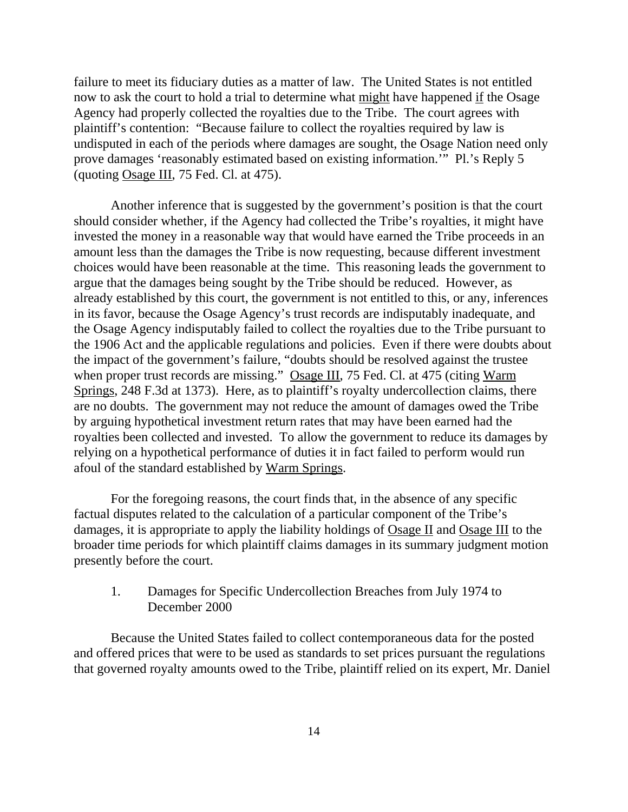failure to meet its fiduciary duties as a matter of law. The United States is not entitled now to ask the court to hold a trial to determine what might have happened if the Osage Agency had properly collected the royalties due to the Tribe. The court agrees with plaintiff's contention: "Because failure to collect the royalties required by law is undisputed in each of the periods where damages are sought, the Osage Nation need only prove damages 'reasonably estimated based on existing information.'" Pl.'s Reply 5 (quoting Osage III, 75 Fed. Cl. at 475).

Another inference that is suggested by the government's position is that the court should consider whether, if the Agency had collected the Tribe's royalties, it might have invested the money in a reasonable way that would have earned the Tribe proceeds in an amount less than the damages the Tribe is now requesting, because different investment choices would have been reasonable at the time. This reasoning leads the government to argue that the damages being sought by the Tribe should be reduced. However, as already established by this court, the government is not entitled to this, or any, inferences in its favor, because the Osage Agency's trust records are indisputably inadequate, and the Osage Agency indisputably failed to collect the royalties due to the Tribe pursuant to the 1906 Act and the applicable regulations and policies. Even if there were doubts about the impact of the government's failure, "doubts should be resolved against the trustee when proper trust records are missing." Osage III, 75 Fed. Cl. at 475 (citing Warm Springs, 248 F.3d at 1373). Here, as to plaintiff's royalty undercollection claims, there are no doubts. The government may not reduce the amount of damages owed the Tribe by arguing hypothetical investment return rates that may have been earned had the royalties been collected and invested. To allow the government to reduce its damages by relying on a hypothetical performance of duties it in fact failed to perform would run afoul of the standard established by Warm Springs.

For the foregoing reasons, the court finds that, in the absence of any specific factual disputes related to the calculation of a particular component of the Tribe's damages, it is appropriate to apply the liability holdings of Osage II and Osage III to the broader time periods for which plaintiff claims damages in its summary judgment motion presently before the court.

## 1. Damages for Specific Undercollection Breaches from July 1974 to December 2000

Because the United States failed to collect contemporaneous data for the posted and offered prices that were to be used as standards to set prices pursuant the regulations that governed royalty amounts owed to the Tribe, plaintiff relied on its expert, Mr. Daniel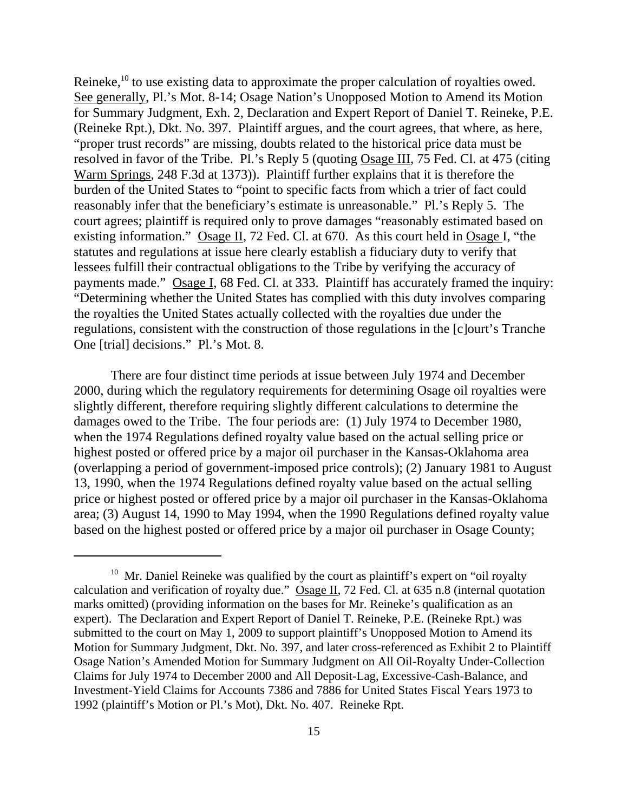Reineke,<sup>10</sup> to use existing data to approximate the proper calculation of royalties owed. See generally, Pl.'s Mot. 8-14; Osage Nation's Unopposed Motion to Amend its Motion for Summary Judgment, Exh. 2, Declaration and Expert Report of Daniel T. Reineke, P.E. (Reineke Rpt.), Dkt. No. 397. Plaintiff argues, and the court agrees, that where, as here, "proper trust records" are missing, doubts related to the historical price data must be resolved in favor of the Tribe. Pl.'s Reply 5 (quoting Osage III, 75 Fed. Cl. at 475 (citing Warm Springs, 248 F.3d at 1373)). Plaintiff further explains that it is therefore the burden of the United States to "point to specific facts from which a trier of fact could reasonably infer that the beneficiary's estimate is unreasonable." Pl.'s Reply 5. The court agrees; plaintiff is required only to prove damages "reasonably estimated based on existing information." Osage II, 72 Fed. Cl. at 670. As this court held in Osage I, "the statutes and regulations at issue here clearly establish a fiduciary duty to verify that lessees fulfill their contractual obligations to the Tribe by verifying the accuracy of payments made." Osage I, 68 Fed. Cl. at 333. Plaintiff has accurately framed the inquiry: "Determining whether the United States has complied with this duty involves comparing the royalties the United States actually collected with the royalties due under the regulations, consistent with the construction of those regulations in the [c]ourt's Tranche One [trial] decisions." Pl.'s Mot. 8.

There are four distinct time periods at issue between July 1974 and December 2000, during which the regulatory requirements for determining Osage oil royalties were slightly different, therefore requiring slightly different calculations to determine the damages owed to the Tribe. The four periods are: (1) July 1974 to December 1980, when the 1974 Regulations defined royalty value based on the actual selling price or highest posted or offered price by a major oil purchaser in the Kansas-Oklahoma area (overlapping a period of government-imposed price controls); (2) January 1981 to August 13, 1990, when the 1974 Regulations defined royalty value based on the actual selling price or highest posted or offered price by a major oil purchaser in the Kansas-Oklahoma area; (3) August 14, 1990 to May 1994, when the 1990 Regulations defined royalty value based on the highest posted or offered price by a major oil purchaser in Osage County;

 $10$  Mr. Daniel Reineke was qualified by the court as plaintiff's expert on "oil royalty" calculation and verification of royalty due." Osage II, 72 Fed. Cl. at 635 n.8 (internal quotation marks omitted) (providing information on the bases for Mr. Reineke's qualification as an expert). The Declaration and Expert Report of Daniel T. Reineke, P.E. (Reineke Rpt.) was submitted to the court on May 1, 2009 to support plaintiff's Unopposed Motion to Amend its Motion for Summary Judgment, Dkt. No. 397, and later cross-referenced as Exhibit 2 to Plaintiff Osage Nation's Amended Motion for Summary Judgment on All Oil-Royalty Under-Collection Claims for July 1974 to December 2000 and All Deposit-Lag, Excessive-Cash-Balance, and Investment-Yield Claims for Accounts 7386 and 7886 for United States Fiscal Years 1973 to 1992 (plaintiff's Motion or Pl.'s Mot), Dkt. No. 407. Reineke Rpt.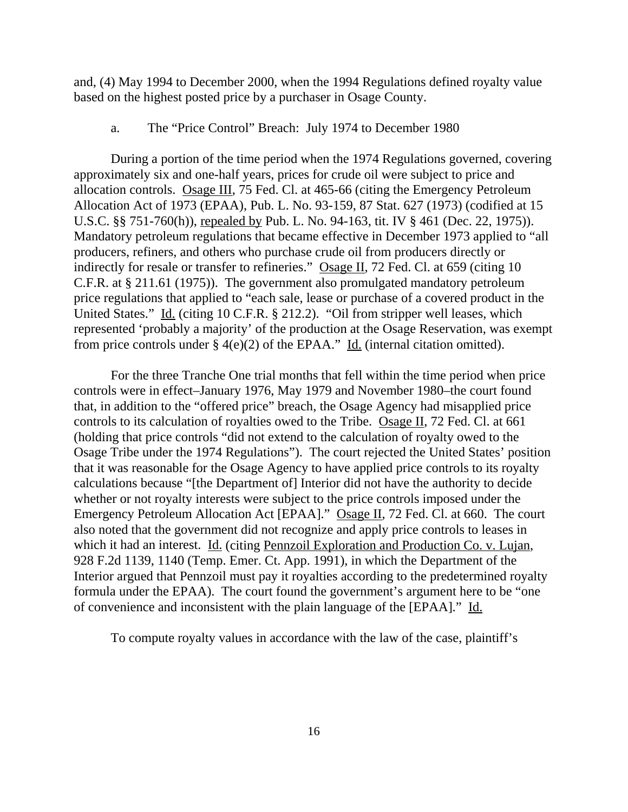and, (4) May 1994 to December 2000, when the 1994 Regulations defined royalty value based on the highest posted price by a purchaser in Osage County.

#### a. The "Price Control" Breach: July 1974 to December 1980

During a portion of the time period when the 1974 Regulations governed, covering approximately six and one-half years, prices for crude oil were subject to price and allocation controls. Osage III, 75 Fed. Cl. at 465-66 (citing the Emergency Petroleum Allocation Act of 1973 (EPAA), Pub. L. No. 93-159, 87 Stat. 627 (1973) (codified at 15 U.S.C. §§ 751-760(h)), repealed by Pub. L. No. 94-163, tit. IV § 461 (Dec. 22, 1975)). Mandatory petroleum regulations that became effective in December 1973 applied to "all producers, refiners, and others who purchase crude oil from producers directly or indirectly for resale or transfer to refineries." Osage II, 72 Fed. Cl. at 659 (citing 10 C.F.R. at § 211.61 (1975)). The government also promulgated mandatory petroleum price regulations that applied to "each sale, lease or purchase of a covered product in the United States." Id. (citing 10 C.F.R. § 212.2). "Oil from stripper well leases, which represented 'probably a majority' of the production at the Osage Reservation, was exempt from price controls under  $\S$  4(e)(2) of the EPAA." Id. (internal citation omitted).

For the three Tranche One trial months that fell within the time period when price controls were in effect–January 1976, May 1979 and November 1980–the court found that, in addition to the "offered price" breach, the Osage Agency had misapplied price controls to its calculation of royalties owed to the Tribe. Osage II, 72 Fed. Cl. at 661 (holding that price controls "did not extend to the calculation of royalty owed to the Osage Tribe under the 1974 Regulations"). The court rejected the United States' position that it was reasonable for the Osage Agency to have applied price controls to its royalty calculations because "[the Department of] Interior did not have the authority to decide whether or not royalty interests were subject to the price controls imposed under the Emergency Petroleum Allocation Act [EPAA]." Osage II, 72 Fed. Cl. at 660. The court also noted that the government did not recognize and apply price controls to leases in which it had an interest. Id. (citing Pennzoil Exploration and Production Co. v. Lujan, 928 F.2d 1139, 1140 (Temp. Emer. Ct. App. 1991), in which the Department of the Interior argued that Pennzoil must pay it royalties according to the predetermined royalty formula under the EPAA). The court found the government's argument here to be "one of convenience and inconsistent with the plain language of the [EPAA]." Id.

To compute royalty values in accordance with the law of the case, plaintiff's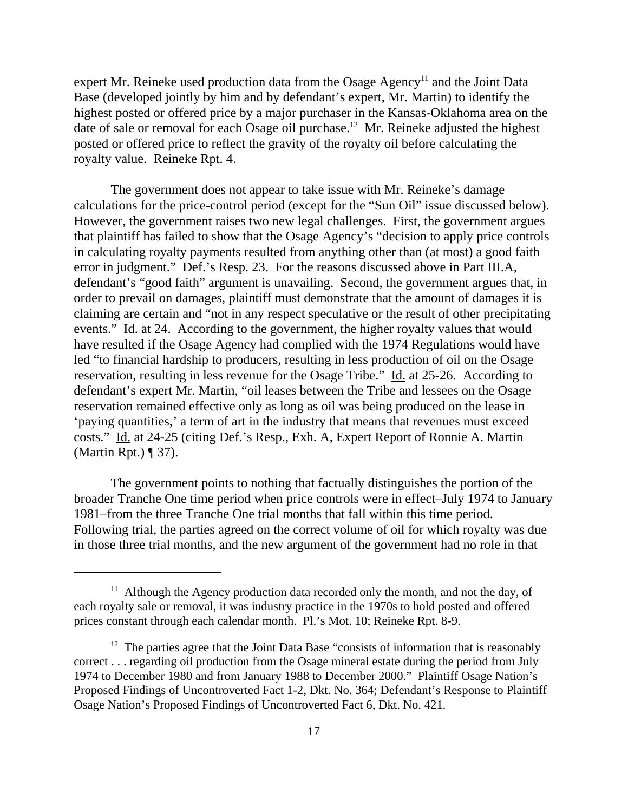expert Mr. Reineke used production data from the Osage Agency<sup>11</sup> and the Joint Data Base (developed jointly by him and by defendant's expert, Mr. Martin) to identify the highest posted or offered price by a major purchaser in the Kansas-Oklahoma area on the date of sale or removal for each Osage oil purchase.<sup>12</sup> Mr. Reineke adjusted the highest posted or offered price to reflect the gravity of the royalty oil before calculating the royalty value. Reineke Rpt. 4.

The government does not appear to take issue with Mr. Reineke's damage calculations for the price-control period (except for the "Sun Oil" issue discussed below). However, the government raises two new legal challenges. First, the government argues that plaintiff has failed to show that the Osage Agency's "decision to apply price controls in calculating royalty payments resulted from anything other than (at most) a good faith error in judgment." Def.'s Resp. 23. For the reasons discussed above in Part III.A, defendant's "good faith" argument is unavailing. Second, the government argues that, in order to prevail on damages, plaintiff must demonstrate that the amount of damages it is claiming are certain and "not in any respect speculative or the result of other precipitating events." Id. at 24. According to the government, the higher royalty values that would have resulted if the Osage Agency had complied with the 1974 Regulations would have led "to financial hardship to producers, resulting in less production of oil on the Osage reservation, resulting in less revenue for the Osage Tribe." Id. at 25-26. According to defendant's expert Mr. Martin, "oil leases between the Tribe and lessees on the Osage reservation remained effective only as long as oil was being produced on the lease in 'paying quantities,' a term of art in the industry that means that revenues must exceed costs." Id. at 24-25 (citing Def.'s Resp., Exh. A, Expert Report of Ronnie A. Martin (Martin Rpt.) ¶ 37).

The government points to nothing that factually distinguishes the portion of the broader Tranche One time period when price controls were in effect–July 1974 to January 1981–from the three Tranche One trial months that fall within this time period. Following trial, the parties agreed on the correct volume of oil for which royalty was due in those three trial months, and the new argument of the government had no role in that

<sup>&</sup>lt;sup>11</sup> Although the Agency production data recorded only the month, and not the day, of each royalty sale or removal, it was industry practice in the 1970s to hold posted and offered prices constant through each calendar month. Pl.'s Mot. 10; Reineke Rpt. 8-9.

 $12$  The parties agree that the Joint Data Base "consists of information that is reasonably correct . . . regarding oil production from the Osage mineral estate during the period from July 1974 to December 1980 and from January 1988 to December 2000." Plaintiff Osage Nation's Proposed Findings of Uncontroverted Fact 1-2, Dkt. No. 364; Defendant's Response to Plaintiff Osage Nation's Proposed Findings of Uncontroverted Fact 6, Dkt. No. 421.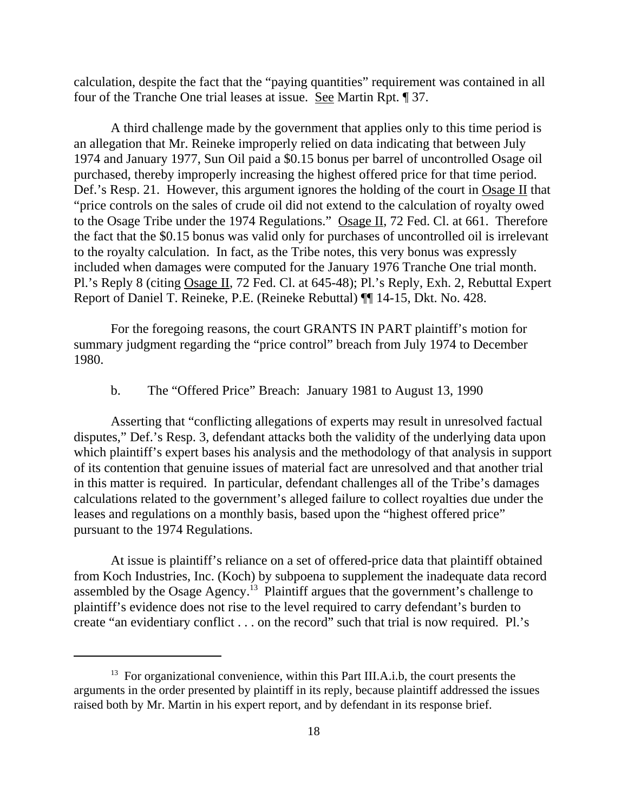calculation, despite the fact that the "paying quantities" requirement was contained in all four of the Tranche One trial leases at issue. See Martin Rpt. ¶ 37.

A third challenge made by the government that applies only to this time period is an allegation that Mr. Reineke improperly relied on data indicating that between July 1974 and January 1977, Sun Oil paid a \$0.15 bonus per barrel of uncontrolled Osage oil purchased, thereby improperly increasing the highest offered price for that time period. Def.'s Resp. 21. However, this argument ignores the holding of the court in Osage II that "price controls on the sales of crude oil did not extend to the calculation of royalty owed to the Osage Tribe under the 1974 Regulations." Osage II, 72 Fed. Cl. at 661. Therefore the fact that the \$0.15 bonus was valid only for purchases of uncontrolled oil is irrelevant to the royalty calculation. In fact, as the Tribe notes, this very bonus was expressly included when damages were computed for the January 1976 Tranche One trial month. Pl.'s Reply 8 (citing Osage II, 72 Fed. Cl. at 645-48); Pl.'s Reply, Exh. 2, Rebuttal Expert Report of Daniel T. Reineke, P.E. (Reineke Rebuttal) ¶¶ 14-15, Dkt. No. 428.

For the foregoing reasons, the court GRANTS IN PART plaintiff's motion for summary judgment regarding the "price control" breach from July 1974 to December 1980.

## b. The "Offered Price" Breach: January 1981 to August 13, 1990

Asserting that "conflicting allegations of experts may result in unresolved factual disputes," Def.'s Resp. 3, defendant attacks both the validity of the underlying data upon which plaintiff's expert bases his analysis and the methodology of that analysis in support of its contention that genuine issues of material fact are unresolved and that another trial in this matter is required. In particular, defendant challenges all of the Tribe's damages calculations related to the government's alleged failure to collect royalties due under the leases and regulations on a monthly basis, based upon the "highest offered price" pursuant to the 1974 Regulations.

At issue is plaintiff's reliance on a set of offered-price data that plaintiff obtained from Koch Industries, Inc. (Koch) by subpoena to supplement the inadequate data record assembled by the Osage Agency.13 Plaintiff argues that the government's challenge to plaintiff's evidence does not rise to the level required to carry defendant's burden to create "an evidentiary conflict . . . on the record" such that trial is now required. Pl.'s

<sup>&</sup>lt;sup>13</sup> For organizational convenience, within this Part III.A.i.b, the court presents the arguments in the order presented by plaintiff in its reply, because plaintiff addressed the issues raised both by Mr. Martin in his expert report, and by defendant in its response brief.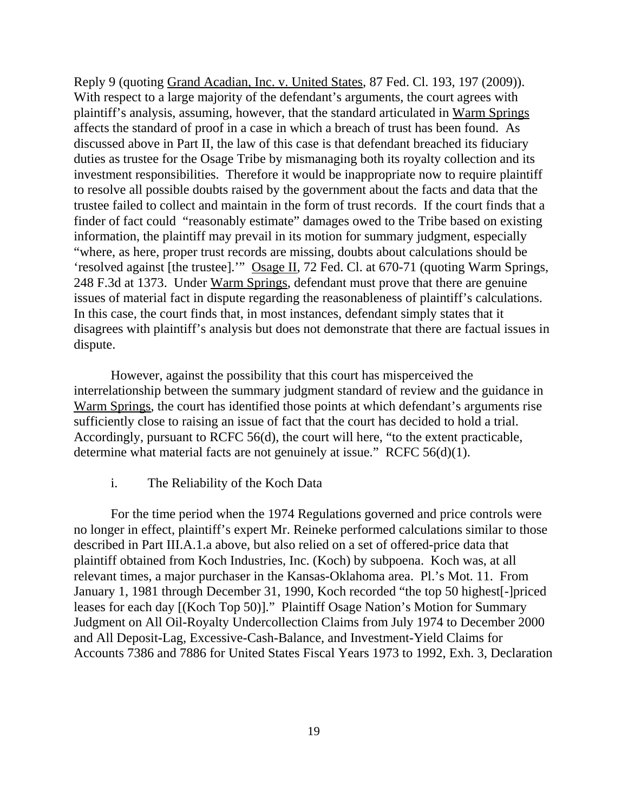Reply 9 (quoting Grand Acadian, Inc. v. United States, 87 Fed. Cl. 193, 197 (2009)). With respect to a large majority of the defendant's arguments, the court agrees with plaintiff's analysis, assuming, however, that the standard articulated in Warm Springs affects the standard of proof in a case in which a breach of trust has been found. As discussed above in Part II, the law of this case is that defendant breached its fiduciary duties as trustee for the Osage Tribe by mismanaging both its royalty collection and its investment responsibilities. Therefore it would be inappropriate now to require plaintiff to resolve all possible doubts raised by the government about the facts and data that the trustee failed to collect and maintain in the form of trust records. If the court finds that a finder of fact could "reasonably estimate" damages owed to the Tribe based on existing information, the plaintiff may prevail in its motion for summary judgment, especially "where, as here, proper trust records are missing, doubts about calculations should be 'resolved against [the trustee].'" Osage II, 72 Fed. Cl. at 670-71 (quoting Warm Springs, 248 F.3d at 1373. Under Warm Springs, defendant must prove that there are genuine issues of material fact in dispute regarding the reasonableness of plaintiff's calculations. In this case, the court finds that, in most instances, defendant simply states that it disagrees with plaintiff's analysis but does not demonstrate that there are factual issues in dispute.

However, against the possibility that this court has misperceived the interrelationship between the summary judgment standard of review and the guidance in Warm Springs, the court has identified those points at which defendant's arguments rise sufficiently close to raising an issue of fact that the court has decided to hold a trial. Accordingly, pursuant to RCFC 56(d), the court will here, "to the extent practicable, determine what material facts are not genuinely at issue." RCFC 56(d)(1).

## i. The Reliability of the Koch Data

For the time period when the 1974 Regulations governed and price controls were no longer in effect, plaintiff's expert Mr. Reineke performed calculations similar to those described in Part III.A.1.a above, but also relied on a set of offered-price data that plaintiff obtained from Koch Industries, Inc. (Koch) by subpoena. Koch was, at all relevant times, a major purchaser in the Kansas-Oklahoma area. Pl.'s Mot. 11. From January 1, 1981 through December 31, 1990, Koch recorded "the top 50 highest[-]priced leases for each day [(Koch Top 50)]." Plaintiff Osage Nation's Motion for Summary Judgment on All Oil-Royalty Undercollection Claims from July 1974 to December 2000 and All Deposit-Lag, Excessive-Cash-Balance, and Investment-Yield Claims for Accounts 7386 and 7886 for United States Fiscal Years 1973 to 1992, Exh. 3, Declaration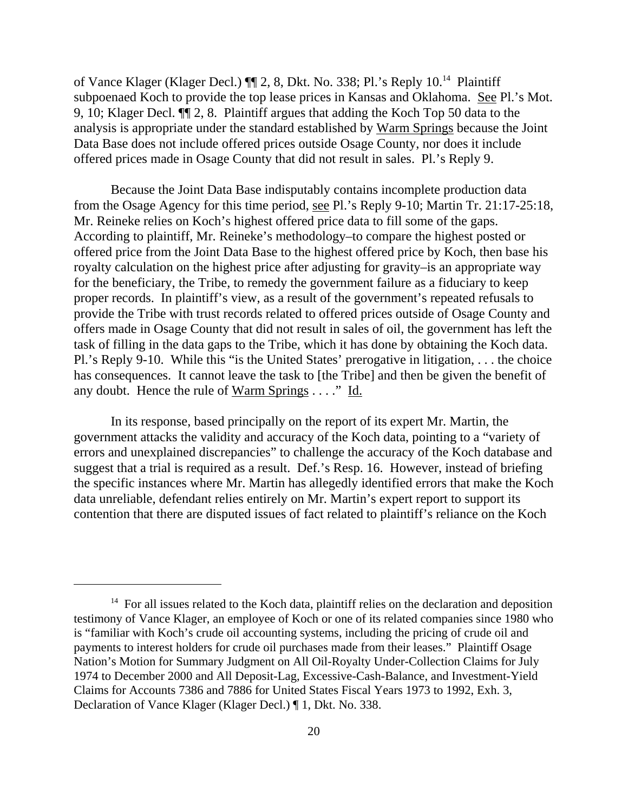of Vance Klager (Klager Decl.) ¶¶ 2, 8, Dkt. No. 338; Pl.'s Reply 10.14 Plaintiff subpoenaed Koch to provide the top lease prices in Kansas and Oklahoma. See Pl.'s Mot. 9, 10; Klager Decl. ¶¶ 2, 8. Plaintiff argues that adding the Koch Top 50 data to the analysis is appropriate under the standard established by Warm Springs because the Joint Data Base does not include offered prices outside Osage County, nor does it include offered prices made in Osage County that did not result in sales. Pl.'s Reply 9.

Because the Joint Data Base indisputably contains incomplete production data from the Osage Agency for this time period, see Pl.'s Reply 9-10; Martin Tr. 21:17-25:18, Mr. Reineke relies on Koch's highest offered price data to fill some of the gaps. According to plaintiff, Mr. Reineke's methodology–to compare the highest posted or offered price from the Joint Data Base to the highest offered price by Koch, then base his royalty calculation on the highest price after adjusting for gravity–is an appropriate way for the beneficiary, the Tribe, to remedy the government failure as a fiduciary to keep proper records. In plaintiff's view, as a result of the government's repeated refusals to provide the Tribe with trust records related to offered prices outside of Osage County and offers made in Osage County that did not result in sales of oil, the government has left the task of filling in the data gaps to the Tribe, which it has done by obtaining the Koch data. Pl.'s Reply 9-10. While this "is the United States' prerogative in litigation, . . . the choice has consequences. It cannot leave the task to [the Tribe] and then be given the benefit of any doubt. Hence the rule of  $Warm Springs$ ...." Id.</u>

In its response, based principally on the report of its expert Mr. Martin, the government attacks the validity and accuracy of the Koch data, pointing to a "variety of errors and unexplained discrepancies" to challenge the accuracy of the Koch database and suggest that a trial is required as a result. Def.'s Resp. 16. However, instead of briefing the specific instances where Mr. Martin has allegedly identified errors that make the Koch data unreliable, defendant relies entirely on Mr. Martin's expert report to support its contention that there are disputed issues of fact related to plaintiff's reliance on the Koch

 $14$  For all issues related to the Koch data, plaintiff relies on the declaration and deposition testimony of Vance Klager, an employee of Koch or one of its related companies since 1980 who is "familiar with Koch's crude oil accounting systems, including the pricing of crude oil and payments to interest holders for crude oil purchases made from their leases." Plaintiff Osage Nation's Motion for Summary Judgment on All Oil-Royalty Under-Collection Claims for July 1974 to December 2000 and All Deposit-Lag, Excessive-Cash-Balance, and Investment-Yield Claims for Accounts 7386 and 7886 for United States Fiscal Years 1973 to 1992, Exh. 3, Declaration of Vance Klager (Klager Decl.) ¶ 1, Dkt. No. 338.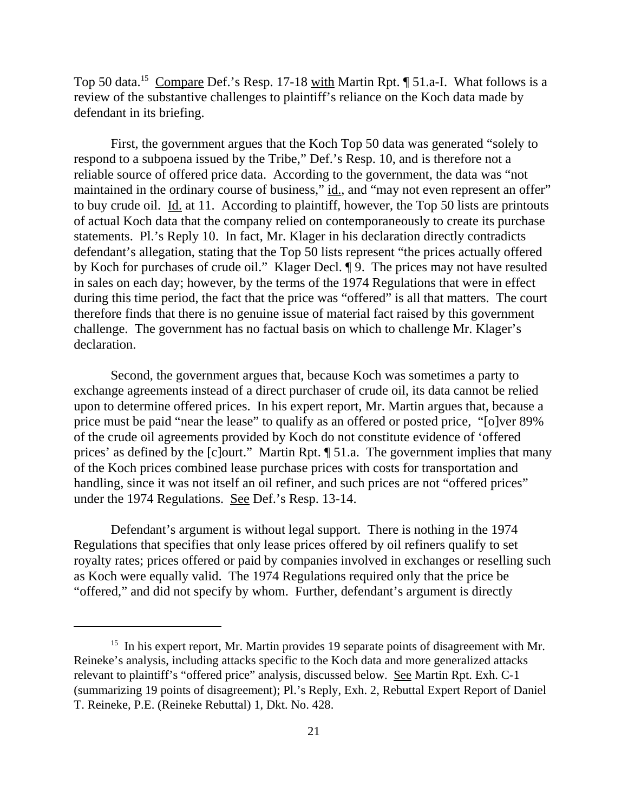Top 50 data.<sup>15</sup> Compare Def.'s Resp. 17-18 with Martin Rpt. ¶ 51.a-I. What follows is a review of the substantive challenges to plaintiff's reliance on the Koch data made by defendant in its briefing.

First, the government argues that the Koch Top 50 data was generated "solely to respond to a subpoena issued by the Tribe," Def.'s Resp. 10, and is therefore not a reliable source of offered price data. According to the government, the data was "not maintained in the ordinary course of business," id., and "may not even represent an offer" to buy crude oil. Id. at 11. According to plaintiff, however, the Top 50 lists are printouts of actual Koch data that the company relied on contemporaneously to create its purchase statements. Pl.'s Reply 10. In fact, Mr. Klager in his declaration directly contradicts defendant's allegation, stating that the Top 50 lists represent "the prices actually offered by Koch for purchases of crude oil." Klager Decl. ¶ 9. The prices may not have resulted in sales on each day; however, by the terms of the 1974 Regulations that were in effect during this time period, the fact that the price was "offered" is all that matters. The court therefore finds that there is no genuine issue of material fact raised by this government challenge. The government has no factual basis on which to challenge Mr. Klager's declaration.

Second, the government argues that, because Koch was sometimes a party to exchange agreements instead of a direct purchaser of crude oil, its data cannot be relied upon to determine offered prices. In his expert report, Mr. Martin argues that, because a price must be paid "near the lease" to qualify as an offered or posted price, "[o]ver 89% of the crude oil agreements provided by Koch do not constitute evidence of 'offered prices' as defined by the [c]ourt." Martin Rpt. ¶ 51.a. The government implies that many of the Koch prices combined lease purchase prices with costs for transportation and handling, since it was not itself an oil refiner, and such prices are not "offered prices" under the 1974 Regulations. See Def.'s Resp. 13-14.

Defendant's argument is without legal support. There is nothing in the 1974 Regulations that specifies that only lease prices offered by oil refiners qualify to set royalty rates; prices offered or paid by companies involved in exchanges or reselling such as Koch were equally valid. The 1974 Regulations required only that the price be "offered," and did not specify by whom. Further, defendant's argument is directly

 $15$  In his expert report, Mr. Martin provides 19 separate points of disagreement with Mr. Reineke's analysis, including attacks specific to the Koch data and more generalized attacks relevant to plaintiff's "offered price" analysis, discussed below. See Martin Rpt. Exh. C-1 (summarizing 19 points of disagreement); Pl.'s Reply, Exh. 2, Rebuttal Expert Report of Daniel T. Reineke, P.E. (Reineke Rebuttal) 1, Dkt. No. 428.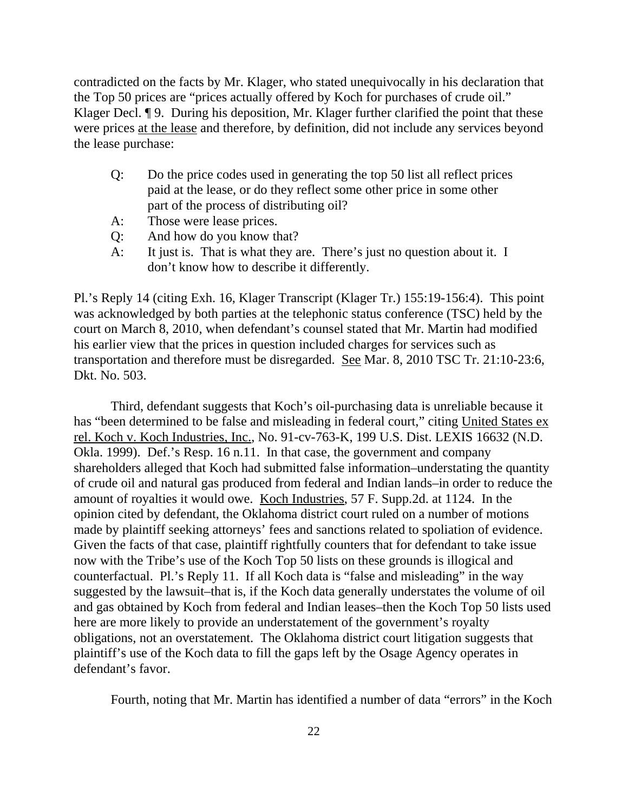contradicted on the facts by Mr. Klager, who stated unequivocally in his declaration that the Top 50 prices are "prices actually offered by Koch for purchases of crude oil." Klager Decl. ¶ 9. During his deposition, Mr. Klager further clarified the point that these were prices at the lease and therefore, by definition, did not include any services beyond the lease purchase:

- Q: Do the price codes used in generating the top 50 list all reflect prices paid at the lease, or do they reflect some other price in some other part of the process of distributing oil?
- A: Those were lease prices.
- Q: And how do you know that?
- A: It just is. That is what they are. There's just no question about it. I don't know how to describe it differently.

Pl.'s Reply 14 (citing Exh. 16, Klager Transcript (Klager Tr.) 155:19-156:4). This point was acknowledged by both parties at the telephonic status conference (TSC) held by the court on March 8, 2010, when defendant's counsel stated that Mr. Martin had modified his earlier view that the prices in question included charges for services such as transportation and therefore must be disregarded. See Mar. 8, 2010 TSC Tr. 21:10-23:6, Dkt. No. 503.

Third, defendant suggests that Koch's oil-purchasing data is unreliable because it has "been determined to be false and misleading in federal court," citing United States ex rel. Koch v. Koch Industries, Inc., No. 91-cv-763-K, 199 U.S. Dist. LEXIS 16632 (N.D. Okla. 1999). Def.'s Resp. 16 n.11. In that case, the government and company shareholders alleged that Koch had submitted false information–understating the quantity of crude oil and natural gas produced from federal and Indian lands–in order to reduce the amount of royalties it would owe. Koch Industries, 57 F. Supp.2d. at 1124. In the opinion cited by defendant, the Oklahoma district court ruled on a number of motions made by plaintiff seeking attorneys' fees and sanctions related to spoliation of evidence. Given the facts of that case, plaintiff rightfully counters that for defendant to take issue now with the Tribe's use of the Koch Top 50 lists on these grounds is illogical and counterfactual. Pl.'s Reply 11. If all Koch data is "false and misleading" in the way suggested by the lawsuit–that is, if the Koch data generally understates the volume of oil and gas obtained by Koch from federal and Indian leases–then the Koch Top 50 lists used here are more likely to provide an understatement of the government's royalty obligations, not an overstatement. The Oklahoma district court litigation suggests that plaintiff's use of the Koch data to fill the gaps left by the Osage Agency operates in defendant's favor.

Fourth, noting that Mr. Martin has identified a number of data "errors" in the Koch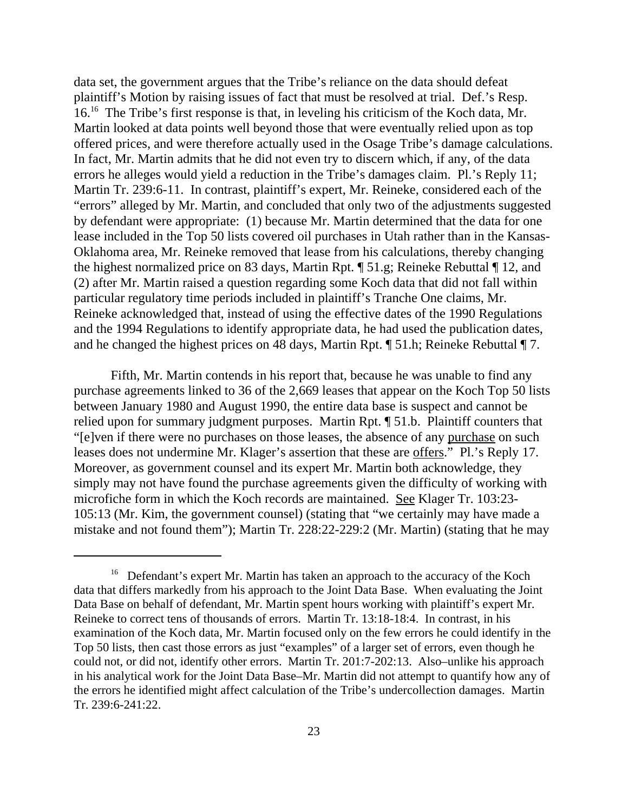data set, the government argues that the Tribe's reliance on the data should defeat plaintiff's Motion by raising issues of fact that must be resolved at trial. Def.'s Resp. 16.16 The Tribe's first response is that, in leveling his criticism of the Koch data, Mr. Martin looked at data points well beyond those that were eventually relied upon as top offered prices, and were therefore actually used in the Osage Tribe's damage calculations. In fact, Mr. Martin admits that he did not even try to discern which, if any, of the data errors he alleges would yield a reduction in the Tribe's damages claim. Pl.'s Reply 11; Martin Tr. 239:6-11. In contrast, plaintiff's expert, Mr. Reineke, considered each of the "errors" alleged by Mr. Martin, and concluded that only two of the adjustments suggested by defendant were appropriate: (1) because Mr. Martin determined that the data for one lease included in the Top 50 lists covered oil purchases in Utah rather than in the Kansas-Oklahoma area, Mr. Reineke removed that lease from his calculations, thereby changing the highest normalized price on 83 days, Martin Rpt. ¶ 51.g; Reineke Rebuttal ¶ 12, and (2) after Mr. Martin raised a question regarding some Koch data that did not fall within particular regulatory time periods included in plaintiff's Tranche One claims, Mr. Reineke acknowledged that, instead of using the effective dates of the 1990 Regulations and the 1994 Regulations to identify appropriate data, he had used the publication dates, and he changed the highest prices on 48 days, Martin Rpt. ¶ 51.h; Reineke Rebuttal ¶ 7.

Fifth, Mr. Martin contends in his report that, because he was unable to find any purchase agreements linked to 36 of the 2,669 leases that appear on the Koch Top 50 lists between January 1980 and August 1990, the entire data base is suspect and cannot be relied upon for summary judgment purposes. Martin Rpt. ¶ 51.b. Plaintiff counters that "[e]ven if there were no purchases on those leases, the absence of any purchase on such leases does not undermine Mr. Klager's assertion that these are offers." Pl.'s Reply 17. Moreover, as government counsel and its expert Mr. Martin both acknowledge, they simply may not have found the purchase agreements given the difficulty of working with microfiche form in which the Koch records are maintained. See Klager Tr. 103:23- 105:13 (Mr. Kim, the government counsel) (stating that "we certainly may have made a mistake and not found them"); Martin Tr. 228:22-229:2 (Mr. Martin) (stating that he may

<sup>&</sup>lt;sup>16</sup> Defendant's expert Mr. Martin has taken an approach to the accuracy of the Koch data that differs markedly from his approach to the Joint Data Base. When evaluating the Joint Data Base on behalf of defendant, Mr. Martin spent hours working with plaintiff's expert Mr. Reineke to correct tens of thousands of errors. Martin Tr. 13:18-18:4. In contrast, in his examination of the Koch data, Mr. Martin focused only on the few errors he could identify in the Top 50 lists, then cast those errors as just "examples" of a larger set of errors, even though he could not, or did not, identify other errors. Martin Tr. 201:7-202:13. Also–unlike his approach in his analytical work for the Joint Data Base–Mr. Martin did not attempt to quantify how any of the errors he identified might affect calculation of the Tribe's undercollection damages. Martin Tr. 239:6-241:22.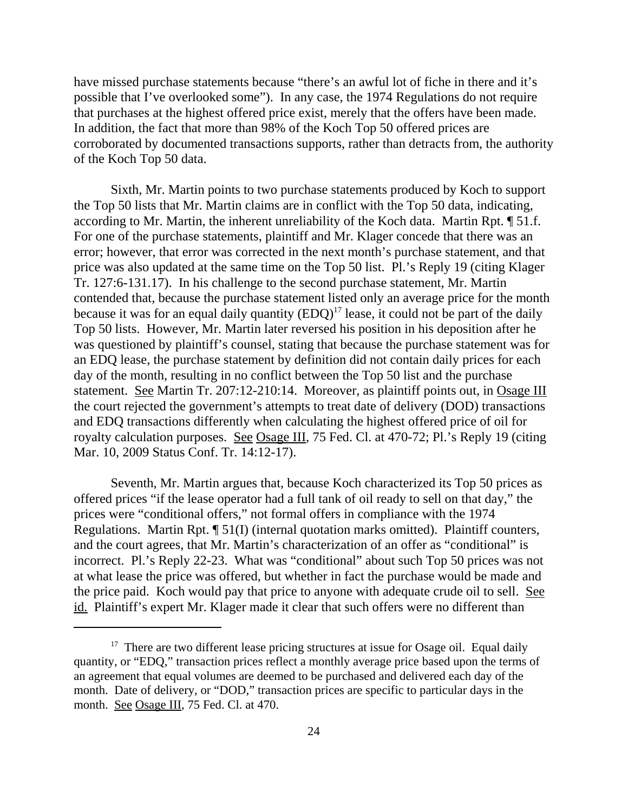have missed purchase statements because "there's an awful lot of fiche in there and it's possible that I've overlooked some"). In any case, the 1974 Regulations do not require that purchases at the highest offered price exist, merely that the offers have been made. In addition, the fact that more than 98% of the Koch Top 50 offered prices are corroborated by documented transactions supports, rather than detracts from, the authority of the Koch Top 50 data.

Sixth, Mr. Martin points to two purchase statements produced by Koch to support the Top 50 lists that Mr. Martin claims are in conflict with the Top 50 data, indicating, according to Mr. Martin, the inherent unreliability of the Koch data. Martin Rpt. ¶ 51.f. For one of the purchase statements, plaintiff and Mr. Klager concede that there was an error; however, that error was corrected in the next month's purchase statement, and that price was also updated at the same time on the Top 50 list. Pl.'s Reply 19 (citing Klager Tr. 127:6-131.17). In his challenge to the second purchase statement, Mr. Martin contended that, because the purchase statement listed only an average price for the month because it was for an equal daily quantity  $(EDQ)^{17}$  lease, it could not be part of the daily Top 50 lists. However, Mr. Martin later reversed his position in his deposition after he was questioned by plaintiff's counsel, stating that because the purchase statement was for an EDQ lease, the purchase statement by definition did not contain daily prices for each day of the month, resulting in no conflict between the Top 50 list and the purchase statement. See Martin Tr. 207:12-210:14. Moreover, as plaintiff points out, in Osage III the court rejected the government's attempts to treat date of delivery (DOD) transactions and EDQ transactions differently when calculating the highest offered price of oil for royalty calculation purposes. See Osage III, 75 Fed. Cl. at 470-72; Pl.'s Reply 19 (citing Mar. 10, 2009 Status Conf. Tr. 14:12-17).

Seventh, Mr. Martin argues that, because Koch characterized its Top 50 prices as offered prices "if the lease operator had a full tank of oil ready to sell on that day," the prices were "conditional offers," not formal offers in compliance with the 1974 Regulations. Martin Rpt. ¶ 51(I) (internal quotation marks omitted). Plaintiff counters, and the court agrees, that Mr. Martin's characterization of an offer as "conditional" is incorrect. Pl.'s Reply 22-23. What was "conditional" about such Top 50 prices was not at what lease the price was offered, but whether in fact the purchase would be made and the price paid. Koch would pay that price to anyone with adequate crude oil to sell. See id. Plaintiff's expert Mr. Klager made it clear that such offers were no different than

<sup>&</sup>lt;sup>17</sup> There are two different lease pricing structures at issue for Osage oil. Equal daily quantity, or "EDQ," transaction prices reflect a monthly average price based upon the terms of an agreement that equal volumes are deemed to be purchased and delivered each day of the month. Date of delivery, or "DOD," transaction prices are specific to particular days in the month. See Osage III, 75 Fed. Cl. at 470.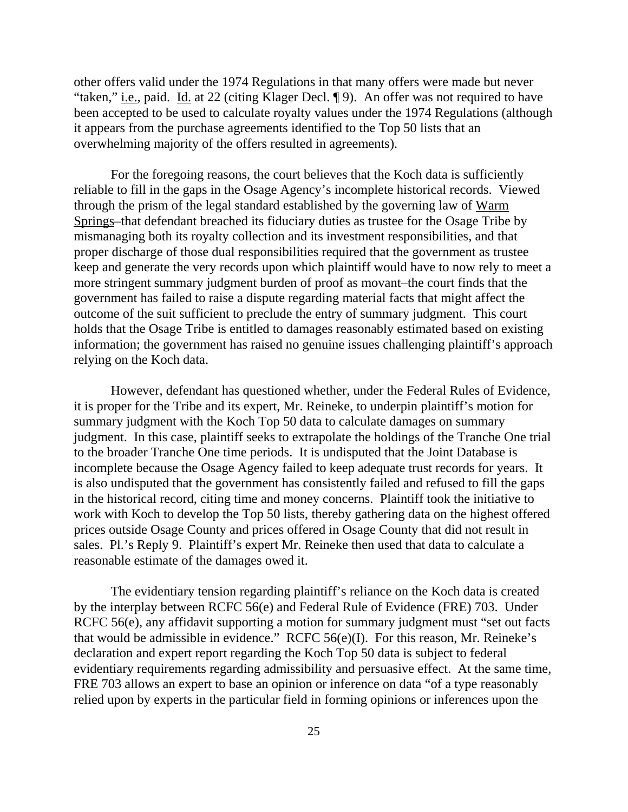other offers valid under the 1974 Regulations in that many offers were made but never "taken," *i.e.*, paid. Id. at 22 (citing Klager Decl. ¶ 9). An offer was not required to have been accepted to be used to calculate royalty values under the 1974 Regulations (although it appears from the purchase agreements identified to the Top 50 lists that an overwhelming majority of the offers resulted in agreements).

For the foregoing reasons, the court believes that the Koch data is sufficiently reliable to fill in the gaps in the Osage Agency's incomplete historical records. Viewed through the prism of the legal standard established by the governing law of Warm Springs–that defendant breached its fiduciary duties as trustee for the Osage Tribe by mismanaging both its royalty collection and its investment responsibilities, and that proper discharge of those dual responsibilities required that the government as trustee keep and generate the very records upon which plaintiff would have to now rely to meet a more stringent summary judgment burden of proof as movant–the court finds that the government has failed to raise a dispute regarding material facts that might affect the outcome of the suit sufficient to preclude the entry of summary judgment. This court holds that the Osage Tribe is entitled to damages reasonably estimated based on existing information; the government has raised no genuine issues challenging plaintiff's approach relying on the Koch data.

However, defendant has questioned whether, under the Federal Rules of Evidence, it is proper for the Tribe and its expert, Mr. Reineke, to underpin plaintiff's motion for summary judgment with the Koch Top 50 data to calculate damages on summary judgment. In this case, plaintiff seeks to extrapolate the holdings of the Tranche One trial to the broader Tranche One time periods. It is undisputed that the Joint Database is incomplete because the Osage Agency failed to keep adequate trust records for years. It is also undisputed that the government has consistently failed and refused to fill the gaps in the historical record, citing time and money concerns. Plaintiff took the initiative to work with Koch to develop the Top 50 lists, thereby gathering data on the highest offered prices outside Osage County and prices offered in Osage County that did not result in sales. Pl.'s Reply 9. Plaintiff's expert Mr. Reineke then used that data to calculate a reasonable estimate of the damages owed it.

The evidentiary tension regarding plaintiff's reliance on the Koch data is created by the interplay between RCFC 56(e) and Federal Rule of Evidence (FRE) 703. Under RCFC 56(e), any affidavit supporting a motion for summary judgment must "set out facts that would be admissible in evidence." RCFC 56(e)(I). For this reason, Mr. Reineke's declaration and expert report regarding the Koch Top 50 data is subject to federal evidentiary requirements regarding admissibility and persuasive effect. At the same time, FRE 703 allows an expert to base an opinion or inference on data "of a type reasonably relied upon by experts in the particular field in forming opinions or inferences upon the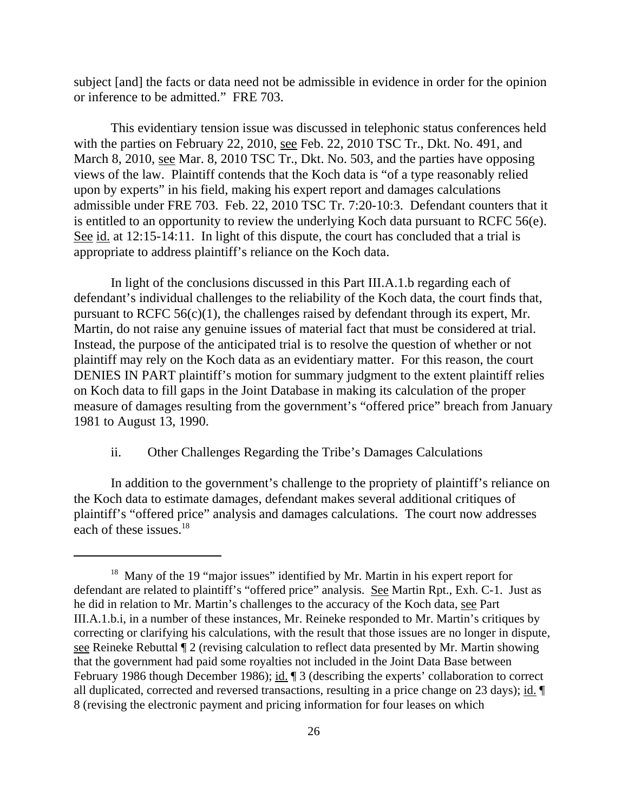subject [and] the facts or data need not be admissible in evidence in order for the opinion or inference to be admitted." FRE 703.

This evidentiary tension issue was discussed in telephonic status conferences held with the parties on February 22, 2010, see Feb. 22, 2010 TSC Tr., Dkt. No. 491, and March 8, 2010, see Mar. 8, 2010 TSC Tr., Dkt. No. 503, and the parties have opposing views of the law. Plaintiff contends that the Koch data is "of a type reasonably relied upon by experts" in his field, making his expert report and damages calculations admissible under FRE 703. Feb. 22, 2010 TSC Tr. 7:20-10:3. Defendant counters that it is entitled to an opportunity to review the underlying Koch data pursuant to RCFC 56(e). See id. at 12:15-14:11. In light of this dispute, the court has concluded that a trial is appropriate to address plaintiff's reliance on the Koch data.

In light of the conclusions discussed in this Part III.A.1.b regarding each of defendant's individual challenges to the reliability of the Koch data, the court finds that, pursuant to RCFC  $56(c)(1)$ , the challenges raised by defendant through its expert, Mr. Martin, do not raise any genuine issues of material fact that must be considered at trial. Instead, the purpose of the anticipated trial is to resolve the question of whether or not plaintiff may rely on the Koch data as an evidentiary matter. For this reason, the court DENIES IN PART plaintiff's motion for summary judgment to the extent plaintiff relies on Koch data to fill gaps in the Joint Database in making its calculation of the proper measure of damages resulting from the government's "offered price" breach from January 1981 to August 13, 1990.

## ii. Other Challenges Regarding the Tribe's Damages Calculations

In addition to the government's challenge to the propriety of plaintiff's reliance on the Koch data to estimate damages, defendant makes several additional critiques of plaintiff's "offered price" analysis and damages calculations. The court now addresses each of these issues.<sup>18</sup>

<sup>&</sup>lt;sup>18</sup> Many of the 19 "major issues" identified by Mr. Martin in his expert report for defendant are related to plaintiff's "offered price" analysis. See Martin Rpt., Exh. C-1. Just as he did in relation to Mr. Martin's challenges to the accuracy of the Koch data, see Part III.A.1.b.i, in a number of these instances, Mr. Reineke responded to Mr. Martin's critiques by correcting or clarifying his calculations, with the result that those issues are no longer in dispute, see Reineke Rebuttal ¶ 2 (revising calculation to reflect data presented by Mr. Martin showing that the government had paid some royalties not included in the Joint Data Base between February 1986 though December 1986); id. ¶ 3 (describing the experts' collaboration to correct all duplicated, corrected and reversed transactions, resulting in a price change on 23 days); id. ¶ 8 (revising the electronic payment and pricing information for four leases on which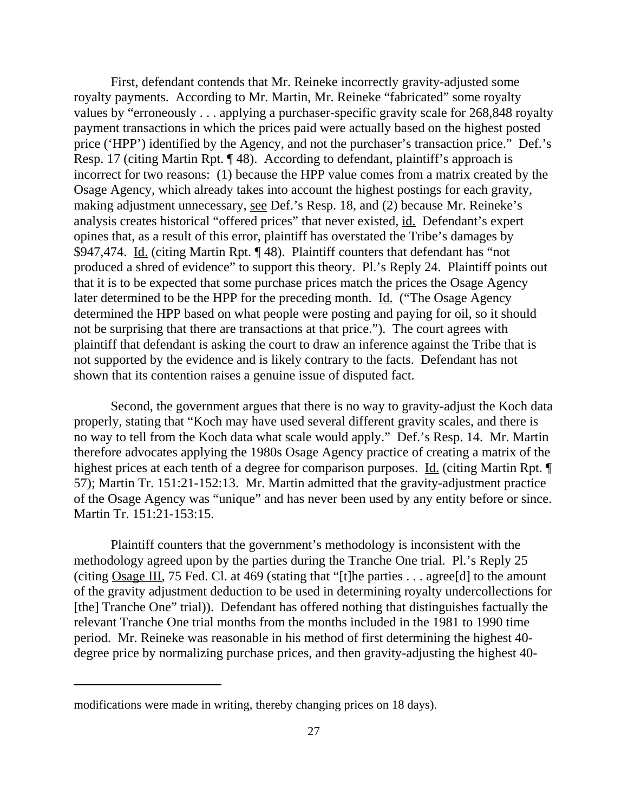First, defendant contends that Mr. Reineke incorrectly gravity-adjusted some royalty payments. According to Mr. Martin, Mr. Reineke "fabricated" some royalty values by "erroneously . . . applying a purchaser-specific gravity scale for 268,848 royalty payment transactions in which the prices paid were actually based on the highest posted price ('HPP') identified by the Agency, and not the purchaser's transaction price." Def.'s Resp. 17 (citing Martin Rpt. ¶ 48). According to defendant, plaintiff's approach is incorrect for two reasons: (1) because the HPP value comes from a matrix created by the Osage Agency, which already takes into account the highest postings for each gravity, making adjustment unnecessary, see Def.'s Resp. 18, and (2) because Mr. Reineke's analysis creates historical "offered prices" that never existed, id. Defendant's expert opines that, as a result of this error, plaintiff has overstated the Tribe's damages by \$947,474. Id. (citing Martin Rpt. ¶ 48). Plaintiff counters that defendant has "not produced a shred of evidence" to support this theory. Pl.'s Reply 24. Plaintiff points out that it is to be expected that some purchase prices match the prices the Osage Agency later determined to be the HPP for the preceding month. Id. ("The Osage Agency determined the HPP based on what people were posting and paying for oil, so it should not be surprising that there are transactions at that price."). The court agrees with plaintiff that defendant is asking the court to draw an inference against the Tribe that is not supported by the evidence and is likely contrary to the facts. Defendant has not shown that its contention raises a genuine issue of disputed fact.

Second, the government argues that there is no way to gravity-adjust the Koch data properly, stating that "Koch may have used several different gravity scales, and there is no way to tell from the Koch data what scale would apply." Def.'s Resp. 14. Mr. Martin therefore advocates applying the 1980s Osage Agency practice of creating a matrix of the highest prices at each tenth of a degree for comparison purposes. Id. (citing Martin Rpt. ¶ 57); Martin Tr. 151:21-152:13. Mr. Martin admitted that the gravity-adjustment practice of the Osage Agency was "unique" and has never been used by any entity before or since. Martin Tr. 151:21-153:15.

Plaintiff counters that the government's methodology is inconsistent with the methodology agreed upon by the parties during the Tranche One trial. Pl.'s Reply 25 (citing Osage III, 75 Fed. Cl. at 469 (stating that "[t]he parties . . . agree[d] to the amount of the gravity adjustment deduction to be used in determining royalty undercollections for [the] Tranche One" trial)). Defendant has offered nothing that distinguishes factually the relevant Tranche One trial months from the months included in the 1981 to 1990 time period. Mr. Reineke was reasonable in his method of first determining the highest 40 degree price by normalizing purchase prices, and then gravity-adjusting the highest 40-

modifications were made in writing, thereby changing prices on 18 days).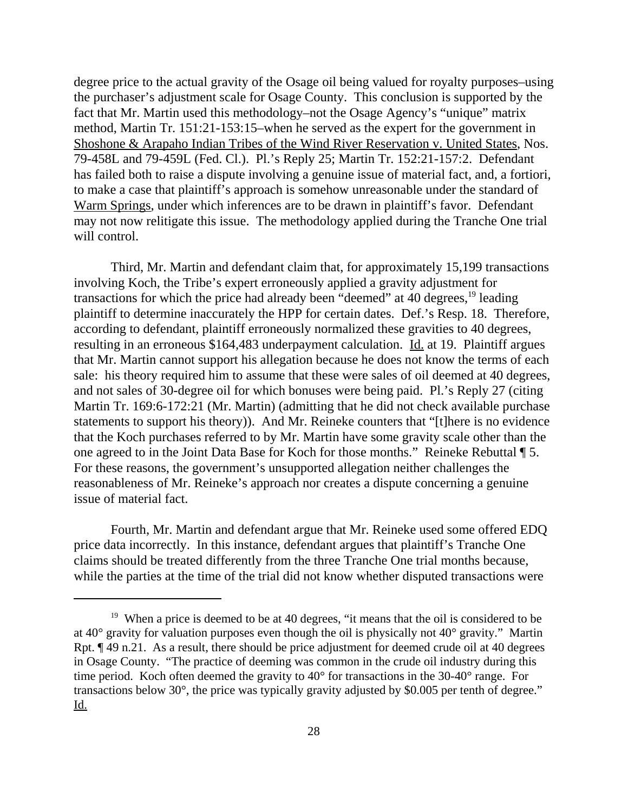degree price to the actual gravity of the Osage oil being valued for royalty purposes–using the purchaser's adjustment scale for Osage County. This conclusion is supported by the fact that Mr. Martin used this methodology–not the Osage Agency's "unique" matrix method, Martin Tr. 151:21-153:15–when he served as the expert for the government in Shoshone & Arapaho Indian Tribes of the Wind River Reservation v. United States, Nos. 79-458L and 79-459L (Fed. Cl.). Pl.'s Reply 25; Martin Tr. 152:21-157:2. Defendant has failed both to raise a dispute involving a genuine issue of material fact, and, a fortiori, to make a case that plaintiff's approach is somehow unreasonable under the standard of Warm Springs, under which inferences are to be drawn in plaintiff's favor. Defendant may not now relitigate this issue. The methodology applied during the Tranche One trial will control.

Third, Mr. Martin and defendant claim that, for approximately 15,199 transactions involving Koch, the Tribe's expert erroneously applied a gravity adjustment for transactions for which the price had already been "deemed" at 40 degrees,  $19$  leading plaintiff to determine inaccurately the HPP for certain dates. Def.'s Resp. 18. Therefore, according to defendant, plaintiff erroneously normalized these gravities to 40 degrees, resulting in an erroneous \$164,483 underpayment calculation. Id. at 19. Plaintiff argues that Mr. Martin cannot support his allegation because he does not know the terms of each sale: his theory required him to assume that these were sales of oil deemed at 40 degrees, and not sales of 30-degree oil for which bonuses were being paid. Pl.'s Reply 27 (citing Martin Tr. 169:6-172:21 (Mr. Martin) (admitting that he did not check available purchase statements to support his theory)). And Mr. Reineke counters that "[t]here is no evidence that the Koch purchases referred to by Mr. Martin have some gravity scale other than the one agreed to in the Joint Data Base for Koch for those months." Reineke Rebuttal ¶ 5. For these reasons, the government's unsupported allegation neither challenges the reasonableness of Mr. Reineke's approach nor creates a dispute concerning a genuine issue of material fact.

Fourth, Mr. Martin and defendant argue that Mr. Reineke used some offered EDQ price data incorrectly. In this instance, defendant argues that plaintiff's Tranche One claims should be treated differently from the three Tranche One trial months because, while the parties at the time of the trial did not know whether disputed transactions were

<sup>&</sup>lt;sup>19</sup> When a price is deemed to be at 40 degrees, "it means that the oil is considered to be at 40° gravity for valuation purposes even though the oil is physically not 40° gravity." Martin Rpt. ¶ 49 n.21. As a result, there should be price adjustment for deemed crude oil at 40 degrees in Osage County. "The practice of deeming was common in the crude oil industry during this time period. Koch often deemed the gravity to 40° for transactions in the 30-40° range. For transactions below 30°, the price was typically gravity adjusted by \$0.005 per tenth of degree." Id.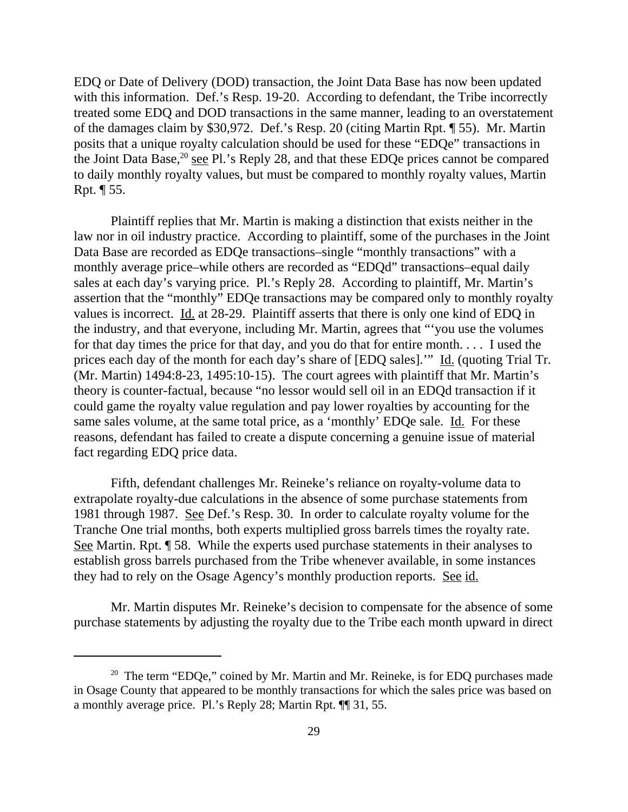EDQ or Date of Delivery (DOD) transaction, the Joint Data Base has now been updated with this information. Def.'s Resp. 19-20. According to defendant, the Tribe incorrectly treated some EDQ and DOD transactions in the same manner, leading to an overstatement of the damages claim by \$30,972. Def.'s Resp. 20 (citing Martin Rpt. ¶ 55). Mr. Martin posits that a unique royalty calculation should be used for these "EDQe" transactions in the Joint Data Base, $^{20}$  see Pl.'s Reply 28, and that these EDQe prices cannot be compared to daily monthly royalty values, but must be compared to monthly royalty values, Martin Rpt. ¶ 55.

Plaintiff replies that Mr. Martin is making a distinction that exists neither in the law nor in oil industry practice. According to plaintiff, some of the purchases in the Joint Data Base are recorded as EDQe transactions–single "monthly transactions" with a monthly average price–while others are recorded as "EDQd" transactions–equal daily sales at each day's varying price. Pl.'s Reply 28. According to plaintiff, Mr. Martin's assertion that the "monthly" EDQe transactions may be compared only to monthly royalty values is incorrect. Id. at 28-29. Plaintiff asserts that there is only one kind of EDQ in the industry, and that everyone, including Mr. Martin, agrees that "'you use the volumes for that day times the price for that day, and you do that for entire month. . . . I used the prices each day of the month for each day's share of [EDQ sales]." Id. (quoting Trial Tr. (Mr. Martin) 1494:8-23, 1495:10-15). The court agrees with plaintiff that Mr. Martin's theory is counter-factual, because "no lessor would sell oil in an EDQd transaction if it could game the royalty value regulation and pay lower royalties by accounting for the same sales volume, at the same total price, as a 'monthly' EDQe sale. Id. For these reasons, defendant has failed to create a dispute concerning a genuine issue of material fact regarding EDQ price data.

Fifth, defendant challenges Mr. Reineke's reliance on royalty-volume data to extrapolate royalty-due calculations in the absence of some purchase statements from 1981 through 1987. See Def.'s Resp. 30. In order to calculate royalty volume for the Tranche One trial months, both experts multiplied gross barrels times the royalty rate. See Martin. Rpt. ¶ 58. While the experts used purchase statements in their analyses to establish gross barrels purchased from the Tribe whenever available, in some instances they had to rely on the Osage Agency's monthly production reports. See id.

Mr. Martin disputes Mr. Reineke's decision to compensate for the absence of some purchase statements by adjusting the royalty due to the Tribe each month upward in direct

<sup>&</sup>lt;sup>20</sup> The term "EDQe," coined by Mr. Martin and Mr. Reineke, is for EDQ purchases made in Osage County that appeared to be monthly transactions for which the sales price was based on a monthly average price. Pl.'s Reply 28; Martin Rpt. ¶¶ 31, 55.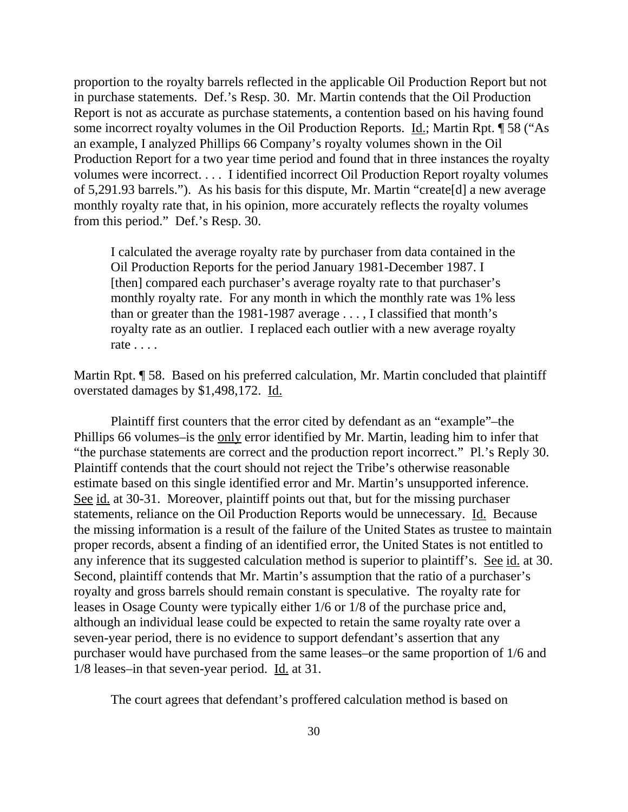proportion to the royalty barrels reflected in the applicable Oil Production Report but not in purchase statements. Def.'s Resp. 30. Mr. Martin contends that the Oil Production Report is not as accurate as purchase statements, a contention based on his having found some incorrect royalty volumes in the Oil Production Reports. Id.; Martin Rpt. ¶ 58 ("As an example, I analyzed Phillips 66 Company's royalty volumes shown in the Oil Production Report for a two year time period and found that in three instances the royalty volumes were incorrect. . . . I identified incorrect Oil Production Report royalty volumes of 5,291.93 barrels."). As his basis for this dispute, Mr. Martin "create[d] a new average monthly royalty rate that, in his opinion, more accurately reflects the royalty volumes from this period." Def.'s Resp. 30.

I calculated the average royalty rate by purchaser from data contained in the Oil Production Reports for the period January 1981-December 1987. I [then] compared each purchaser's average royalty rate to that purchaser's monthly royalty rate. For any month in which the monthly rate was 1% less than or greater than the 1981-1987 average  $\dots$ , I classified that month's royalty rate as an outlier. I replaced each outlier with a new average royalty rate . . . .

Martin Rpt. ¶ 58. Based on his preferred calculation, Mr. Martin concluded that plaintiff overstated damages by \$1,498,172. Id.

Plaintiff first counters that the error cited by defendant as an "example"–the Phillips 66 volumes–is the only error identified by Mr. Martin, leading him to infer that "the purchase statements are correct and the production report incorrect." Pl.'s Reply 30. Plaintiff contends that the court should not reject the Tribe's otherwise reasonable estimate based on this single identified error and Mr. Martin's unsupported inference. See id. at 30-31. Moreover, plaintiff points out that, but for the missing purchaser statements, reliance on the Oil Production Reports would be unnecessary. Id. Because the missing information is a result of the failure of the United States as trustee to maintain proper records, absent a finding of an identified error, the United States is not entitled to any inference that its suggested calculation method is superior to plaintiff's. See id. at 30. Second, plaintiff contends that Mr. Martin's assumption that the ratio of a purchaser's royalty and gross barrels should remain constant is speculative. The royalty rate for leases in Osage County were typically either 1/6 or 1/8 of the purchase price and, although an individual lease could be expected to retain the same royalty rate over a seven-year period, there is no evidence to support defendant's assertion that any purchaser would have purchased from the same leases–or the same proportion of 1/6 and 1/8 leases–in that seven-year period. Id. at 31.

The court agrees that defendant's proffered calculation method is based on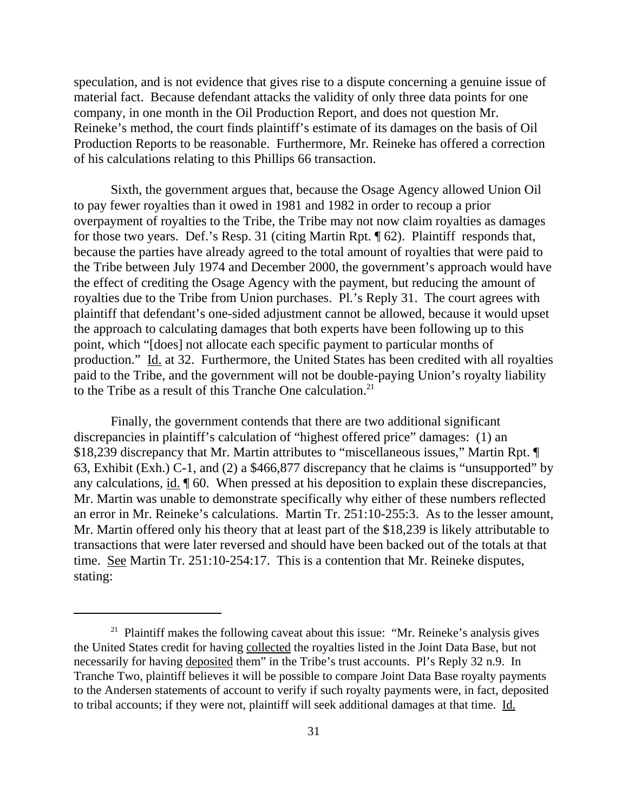speculation, and is not evidence that gives rise to a dispute concerning a genuine issue of material fact. Because defendant attacks the validity of only three data points for one company, in one month in the Oil Production Report, and does not question Mr. Reineke's method, the court finds plaintiff's estimate of its damages on the basis of Oil Production Reports to be reasonable. Furthermore, Mr. Reineke has offered a correction of his calculations relating to this Phillips 66 transaction.

Sixth, the government argues that, because the Osage Agency allowed Union Oil to pay fewer royalties than it owed in 1981 and 1982 in order to recoup a prior overpayment of royalties to the Tribe, the Tribe may not now claim royalties as damages for those two years. Def.'s Resp. 31 (citing Martin Rpt. ¶ 62). Plaintiff responds that, because the parties have already agreed to the total amount of royalties that were paid to the Tribe between July 1974 and December 2000, the government's approach would have the effect of crediting the Osage Agency with the payment, but reducing the amount of royalties due to the Tribe from Union purchases. Pl.'s Reply 31. The court agrees with plaintiff that defendant's one-sided adjustment cannot be allowed, because it would upset the approach to calculating damages that both experts have been following up to this point, which "[does] not allocate each specific payment to particular months of production." Id. at 32. Furthermore, the United States has been credited with all royalties paid to the Tribe, and the government will not be double-paying Union's royalty liability to the Tribe as a result of this Tranche One calculation.<sup>21</sup>

Finally, the government contends that there are two additional significant discrepancies in plaintiff's calculation of "highest offered price" damages: (1) an \$18,239 discrepancy that Mr. Martin attributes to "miscellaneous issues," Martin Rpt. ¶ 63, Exhibit (Exh.) C-1, and (2) a \$466,877 discrepancy that he claims is "unsupported" by any calculations, id. ¶ 60. When pressed at his deposition to explain these discrepancies, Mr. Martin was unable to demonstrate specifically why either of these numbers reflected an error in Mr. Reineke's calculations. Martin Tr. 251:10-255:3. As to the lesser amount, Mr. Martin offered only his theory that at least part of the \$18,239 is likely attributable to transactions that were later reversed and should have been backed out of the totals at that time. See Martin Tr. 251:10-254:17. This is a contention that Mr. Reineke disputes, stating:

<sup>&</sup>lt;sup>21</sup> Plaintiff makes the following caveat about this issue: "Mr. Reineke's analysis gives the United States credit for having collected the royalties listed in the Joint Data Base, but not necessarily for having deposited them" in the Tribe's trust accounts. Pl's Reply 32 n.9. In Tranche Two, plaintiff believes it will be possible to compare Joint Data Base royalty payments to the Andersen statements of account to verify if such royalty payments were, in fact, deposited to tribal accounts; if they were not, plaintiff will seek additional damages at that time. Id.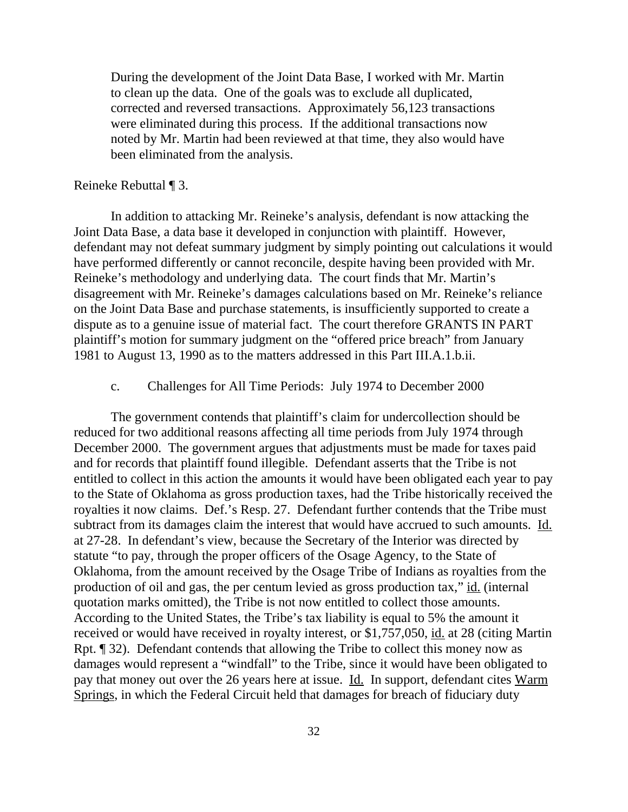During the development of the Joint Data Base, I worked with Mr. Martin to clean up the data. One of the goals was to exclude all duplicated, corrected and reversed transactions. Approximately 56,123 transactions were eliminated during this process. If the additional transactions now noted by Mr. Martin had been reviewed at that time, they also would have been eliminated from the analysis.

## Reineke Rebuttal ¶ 3.

In addition to attacking Mr. Reineke's analysis, defendant is now attacking the Joint Data Base, a data base it developed in conjunction with plaintiff. However, defendant may not defeat summary judgment by simply pointing out calculations it would have performed differently or cannot reconcile, despite having been provided with Mr. Reineke's methodology and underlying data. The court finds that Mr. Martin's disagreement with Mr. Reineke's damages calculations based on Mr. Reineke's reliance on the Joint Data Base and purchase statements, is insufficiently supported to create a dispute as to a genuine issue of material fact. The court therefore GRANTS IN PART plaintiff's motion for summary judgment on the "offered price breach" from January 1981 to August 13, 1990 as to the matters addressed in this Part III.A.1.b.ii.

## c. Challenges for All Time Periods: July 1974 to December 2000

The government contends that plaintiff's claim for undercollection should be reduced for two additional reasons affecting all time periods from July 1974 through December 2000. The government argues that adjustments must be made for taxes paid and for records that plaintiff found illegible. Defendant asserts that the Tribe is not entitled to collect in this action the amounts it would have been obligated each year to pay to the State of Oklahoma as gross production taxes, had the Tribe historically received the royalties it now claims. Def.'s Resp. 27. Defendant further contends that the Tribe must subtract from its damages claim the interest that would have accrued to such amounts. Id. at 27-28. In defendant's view, because the Secretary of the Interior was directed by statute "to pay, through the proper officers of the Osage Agency, to the State of Oklahoma, from the amount received by the Osage Tribe of Indians as royalties from the production of oil and gas, the per centum levied as gross production tax," id. (internal quotation marks omitted), the Tribe is not now entitled to collect those amounts. According to the United States, the Tribe's tax liability is equal to 5% the amount it received or would have received in royalty interest, or \$1,757,050, id. at 28 (citing Martin Rpt. ¶ 32). Defendant contends that allowing the Tribe to collect this money now as damages would represent a "windfall" to the Tribe, since it would have been obligated to pay that money out over the 26 years here at issue. Id. In support, defendant cites Warm Springs, in which the Federal Circuit held that damages for breach of fiduciary duty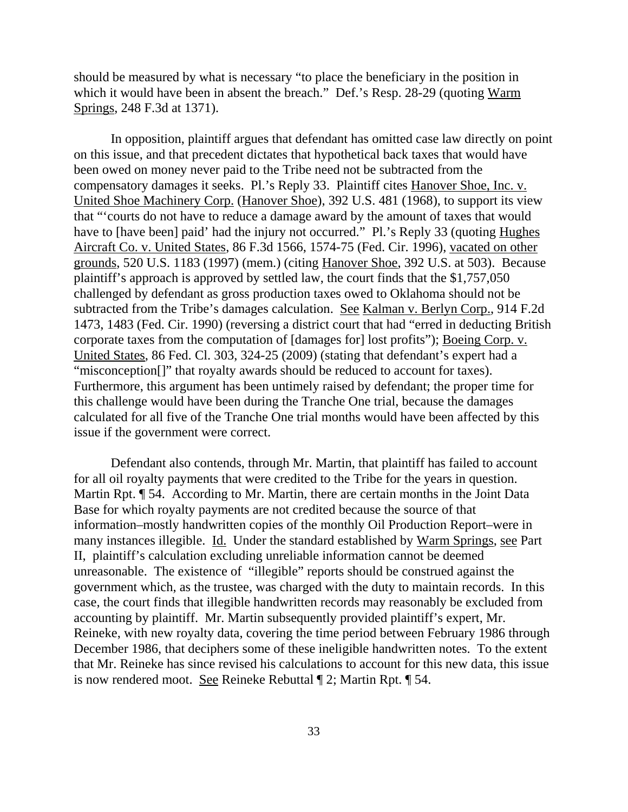should be measured by what is necessary "to place the beneficiary in the position in which it would have been in absent the breach." Def.'s Resp. 28-29 (quoting Warm Springs, 248 F.3d at 1371).

In opposition, plaintiff argues that defendant has omitted case law directly on point on this issue, and that precedent dictates that hypothetical back taxes that would have been owed on money never paid to the Tribe need not be subtracted from the compensatory damages it seeks. Pl.'s Reply 33. Plaintiff cites Hanover Shoe, Inc. v. United Shoe Machinery Corp. (Hanover Shoe), 392 U.S. 481 (1968), to support its view that "'courts do not have to reduce a damage award by the amount of taxes that would have to [have been] paid' had the injury not occurred." Pl.'s Reply 33 (quoting Hughes Aircraft Co. v. United States, 86 F.3d 1566, 1574-75 (Fed. Cir. 1996), vacated on other grounds, 520 U.S. 1183 (1997) (mem.) (citing Hanover Shoe, 392 U.S. at 503). Because plaintiff's approach is approved by settled law, the court finds that the \$1,757,050 challenged by defendant as gross production taxes owed to Oklahoma should not be subtracted from the Tribe's damages calculation. See Kalman v. Berlyn Corp., 914 F.2d 1473, 1483 (Fed. Cir. 1990) (reversing a district court that had "erred in deducting British corporate taxes from the computation of [damages for] lost profits"); Boeing Corp. v. United States, 86 Fed. Cl. 303, 324-25 (2009) (stating that defendant's expert had a "misconception[]" that royalty awards should be reduced to account for taxes). Furthermore, this argument has been untimely raised by defendant; the proper time for this challenge would have been during the Tranche One trial, because the damages calculated for all five of the Tranche One trial months would have been affected by this issue if the government were correct.

Defendant also contends, through Mr. Martin, that plaintiff has failed to account for all oil royalty payments that were credited to the Tribe for the years in question. Martin Rpt. ¶ 54. According to Mr. Martin, there are certain months in the Joint Data Base for which royalty payments are not credited because the source of that information–mostly handwritten copies of the monthly Oil Production Report–were in many instances illegible. Id. Under the standard established by Warm Springs, see Part II, plaintiff's calculation excluding unreliable information cannot be deemed unreasonable. The existence of "illegible" reports should be construed against the government which, as the trustee, was charged with the duty to maintain records. In this case, the court finds that illegible handwritten records may reasonably be excluded from accounting by plaintiff. Mr. Martin subsequently provided plaintiff's expert, Mr. Reineke, with new royalty data, covering the time period between February 1986 through December 1986, that deciphers some of these ineligible handwritten notes. To the extent that Mr. Reineke has since revised his calculations to account for this new data, this issue is now rendered moot. See Reineke Rebuttal ¶ 2; Martin Rpt. ¶ 54.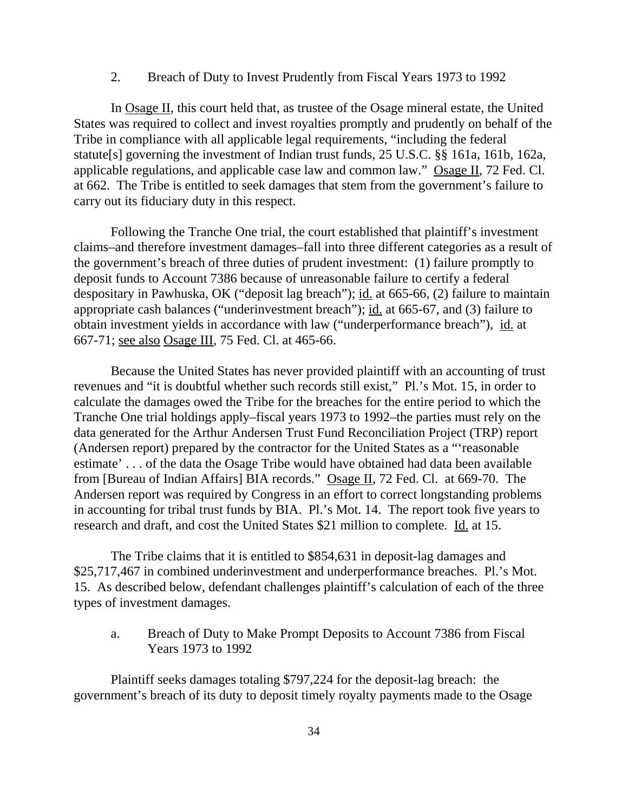## 2. Breach of Duty to Invest Prudently from Fiscal Years 1973 to 1992

In Osage II, this court held that, as trustee of the Osage mineral estate, the United States was required to collect and invest royalties promptly and prudently on behalf of the Tribe in compliance with all applicable legal requirements, "including the federal statute[s] governing the investment of Indian trust funds, 25 U.S.C. §§ 161a, 161b, 162a, applicable regulations, and applicable case law and common law." Osage II, 72 Fed. Cl. at 662. The Tribe is entitled to seek damages that stem from the government's failure to carry out its fiduciary duty in this respect.

Following the Tranche One trial, the court established that plaintiff's investment claims–and therefore investment damages–fall into three different categories as a result of the government's breach of three duties of prudent investment: (1) failure promptly to deposit funds to Account 7386 because of unreasonable failure to certify a federal despositary in Pawhuska, OK ("deposit lag breach"); id. at 665-66, (2) failure to maintain appropriate cash balances ("underinvestment breach"); id. at 665-67, and (3) failure to obtain investment yields in accordance with law ("underperformance breach"), id. at 667-71; see also Osage III, 75 Fed. Cl. at 465-66.

Because the United States has never provided plaintiff with an accounting of trust revenues and "it is doubtful whether such records still exist," Pl.'s Mot. 15, in order to calculate the damages owed the Tribe for the breaches for the entire period to which the Tranche One trial holdings apply–fiscal years 1973 to 1992–the parties must rely on the data generated for the Arthur Andersen Trust Fund Reconciliation Project (TRP) report (Andersen report) prepared by the contractor for the United States as a "'reasonable estimate' . . . of the data the Osage Tribe would have obtained had data been available from [Bureau of Indian Affairs] BIA records." Osage II, 72 Fed. Cl. at 669-70. The Andersen report was required by Congress in an effort to correct longstanding problems in accounting for tribal trust funds by BIA. Pl.'s Mot. 14. The report took five years to research and draft, and cost the United States \$21 million to complete. Id. at 15.

The Tribe claims that it is entitled to \$854,631 in deposit-lag damages and \$25,717,467 in combined underinvestment and underperformance breaches. Pl.'s Mot. 15. As described below, defendant challenges plaintiff's calculation of each of the three types of investment damages.

a. Breach of Duty to Make Prompt Deposits to Account 7386 from Fiscal Years 1973 to 1992

Plaintiff seeks damages totaling \$797,224 for the deposit-lag breach: the government's breach of its duty to deposit timely royalty payments made to the Osage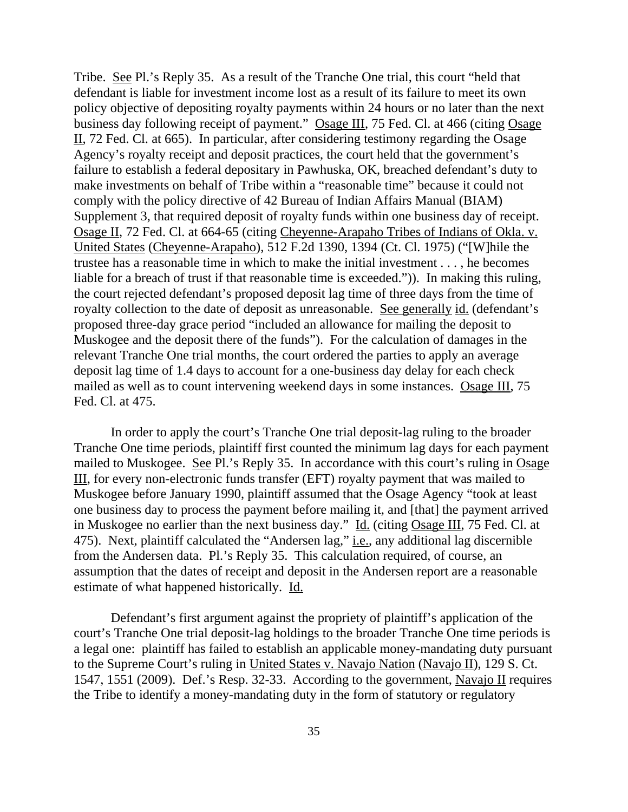Tribe. See Pl.'s Reply 35. As a result of the Tranche One trial, this court "held that defendant is liable for investment income lost as a result of its failure to meet its own policy objective of depositing royalty payments within 24 hours or no later than the next business day following receipt of payment." Osage III, 75 Fed. Cl. at 466 (citing Osage II, 72 Fed. Cl. at 665). In particular, after considering testimony regarding the Osage Agency's royalty receipt and deposit practices, the court held that the government's failure to establish a federal depositary in Pawhuska, OK, breached defendant's duty to make investments on behalf of Tribe within a "reasonable time" because it could not comply with the policy directive of 42 Bureau of Indian Affairs Manual (BIAM) Supplement 3, that required deposit of royalty funds within one business day of receipt. Osage II, 72 Fed. Cl. at 664-65 (citing Cheyenne-Arapaho Tribes of Indians of Okla. v. United States (Cheyenne-Arapaho), 512 F.2d 1390, 1394 (Ct. Cl. 1975) ("[W]hile the trustee has a reasonable time in which to make the initial investment . . . , he becomes liable for a breach of trust if that reasonable time is exceeded.")). In making this ruling, the court rejected defendant's proposed deposit lag time of three days from the time of royalty collection to the date of deposit as unreasonable. See generally id. (defendant's proposed three-day grace period "included an allowance for mailing the deposit to Muskogee and the deposit there of the funds"). For the calculation of damages in the relevant Tranche One trial months, the court ordered the parties to apply an average deposit lag time of 1.4 days to account for a one-business day delay for each check mailed as well as to count intervening weekend days in some instances. Osage III, 75 Fed. Cl. at 475.

In order to apply the court's Tranche One trial deposit-lag ruling to the broader Tranche One time periods, plaintiff first counted the minimum lag days for each payment mailed to Muskogee. See Pl.'s Reply 35. In accordance with this court's ruling in Osage III, for every non-electronic funds transfer (EFT) royalty payment that was mailed to Muskogee before January 1990, plaintiff assumed that the Osage Agency "took at least one business day to process the payment before mailing it, and [that] the payment arrived in Muskogee no earlier than the next business day." Id. (citing Osage III, 75 Fed. Cl. at 475). Next, plaintiff calculated the "Andersen lag," *i.e.*, any additional lag discernible from the Andersen data. Pl.'s Reply 35. This calculation required, of course, an assumption that the dates of receipt and deposit in the Andersen report are a reasonable estimate of what happened historically. Id.

Defendant's first argument against the propriety of plaintiff's application of the court's Tranche One trial deposit-lag holdings to the broader Tranche One time periods is a legal one: plaintiff has failed to establish an applicable money-mandating duty pursuant to the Supreme Court's ruling in United States v. Navajo Nation (Navajo II), 129 S. Ct. 1547, 1551 (2009). Def.'s Resp. 32-33. According to the government, Navajo II requires the Tribe to identify a money-mandating duty in the form of statutory or regulatory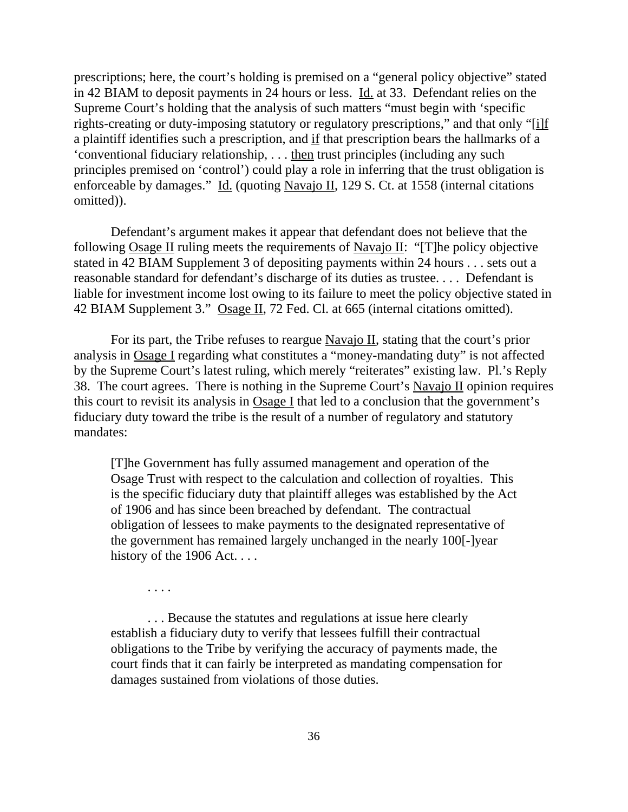prescriptions; here, the court's holding is premised on a "general policy objective" stated in 42 BIAM to deposit payments in 24 hours or less. Id. at 33. Defendant relies on the Supreme Court's holding that the analysis of such matters "must begin with 'specific rights-creating or duty-imposing statutory or regulatory prescriptions," and that only "[i]f a plaintiff identifies such a prescription, and if that prescription bears the hallmarks of a 'conventional fiduciary relationship, . . . then trust principles (including any such principles premised on 'control') could play a role in inferring that the trust obligation is enforceable by damages." Id. (quoting Navajo II, 129 S. Ct. at 1558 (internal citations omitted)).

Defendant's argument makes it appear that defendant does not believe that the following Osage II ruling meets the requirements of Navajo II: "[T]he policy objective stated in 42 BIAM Supplement 3 of depositing payments within 24 hours . . . sets out a reasonable standard for defendant's discharge of its duties as trustee. . . . Defendant is liable for investment income lost owing to its failure to meet the policy objective stated in 42 BIAM Supplement 3." Osage II, 72 Fed. Cl. at 665 (internal citations omitted).

For its part, the Tribe refuses to reargue Navajo II, stating that the court's prior analysis in Osage I regarding what constitutes a "money-mandating duty" is not affected by the Supreme Court's latest ruling, which merely "reiterates" existing law. Pl.'s Reply 38. The court agrees. There is nothing in the Supreme Court's Navajo II opinion requires this court to revisit its analysis in Osage I that led to a conclusion that the government's fiduciary duty toward the tribe is the result of a number of regulatory and statutory mandates:

[T]he Government has fully assumed management and operation of the Osage Trust with respect to the calculation and collection of royalties. This is the specific fiduciary duty that plaintiff alleges was established by the Act of 1906 and has since been breached by defendant. The contractual obligation of lessees to make payments to the designated representative of the government has remained largely unchanged in the nearly 100[-]year history of the 1906 Act....

. . . .

. . . Because the statutes and regulations at issue here clearly establish a fiduciary duty to verify that lessees fulfill their contractual obligations to the Tribe by verifying the accuracy of payments made, the court finds that it can fairly be interpreted as mandating compensation for damages sustained from violations of those duties.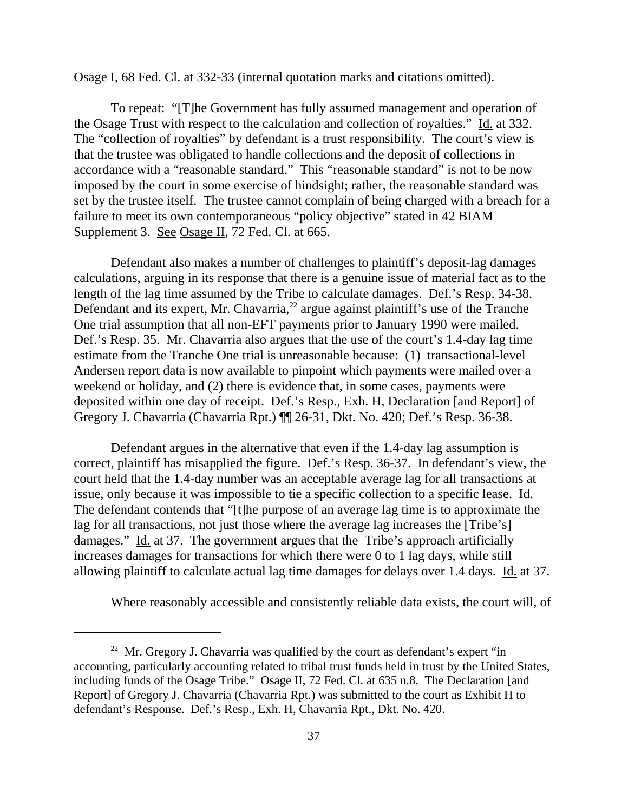Osage I, 68 Fed. Cl. at 332-33 (internal quotation marks and citations omitted).

To repeat: "[T]he Government has fully assumed management and operation of the Osage Trust with respect to the calculation and collection of royalties." Id. at 332. The "collection of royalties" by defendant is a trust responsibility. The court's view is that the trustee was obligated to handle collections and the deposit of collections in accordance with a "reasonable standard." This "reasonable standard" is not to be now imposed by the court in some exercise of hindsight; rather, the reasonable standard was set by the trustee itself. The trustee cannot complain of being charged with a breach for a failure to meet its own contemporaneous "policy objective" stated in 42 BIAM Supplement 3. See Osage II, 72 Fed. Cl. at 665.

Defendant also makes a number of challenges to plaintiff's deposit-lag damages calculations, arguing in its response that there is a genuine issue of material fact as to the length of the lag time assumed by the Tribe to calculate damages. Def.'s Resp. 34-38. Defendant and its expert, Mr. Chavarria, $^{22}$  argue against plaintiff's use of the Tranche One trial assumption that all non-EFT payments prior to January 1990 were mailed. Def.'s Resp. 35. Mr. Chavarria also argues that the use of the court's 1.4-day lag time estimate from the Tranche One trial is unreasonable because: (1) transactional-level Andersen report data is now available to pinpoint which payments were mailed over a weekend or holiday, and (2) there is evidence that, in some cases, payments were deposited within one day of receipt. Def.'s Resp., Exh. H, Declaration [and Report] of Gregory J. Chavarria (Chavarria Rpt.) ¶¶ 26-31, Dkt. No. 420; Def.'s Resp. 36-38.

Defendant argues in the alternative that even if the 1.4-day lag assumption is correct, plaintiff has misapplied the figure. Def.'s Resp. 36-37. In defendant's view, the court held that the 1.4-day number was an acceptable average lag for all transactions at issue, only because it was impossible to tie a specific collection to a specific lease. Id. The defendant contends that "[t]he purpose of an average lag time is to approximate the lag for all transactions, not just those where the average lag increases the [Tribe's] damages." Id. at 37. The government argues that the Tribe's approach artificially increases damages for transactions for which there were 0 to 1 lag days, while still allowing plaintiff to calculate actual lag time damages for delays over 1.4 days. Id. at 37.

Where reasonably accessible and consistently reliable data exists, the court will, of

<sup>&</sup>lt;sup>22</sup> Mr. Gregory J. Chavarria was qualified by the court as defendant's expert "in" accounting, particularly accounting related to tribal trust funds held in trust by the United States, including funds of the Osage Tribe." Osage II, 72 Fed. Cl. at 635 n.8. The Declaration [and Report] of Gregory J. Chavarria (Chavarria Rpt.) was submitted to the court as Exhibit H to defendant's Response. Def.'s Resp., Exh. H, Chavarria Rpt., Dkt. No. 420.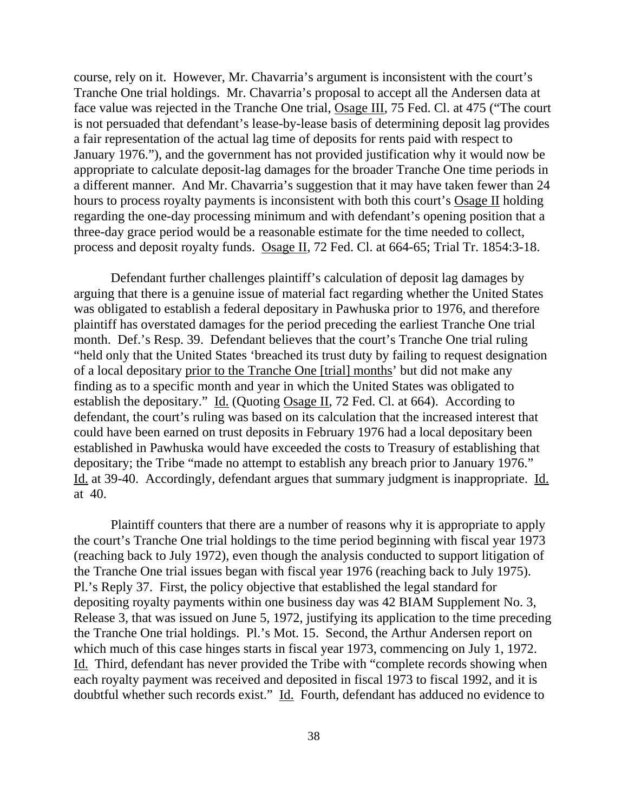course, rely on it. However, Mr. Chavarria's argument is inconsistent with the court's Tranche One trial holdings. Mr. Chavarria's proposal to accept all the Andersen data at face value was rejected in the Tranche One trial, Osage III, 75 Fed. Cl. at 475 ("The court is not persuaded that defendant's lease-by-lease basis of determining deposit lag provides a fair representation of the actual lag time of deposits for rents paid with respect to January 1976."), and the government has not provided justification why it would now be appropriate to calculate deposit-lag damages for the broader Tranche One time periods in a different manner. And Mr. Chavarria's suggestion that it may have taken fewer than 24 hours to process royalty payments is inconsistent with both this court's Osage II holding regarding the one-day processing minimum and with defendant's opening position that a three-day grace period would be a reasonable estimate for the time needed to collect, process and deposit royalty funds. Osage II, 72 Fed. Cl. at 664-65; Trial Tr. 1854:3-18.

Defendant further challenges plaintiff's calculation of deposit lag damages by arguing that there is a genuine issue of material fact regarding whether the United States was obligated to establish a federal depositary in Pawhuska prior to 1976, and therefore plaintiff has overstated damages for the period preceding the earliest Tranche One trial month. Def.'s Resp. 39. Defendant believes that the court's Tranche One trial ruling "held only that the United States 'breached its trust duty by failing to request designation of a local depositary prior to the Tranche One [trial] months' but did not make any finding as to a specific month and year in which the United States was obligated to establish the depositary." Id. (Quoting Osage II, 72 Fed. Cl. at 664). According to defendant, the court's ruling was based on its calculation that the increased interest that could have been earned on trust deposits in February 1976 had a local depositary been established in Pawhuska would have exceeded the costs to Treasury of establishing that depositary; the Tribe "made no attempt to establish any breach prior to January 1976." Id. at 39-40. Accordingly, defendant argues that summary judgment is inappropriate. Id. at 40.

Plaintiff counters that there are a number of reasons why it is appropriate to apply the court's Tranche One trial holdings to the time period beginning with fiscal year 1973 (reaching back to July 1972), even though the analysis conducted to support litigation of the Tranche One trial issues began with fiscal year 1976 (reaching back to July 1975). Pl.'s Reply 37. First, the policy objective that established the legal standard for depositing royalty payments within one business day was 42 BIAM Supplement No. 3, Release 3, that was issued on June 5, 1972, justifying its application to the time preceding the Tranche One trial holdings. Pl.'s Mot. 15. Second, the Arthur Andersen report on which much of this case hinges starts in fiscal year 1973, commencing on July 1, 1972. Id. Third, defendant has never provided the Tribe with "complete records showing when each royalty payment was received and deposited in fiscal 1973 to fiscal 1992, and it is doubtful whether such records exist." Id. Fourth, defendant has adduced no evidence to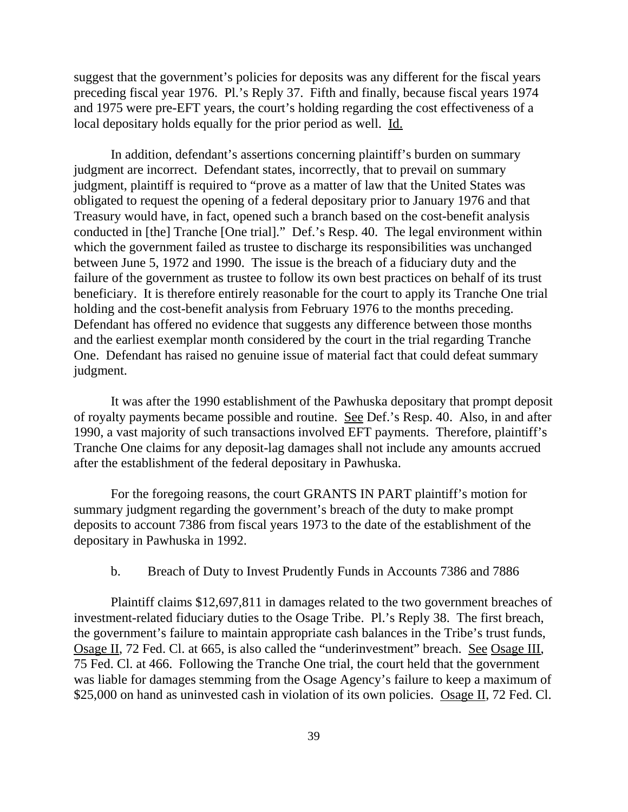suggest that the government's policies for deposits was any different for the fiscal years preceding fiscal year 1976. Pl.'s Reply 37. Fifth and finally, because fiscal years 1974 and 1975 were pre-EFT years, the court's holding regarding the cost effectiveness of a local depositary holds equally for the prior period as well. Id.

In addition, defendant's assertions concerning plaintiff's burden on summary judgment are incorrect. Defendant states, incorrectly, that to prevail on summary judgment, plaintiff is required to "prove as a matter of law that the United States was obligated to request the opening of a federal depositary prior to January 1976 and that Treasury would have, in fact, opened such a branch based on the cost-benefit analysis conducted in [the] Tranche [One trial]." Def.'s Resp. 40. The legal environment within which the government failed as trustee to discharge its responsibilities was unchanged between June 5, 1972 and 1990. The issue is the breach of a fiduciary duty and the failure of the government as trustee to follow its own best practices on behalf of its trust beneficiary. It is therefore entirely reasonable for the court to apply its Tranche One trial holding and the cost-benefit analysis from February 1976 to the months preceding. Defendant has offered no evidence that suggests any difference between those months and the earliest exemplar month considered by the court in the trial regarding Tranche One. Defendant has raised no genuine issue of material fact that could defeat summary judgment.

It was after the 1990 establishment of the Pawhuska depositary that prompt deposit of royalty payments became possible and routine. See Def.'s Resp. 40. Also, in and after 1990, a vast majority of such transactions involved EFT payments. Therefore, plaintiff's Tranche One claims for any deposit-lag damages shall not include any amounts accrued after the establishment of the federal depositary in Pawhuska.

For the foregoing reasons, the court GRANTS IN PART plaintiff's motion for summary judgment regarding the government's breach of the duty to make prompt deposits to account 7386 from fiscal years 1973 to the date of the establishment of the depositary in Pawhuska in 1992.

## b. Breach of Duty to Invest Prudently Funds in Accounts 7386 and 7886

Plaintiff claims \$12,697,811 in damages related to the two government breaches of investment-related fiduciary duties to the Osage Tribe. Pl.'s Reply 38. The first breach, the government's failure to maintain appropriate cash balances in the Tribe's trust funds, Osage II, 72 Fed. Cl. at 665, is also called the "underinvestment" breach. See Osage III, 75 Fed. Cl. at 466. Following the Tranche One trial, the court held that the government was liable for damages stemming from the Osage Agency's failure to keep a maximum of \$25,000 on hand as uninvested cash in violation of its own policies. Osage II, 72 Fed. Cl.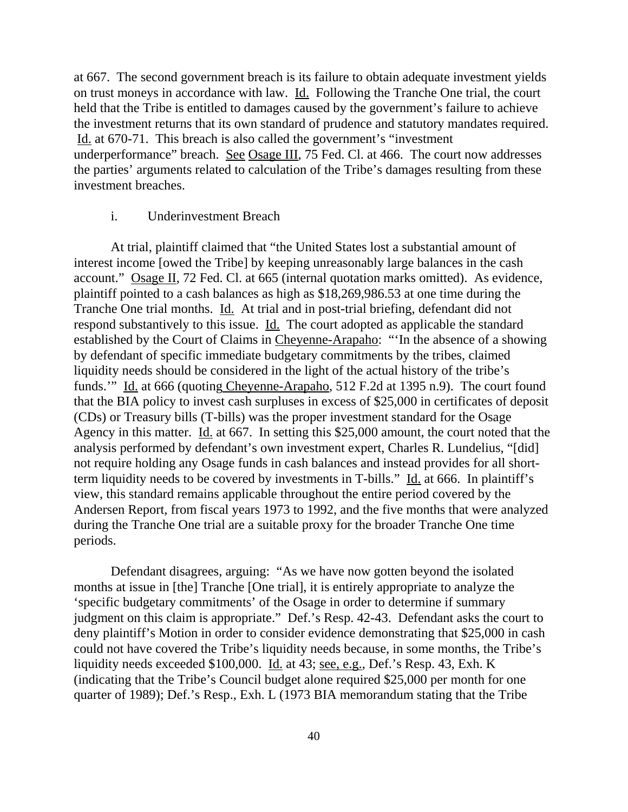at 667. The second government breach is its failure to obtain adequate investment yields on trust moneys in accordance with law. Id. Following the Tranche One trial, the court held that the Tribe is entitled to damages caused by the government's failure to achieve the investment returns that its own standard of prudence and statutory mandates required. Id. at 670-71. This breach is also called the government's "investment underperformance" breach. See Osage III, 75 Fed. Cl. at 466. The court now addresses the parties' arguments related to calculation of the Tribe's damages resulting from these investment breaches.

## i. Underinvestment Breach

At trial, plaintiff claimed that "the United States lost a substantial amount of interest income [owed the Tribe] by keeping unreasonably large balances in the cash account." Osage II, 72 Fed. Cl. at 665 (internal quotation marks omitted). As evidence, plaintiff pointed to a cash balances as high as \$18,269,986.53 at one time during the Tranche One trial months. Id. At trial and in post-trial briefing, defendant did not respond substantively to this issue. Id. The court adopted as applicable the standard established by the Court of Claims in Cheyenne-Arapaho: "'In the absence of a showing by defendant of specific immediate budgetary commitments by the tribes, claimed liquidity needs should be considered in the light of the actual history of the tribe's funds.'" Id. at 666 (quoting Cheyenne-Arapaho, 512 F.2d at 1395 n.9). The court found that the BIA policy to invest cash surpluses in excess of \$25,000 in certificates of deposit (CDs) or Treasury bills (T-bills) was the proper investment standard for the Osage Agency in this matter. Id. at 667. In setting this \$25,000 amount, the court noted that the analysis performed by defendant's own investment expert, Charles R. Lundelius, "[did] not require holding any Osage funds in cash balances and instead provides for all shortterm liquidity needs to be covered by investments in T-bills."  $\underline{Id}$  at 666. In plaintiff's view, this standard remains applicable throughout the entire period covered by the Andersen Report, from fiscal years 1973 to 1992, and the five months that were analyzed during the Tranche One trial are a suitable proxy for the broader Tranche One time periods.

Defendant disagrees, arguing: "As we have now gotten beyond the isolated months at issue in [the] Tranche [One trial], it is entirely appropriate to analyze the 'specific budgetary commitments' of the Osage in order to determine if summary judgment on this claim is appropriate." Def.'s Resp. 42-43. Defendant asks the court to deny plaintiff's Motion in order to consider evidence demonstrating that \$25,000 in cash could not have covered the Tribe's liquidity needs because, in some months, the Tribe's liquidity needs exceeded \$100,000. Id. at 43; see, e.g., Def.'s Resp. 43, Exh. K (indicating that the Tribe's Council budget alone required \$25,000 per month for one quarter of 1989); Def.'s Resp., Exh. L (1973 BIA memorandum stating that the Tribe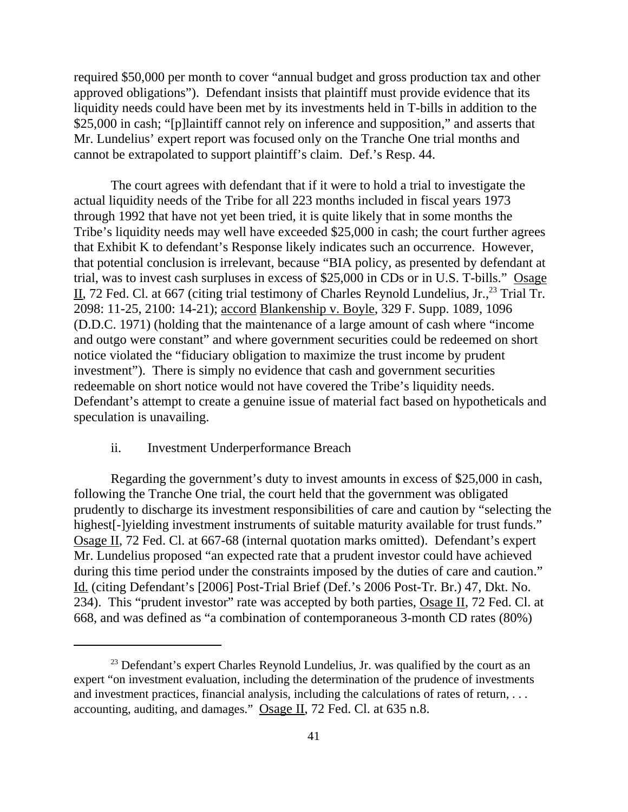required \$50,000 per month to cover "annual budget and gross production tax and other approved obligations"). Defendant insists that plaintiff must provide evidence that its liquidity needs could have been met by its investments held in T-bills in addition to the \$25,000 in cash; "[p]laintiff cannot rely on inference and supposition," and asserts that Mr. Lundelius' expert report was focused only on the Tranche One trial months and cannot be extrapolated to support plaintiff's claim. Def.'s Resp. 44.

The court agrees with defendant that if it were to hold a trial to investigate the actual liquidity needs of the Tribe for all 223 months included in fiscal years 1973 through 1992 that have not yet been tried, it is quite likely that in some months the Tribe's liquidity needs may well have exceeded \$25,000 in cash; the court further agrees that Exhibit K to defendant's Response likely indicates such an occurrence. However, that potential conclusion is irrelevant, because "BIA policy, as presented by defendant at trial, was to invest cash surpluses in excess of \$25,000 in CDs or in U.S. T-bills." Osage II, 72 Fed. Cl. at 667 (citing trial testimony of Charles Reynold Lundelius, Jr., <sup>23</sup> Trial Tr. 2098: 11-25, 2100: 14-21); accord Blankenship v. Boyle, 329 F. Supp. 1089, 1096 (D.D.C. 1971) (holding that the maintenance of a large amount of cash where "income and outgo were constant" and where government securities could be redeemed on short notice violated the "fiduciary obligation to maximize the trust income by prudent investment"). There is simply no evidence that cash and government securities redeemable on short notice would not have covered the Tribe's liquidity needs. Defendant's attempt to create a genuine issue of material fact based on hypotheticals and speculation is unavailing.

## ii. Investment Underperformance Breach

Regarding the government's duty to invest amounts in excess of \$25,000 in cash, following the Tranche One trial, the court held that the government was obligated prudently to discharge its investment responsibilities of care and caution by "selecting the highest[-]yielding investment instruments of suitable maturity available for trust funds." Osage II, 72 Fed. Cl. at 667-68 (internal quotation marks omitted). Defendant's expert Mr. Lundelius proposed "an expected rate that a prudent investor could have achieved during this time period under the constraints imposed by the duties of care and caution." Id. (citing Defendant's [2006] Post-Trial Brief (Def.'s 2006 Post-Tr. Br.) 47, Dkt. No. 234). This "prudent investor" rate was accepted by both parties, Osage II, 72 Fed. Cl. at 668, and was defined as "a combination of contemporaneous 3-month CD rates (80%)

 $23$  Defendant's expert Charles Reynold Lundelius, Jr. was qualified by the court as an expert "on investment evaluation, including the determination of the prudence of investments and investment practices, financial analysis, including the calculations of rates of return, . . . accounting, auditing, and damages." Osage II, 72 Fed. Cl. at 635 n.8.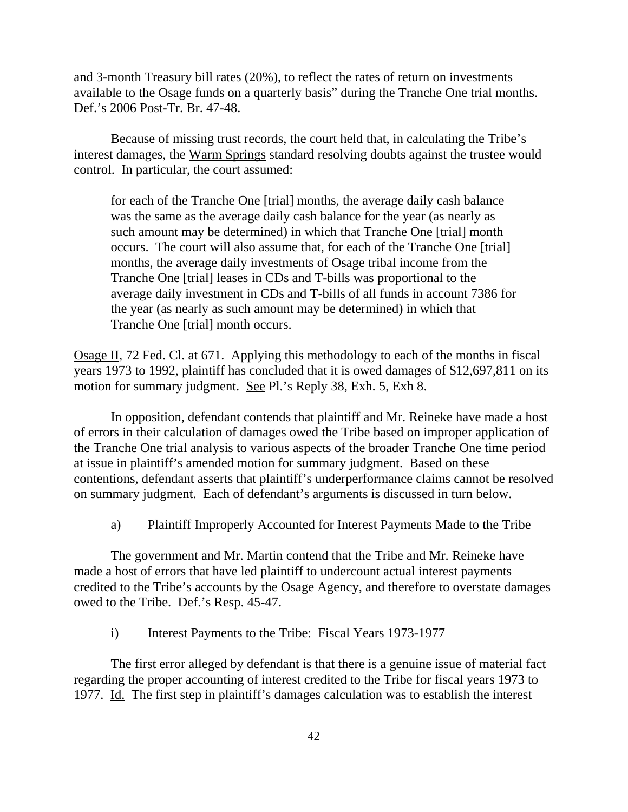and 3-month Treasury bill rates (20%), to reflect the rates of return on investments available to the Osage funds on a quarterly basis" during the Tranche One trial months. Def.'s 2006 Post-Tr. Br. 47-48.

Because of missing trust records, the court held that, in calculating the Tribe's interest damages, the Warm Springs standard resolving doubts against the trustee would control. In particular, the court assumed:

for each of the Tranche One [trial] months, the average daily cash balance was the same as the average daily cash balance for the year (as nearly as such amount may be determined) in which that Tranche One [trial] month occurs. The court will also assume that, for each of the Tranche One [trial] months, the average daily investments of Osage tribal income from the Tranche One [trial] leases in CDs and T-bills was proportional to the average daily investment in CDs and T-bills of all funds in account 7386 for the year (as nearly as such amount may be determined) in which that Tranche One [trial] month occurs.

Osage II, 72 Fed. Cl. at 671. Applying this methodology to each of the months in fiscal years 1973 to 1992, plaintiff has concluded that it is owed damages of \$12,697,811 on its motion for summary judgment. See Pl.'s Reply 38, Exh. 5, Exh 8.

In opposition, defendant contends that plaintiff and Mr. Reineke have made a host of errors in their calculation of damages owed the Tribe based on improper application of the Tranche One trial analysis to various aspects of the broader Tranche One time period at issue in plaintiff's amended motion for summary judgment. Based on these contentions, defendant asserts that plaintiff's underperformance claims cannot be resolved on summary judgment. Each of defendant's arguments is discussed in turn below.

a) Plaintiff Improperly Accounted for Interest Payments Made to the Tribe

The government and Mr. Martin contend that the Tribe and Mr. Reineke have made a host of errors that have led plaintiff to undercount actual interest payments credited to the Tribe's accounts by the Osage Agency, and therefore to overstate damages owed to the Tribe. Def.'s Resp. 45-47.

i) Interest Payments to the Tribe: Fiscal Years 1973-1977

The first error alleged by defendant is that there is a genuine issue of material fact regarding the proper accounting of interest credited to the Tribe for fiscal years 1973 to 1977. Id. The first step in plaintiff's damages calculation was to establish the interest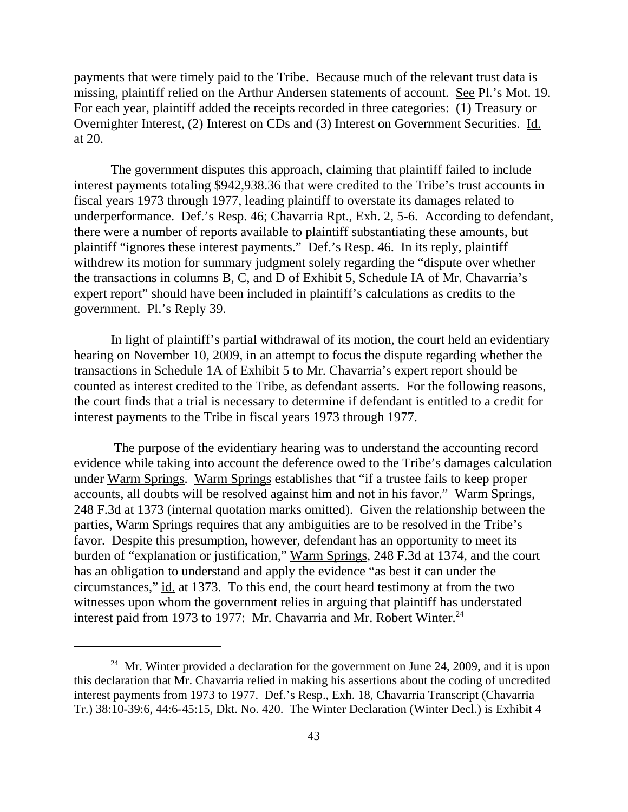payments that were timely paid to the Tribe. Because much of the relevant trust data is missing, plaintiff relied on the Arthur Andersen statements of account. See Pl.'s Mot. 19. For each year, plaintiff added the receipts recorded in three categories: (1) Treasury or Overnighter Interest, (2) Interest on CDs and (3) Interest on Government Securities. Id. at 20.

The government disputes this approach, claiming that plaintiff failed to include interest payments totaling \$942,938.36 that were credited to the Tribe's trust accounts in fiscal years 1973 through 1977, leading plaintiff to overstate its damages related to underperformance. Def.'s Resp. 46; Chavarria Rpt., Exh. 2, 5-6. According to defendant, there were a number of reports available to plaintiff substantiating these amounts, but plaintiff "ignores these interest payments." Def.'s Resp. 46. In its reply, plaintiff withdrew its motion for summary judgment solely regarding the "dispute over whether the transactions in columns B, C, and D of Exhibit 5, Schedule IA of Mr. Chavarria's expert report" should have been included in plaintiff's calculations as credits to the government. Pl.'s Reply 39.

In light of plaintiff's partial withdrawal of its motion, the court held an evidentiary hearing on November 10, 2009, in an attempt to focus the dispute regarding whether the transactions in Schedule 1A of Exhibit 5 to Mr. Chavarria's expert report should be counted as interest credited to the Tribe, as defendant asserts. For the following reasons, the court finds that a trial is necessary to determine if defendant is entitled to a credit for interest payments to the Tribe in fiscal years 1973 through 1977.

 The purpose of the evidentiary hearing was to understand the accounting record evidence while taking into account the deference owed to the Tribe's damages calculation under Warm Springs. Warm Springs establishes that "if a trustee fails to keep proper accounts, all doubts will be resolved against him and not in his favor." Warm Springs, 248 F.3d at 1373 (internal quotation marks omitted). Given the relationship between the parties, Warm Springs requires that any ambiguities are to be resolved in the Tribe's favor. Despite this presumption, however, defendant has an opportunity to meet its burden of "explanation or justification," Warm Springs, 248 F.3d at 1374, and the court has an obligation to understand and apply the evidence "as best it can under the circumstances," id. at 1373. To this end, the court heard testimony at from the two witnesses upon whom the government relies in arguing that plaintiff has understated interest paid from 1973 to 1977: Mr. Chavarria and Mr. Robert Winter.<sup>24</sup>

<sup>&</sup>lt;sup>24</sup> Mr. Winter provided a declaration for the government on June 24, 2009, and it is upon this declaration that Mr. Chavarria relied in making his assertions about the coding of uncredited interest payments from 1973 to 1977. Def.'s Resp., Exh. 18, Chavarria Transcript (Chavarria Tr.) 38:10-39:6, 44:6-45:15, Dkt. No. 420. The Winter Declaration (Winter Decl.) is Exhibit 4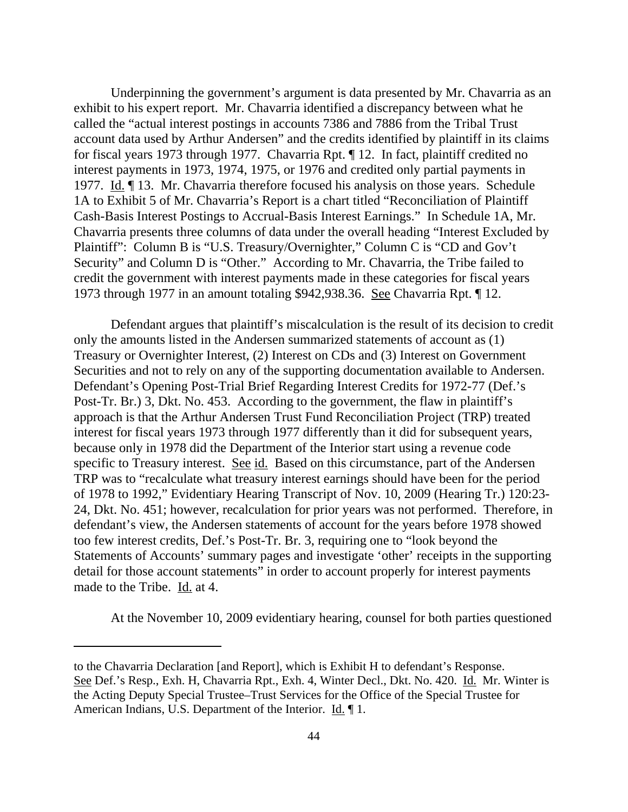Underpinning the government's argument is data presented by Mr. Chavarria as an exhibit to his expert report. Mr. Chavarria identified a discrepancy between what he called the "actual interest postings in accounts 7386 and 7886 from the Tribal Trust account data used by Arthur Andersen" and the credits identified by plaintiff in its claims for fiscal years 1973 through 1977. Chavarria Rpt. ¶ 12. In fact, plaintiff credited no interest payments in 1973, 1974, 1975, or 1976 and credited only partial payments in 1977. Id. ¶ 13. Mr. Chavarria therefore focused his analysis on those years. Schedule 1A to Exhibit 5 of Mr. Chavarria's Report is a chart titled "Reconciliation of Plaintiff Cash-Basis Interest Postings to Accrual-Basis Interest Earnings." In Schedule 1A, Mr. Chavarria presents three columns of data under the overall heading "Interest Excluded by Plaintiff": Column B is "U.S. Treasury/Overnighter," Column C is "CD and Gov't Security" and Column D is "Other." According to Mr. Chavarria, the Tribe failed to credit the government with interest payments made in these categories for fiscal years 1973 through 1977 in an amount totaling \$942,938.36. See Chavarria Rpt. ¶ 12.

Defendant argues that plaintiff's miscalculation is the result of its decision to credit only the amounts listed in the Andersen summarized statements of account as (1) Treasury or Overnighter Interest, (2) Interest on CDs and (3) Interest on Government Securities and not to rely on any of the supporting documentation available to Andersen. Defendant's Opening Post-Trial Brief Regarding Interest Credits for 1972-77 (Def.'s Post-Tr. Br.) 3, Dkt. No. 453. According to the government, the flaw in plaintiff's approach is that the Arthur Andersen Trust Fund Reconciliation Project (TRP) treated interest for fiscal years 1973 through 1977 differently than it did for subsequent years, because only in 1978 did the Department of the Interior start using a revenue code specific to Treasury interest. See id. Based on this circumstance, part of the Andersen TRP was to "recalculate what treasury interest earnings should have been for the period of 1978 to 1992," Evidentiary Hearing Transcript of Nov. 10, 2009 (Hearing Tr.) 120:23- 24, Dkt. No. 451; however, recalculation for prior years was not performed. Therefore, in defendant's view, the Andersen statements of account for the years before 1978 showed too few interest credits, Def.'s Post-Tr. Br. 3, requiring one to "look beyond the Statements of Accounts' summary pages and investigate 'other' receipts in the supporting detail for those account statements" in order to account properly for interest payments made to the Tribe. Id. at 4.

At the November 10, 2009 evidentiary hearing, counsel for both parties questioned

to the Chavarria Declaration [and Report], which is Exhibit H to defendant's Response. See Def.'s Resp., Exh. H, Chavarria Rpt., Exh. 4, Winter Decl., Dkt. No. 420. Id. Mr. Winter is the Acting Deputy Special Trustee–Trust Services for the Office of the Special Trustee for American Indians, U.S. Department of the Interior. Id. 1.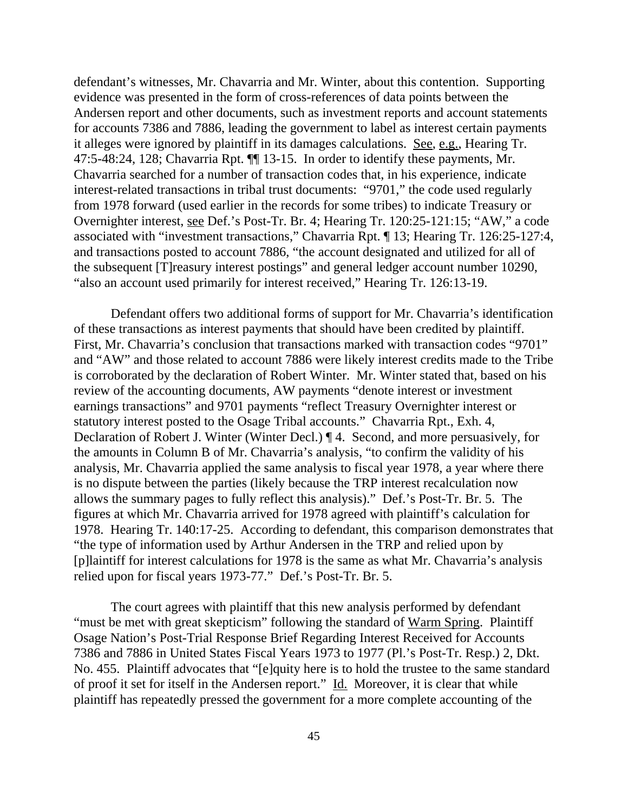defendant's witnesses, Mr. Chavarria and Mr. Winter, about this contention. Supporting evidence was presented in the form of cross-references of data points between the Andersen report and other documents, such as investment reports and account statements for accounts 7386 and 7886, leading the government to label as interest certain payments it alleges were ignored by plaintiff in its damages calculations. See, e.g., Hearing Tr. 47:5-48:24, 128; Chavarria Rpt. ¶¶ 13-15. In order to identify these payments, Mr. Chavarria searched for a number of transaction codes that, in his experience, indicate interest-related transactions in tribal trust documents: "9701," the code used regularly from 1978 forward (used earlier in the records for some tribes) to indicate Treasury or Overnighter interest, see Def.'s Post-Tr. Br. 4; Hearing Tr. 120:25-121:15; "AW," a code associated with "investment transactions," Chavarria Rpt. ¶ 13; Hearing Tr. 126:25-127:4, and transactions posted to account 7886, "the account designated and utilized for all of the subsequent [T]reasury interest postings" and general ledger account number 10290, "also an account used primarily for interest received," Hearing Tr. 126:13-19.

Defendant offers two additional forms of support for Mr. Chavarria's identification of these transactions as interest payments that should have been credited by plaintiff. First, Mr. Chavarria's conclusion that transactions marked with transaction codes "9701" and "AW" and those related to account 7886 were likely interest credits made to the Tribe is corroborated by the declaration of Robert Winter. Mr. Winter stated that, based on his review of the accounting documents, AW payments "denote interest or investment earnings transactions" and 9701 payments "reflect Treasury Overnighter interest or statutory interest posted to the Osage Tribal accounts." Chavarria Rpt., Exh. 4, Declaration of Robert J. Winter (Winter Decl.) ¶ 4. Second, and more persuasively, for the amounts in Column B of Mr. Chavarria's analysis, "to confirm the validity of his analysis, Mr. Chavarria applied the same analysis to fiscal year 1978, a year where there is no dispute between the parties (likely because the TRP interest recalculation now allows the summary pages to fully reflect this analysis)." Def.'s Post-Tr. Br. 5. The figures at which Mr. Chavarria arrived for 1978 agreed with plaintiff's calculation for 1978. Hearing Tr. 140:17-25. According to defendant, this comparison demonstrates that "the type of information used by Arthur Andersen in the TRP and relied upon by [p]laintiff for interest calculations for 1978 is the same as what Mr. Chavarria's analysis relied upon for fiscal years 1973-77." Def.'s Post-Tr. Br. 5.

The court agrees with plaintiff that this new analysis performed by defendant "must be met with great skepticism" following the standard of Warm Spring. Plaintiff Osage Nation's Post-Trial Response Brief Regarding Interest Received for Accounts 7386 and 7886 in United States Fiscal Years 1973 to 1977 (Pl.'s Post-Tr. Resp.) 2, Dkt. No. 455. Plaintiff advocates that "[e]quity here is to hold the trustee to the same standard of proof it set for itself in the Andersen report." Id. Moreover, it is clear that while plaintiff has repeatedly pressed the government for a more complete accounting of the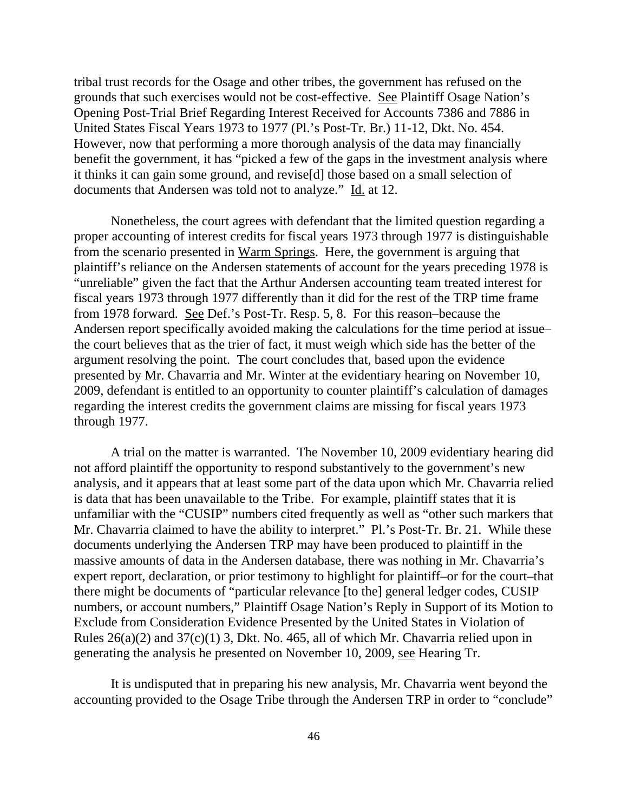tribal trust records for the Osage and other tribes, the government has refused on the grounds that such exercises would not be cost-effective. See Plaintiff Osage Nation's Opening Post-Trial Brief Regarding Interest Received for Accounts 7386 and 7886 in United States Fiscal Years 1973 to 1977 (Pl.'s Post-Tr. Br.) 11-12, Dkt. No. 454. However, now that performing a more thorough analysis of the data may financially benefit the government, it has "picked a few of the gaps in the investment analysis where it thinks it can gain some ground, and revise[d] those based on a small selection of documents that Andersen was told not to analyze." Id. at 12.

 Nonetheless, the court agrees with defendant that the limited question regarding a proper accounting of interest credits for fiscal years 1973 through 1977 is distinguishable from the scenario presented in Warm Springs. Here, the government is arguing that plaintiff's reliance on the Andersen statements of account for the years preceding 1978 is "unreliable" given the fact that the Arthur Andersen accounting team treated interest for fiscal years 1973 through 1977 differently than it did for the rest of the TRP time frame from 1978 forward. See Def.'s Post-Tr. Resp. 5, 8. For this reason–because the Andersen report specifically avoided making the calculations for the time period at issue– the court believes that as the trier of fact, it must weigh which side has the better of the argument resolving the point. The court concludes that, based upon the evidence presented by Mr. Chavarria and Mr. Winter at the evidentiary hearing on November 10, 2009, defendant is entitled to an opportunity to counter plaintiff's calculation of damages regarding the interest credits the government claims are missing for fiscal years 1973 through 1977.

A trial on the matter is warranted. The November 10, 2009 evidentiary hearing did not afford plaintiff the opportunity to respond substantively to the government's new analysis, and it appears that at least some part of the data upon which Mr. Chavarria relied is data that has been unavailable to the Tribe. For example, plaintiff states that it is unfamiliar with the "CUSIP" numbers cited frequently as well as "other such markers that Mr. Chavarria claimed to have the ability to interpret." Pl.'s Post-Tr. Br. 21. While these documents underlying the Andersen TRP may have been produced to plaintiff in the massive amounts of data in the Andersen database, there was nothing in Mr. Chavarria's expert report, declaration, or prior testimony to highlight for plaintiff–or for the court–that there might be documents of "particular relevance [to the] general ledger codes, CUSIP numbers, or account numbers," Plaintiff Osage Nation's Reply in Support of its Motion to Exclude from Consideration Evidence Presented by the United States in Violation of Rules  $26(a)(2)$  and  $37(c)(1)$  3, Dkt. No. 465, all of which Mr. Chavarria relied upon in generating the analysis he presented on November 10, 2009, see Hearing Tr.

It is undisputed that in preparing his new analysis, Mr. Chavarria went beyond the accounting provided to the Osage Tribe through the Andersen TRP in order to "conclude"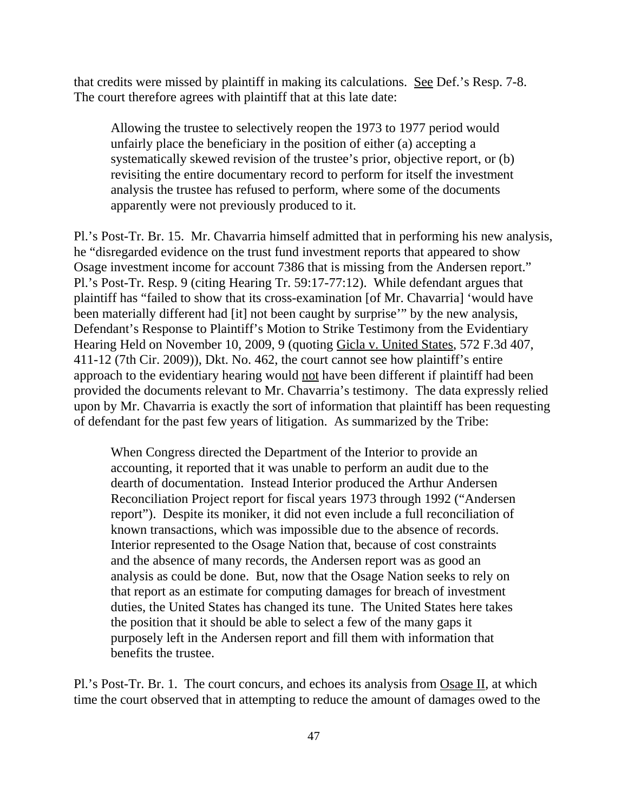that credits were missed by plaintiff in making its calculations. See Def.'s Resp. 7-8. The court therefore agrees with plaintiff that at this late date:

Allowing the trustee to selectively reopen the 1973 to 1977 period would unfairly place the beneficiary in the position of either (a) accepting a systematically skewed revision of the trustee's prior, objective report, or (b) revisiting the entire documentary record to perform for itself the investment analysis the trustee has refused to perform, where some of the documents apparently were not previously produced to it.

Pl.'s Post-Tr. Br. 15. Mr. Chavarria himself admitted that in performing his new analysis, he "disregarded evidence on the trust fund investment reports that appeared to show Osage investment income for account 7386 that is missing from the Andersen report." Pl.'s Post-Tr. Resp. 9 (citing Hearing Tr. 59:17-77:12). While defendant argues that plaintiff has "failed to show that its cross-examination [of Mr. Chavarria] 'would have been materially different had [it] not been caught by surprise'" by the new analysis, Defendant's Response to Plaintiff's Motion to Strike Testimony from the Evidentiary Hearing Held on November 10, 2009, 9 (quoting Gicla v. United States, 572 F.3d 407, 411-12 (7th Cir. 2009)), Dkt. No. 462, the court cannot see how plaintiff's entire approach to the evidentiary hearing would not have been different if plaintiff had been provided the documents relevant to Mr. Chavarria's testimony. The data expressly relied upon by Mr. Chavarria is exactly the sort of information that plaintiff has been requesting of defendant for the past few years of litigation. As summarized by the Tribe:

When Congress directed the Department of the Interior to provide an accounting, it reported that it was unable to perform an audit due to the dearth of documentation. Instead Interior produced the Arthur Andersen Reconciliation Project report for fiscal years 1973 through 1992 ("Andersen report"). Despite its moniker, it did not even include a full reconciliation of known transactions, which was impossible due to the absence of records. Interior represented to the Osage Nation that, because of cost constraints and the absence of many records, the Andersen report was as good an analysis as could be done. But, now that the Osage Nation seeks to rely on that report as an estimate for computing damages for breach of investment duties, the United States has changed its tune. The United States here takes the position that it should be able to select a few of the many gaps it purposely left in the Andersen report and fill them with information that benefits the trustee.

Pl.'s Post-Tr. Br. 1. The court concurs, and echoes its analysis from Osage II, at which time the court observed that in attempting to reduce the amount of damages owed to the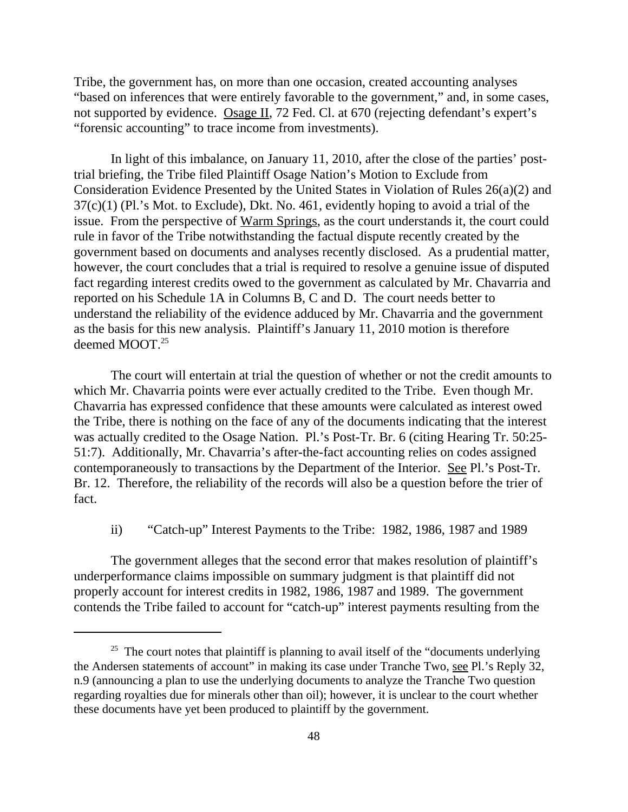Tribe, the government has, on more than one occasion, created accounting analyses "based on inferences that were entirely favorable to the government," and, in some cases, not supported by evidence. Osage II, 72 Fed. Cl. at 670 (rejecting defendant's expert's "forensic accounting" to trace income from investments).

In light of this imbalance, on January 11, 2010, after the close of the parties' posttrial briefing, the Tribe filed Plaintiff Osage Nation's Motion to Exclude from Consideration Evidence Presented by the United States in Violation of Rules 26(a)(2) and 37(c)(1) (Pl.'s Mot. to Exclude), Dkt. No. 461, evidently hoping to avoid a trial of the issue. From the perspective of Warm Springs, as the court understands it, the court could rule in favor of the Tribe notwithstanding the factual dispute recently created by the government based on documents and analyses recently disclosed. As a prudential matter, however, the court concludes that a trial is required to resolve a genuine issue of disputed fact regarding interest credits owed to the government as calculated by Mr. Chavarria and reported on his Schedule 1A in Columns B, C and D. The court needs better to understand the reliability of the evidence adduced by Mr. Chavarria and the government as the basis for this new analysis. Plaintiff's January 11, 2010 motion is therefore deemed MOOT.<sup>25</sup>

The court will entertain at trial the question of whether or not the credit amounts to which Mr. Chavarria points were ever actually credited to the Tribe. Even though Mr. Chavarria has expressed confidence that these amounts were calculated as interest owed the Tribe, there is nothing on the face of any of the documents indicating that the interest was actually credited to the Osage Nation. Pl.'s Post-Tr. Br. 6 (citing Hearing Tr. 50:25- 51:7). Additionally, Mr. Chavarria's after-the-fact accounting relies on codes assigned contemporaneously to transactions by the Department of the Interior. See Pl.'s Post-Tr. Br. 12. Therefore, the reliability of the records will also be a question before the trier of fact.

## ii) "Catch-up" Interest Payments to the Tribe: 1982, 1986, 1987 and 1989

The government alleges that the second error that makes resolution of plaintiff's underperformance claims impossible on summary judgment is that plaintiff did not properly account for interest credits in 1982, 1986, 1987 and 1989. The government contends the Tribe failed to account for "catch-up" interest payments resulting from the

 $25$  The court notes that plaintiff is planning to avail itself of the "documents underlying" the Andersen statements of account" in making its case under Tranche Two, see Pl.'s Reply 32, n.9 (announcing a plan to use the underlying documents to analyze the Tranche Two question regarding royalties due for minerals other than oil); however, it is unclear to the court whether these documents have yet been produced to plaintiff by the government.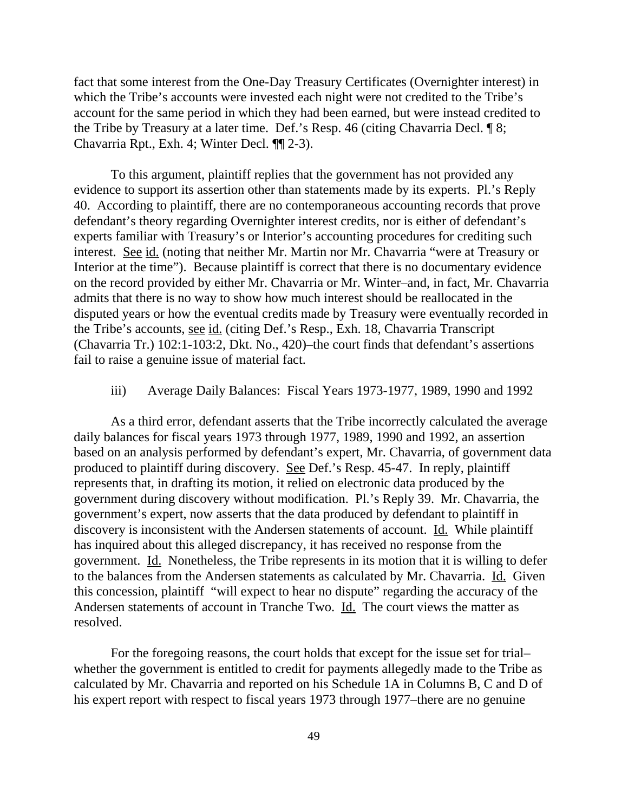fact that some interest from the One-Day Treasury Certificates (Overnighter interest) in which the Tribe's accounts were invested each night were not credited to the Tribe's account for the same period in which they had been earned, but were instead credited to the Tribe by Treasury at a later time. Def.'s Resp. 46 (citing Chavarria Decl. ¶ 8; Chavarria Rpt., Exh. 4; Winter Decl. ¶¶ 2-3).

To this argument, plaintiff replies that the government has not provided any evidence to support its assertion other than statements made by its experts. Pl.'s Reply 40. According to plaintiff, there are no contemporaneous accounting records that prove defendant's theory regarding Overnighter interest credits, nor is either of defendant's experts familiar with Treasury's or Interior's accounting procedures for crediting such interest. See id. (noting that neither Mr. Martin nor Mr. Chavarria "were at Treasury or Interior at the time"). Because plaintiff is correct that there is no documentary evidence on the record provided by either Mr. Chavarria or Mr. Winter–and, in fact, Mr. Chavarria admits that there is no way to show how much interest should be reallocated in the disputed years or how the eventual credits made by Treasury were eventually recorded in the Tribe's accounts, see id. (citing Def.'s Resp., Exh. 18, Chavarria Transcript (Chavarria Tr.) 102:1-103:2, Dkt. No., 420)–the court finds that defendant's assertions fail to raise a genuine issue of material fact.

## iii) Average Daily Balances: Fiscal Years 1973-1977, 1989, 1990 and 1992

As a third error, defendant asserts that the Tribe incorrectly calculated the average daily balances for fiscal years 1973 through 1977, 1989, 1990 and 1992, an assertion based on an analysis performed by defendant's expert, Mr. Chavarria, of government data produced to plaintiff during discovery. See Def.'s Resp. 45-47. In reply, plaintiff represents that, in drafting its motion, it relied on electronic data produced by the government during discovery without modification. Pl.'s Reply 39. Mr. Chavarria, the government's expert, now asserts that the data produced by defendant to plaintiff in discovery is inconsistent with the Andersen statements of account. Id. While plaintiff has inquired about this alleged discrepancy, it has received no response from the government. Id. Nonetheless, the Tribe represents in its motion that it is willing to defer to the balances from the Andersen statements as calculated by Mr. Chavarria. Id. Given this concession, plaintiff "will expect to hear no dispute" regarding the accuracy of the Andersen statements of account in Tranche Two. Id. The court views the matter as resolved.

For the foregoing reasons, the court holds that except for the issue set for trial– whether the government is entitled to credit for payments allegedly made to the Tribe as calculated by Mr. Chavarria and reported on his Schedule 1A in Columns B, C and D of his expert report with respect to fiscal years 1973 through 1977–there are no genuine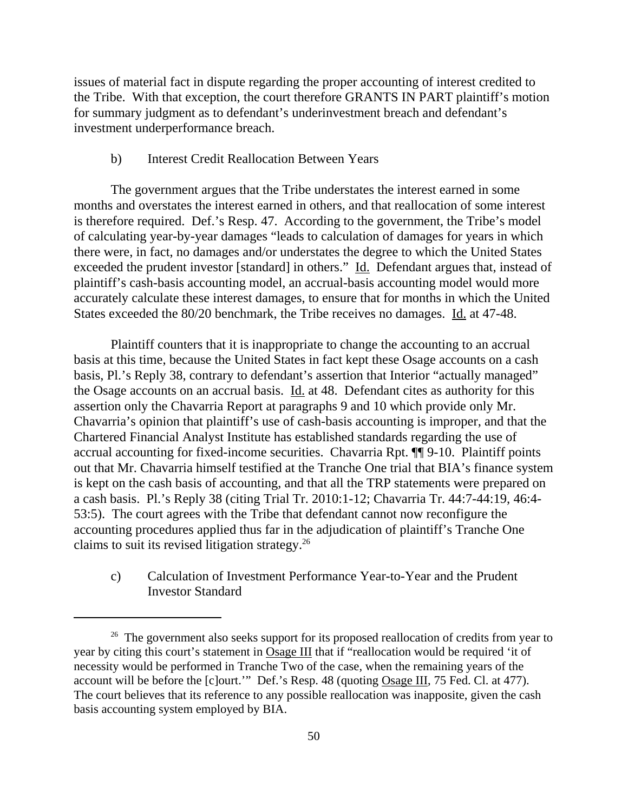issues of material fact in dispute regarding the proper accounting of interest credited to the Tribe. With that exception, the court therefore GRANTS IN PART plaintiff's motion for summary judgment as to defendant's underinvestment breach and defendant's investment underperformance breach.

## b) Interest Credit Reallocation Between Years

The government argues that the Tribe understates the interest earned in some months and overstates the interest earned in others, and that reallocation of some interest is therefore required. Def.'s Resp. 47. According to the government, the Tribe's model of calculating year-by-year damages "leads to calculation of damages for years in which there were, in fact, no damages and/or understates the degree to which the United States exceeded the prudent investor [standard] in others." Id. Defendant argues that, instead of plaintiff's cash-basis accounting model, an accrual-basis accounting model would more accurately calculate these interest damages, to ensure that for months in which the United States exceeded the 80/20 benchmark, the Tribe receives no damages. Id. at 47-48.

Plaintiff counters that it is inappropriate to change the accounting to an accrual basis at this time, because the United States in fact kept these Osage accounts on a cash basis, Pl.'s Reply 38, contrary to defendant's assertion that Interior "actually managed" the Osage accounts on an accrual basis. Id. at 48. Defendant cites as authority for this assertion only the Chavarria Report at paragraphs 9 and 10 which provide only Mr. Chavarria's opinion that plaintiff's use of cash-basis accounting is improper, and that the Chartered Financial Analyst Institute has established standards regarding the use of accrual accounting for fixed-income securities. Chavarria Rpt. ¶¶ 9-10. Plaintiff points out that Mr. Chavarria himself testified at the Tranche One trial that BIA's finance system is kept on the cash basis of accounting, and that all the TRP statements were prepared on a cash basis. Pl.'s Reply 38 (citing Trial Tr. 2010:1-12; Chavarria Tr. 44:7-44:19, 46:4- 53:5). The court agrees with the Tribe that defendant cannot now reconfigure the accounting procedures applied thus far in the adjudication of plaintiff's Tranche One claims to suit its revised litigation strategy.26

 c) Calculation of Investment Performance Year-to-Year and the Prudent Investor Standard

<sup>&</sup>lt;sup>26</sup> The government also seeks support for its proposed reallocation of credits from year to year by citing this court's statement in Osage III that if "reallocation would be required 'it of necessity would be performed in Tranche Two of the case, when the remaining years of the account will be before the [c]ourt.'" Def.'s Resp. 48 (quoting Osage III, 75 Fed. Cl. at 477). The court believes that its reference to any possible reallocation was inapposite, given the cash basis accounting system employed by BIA.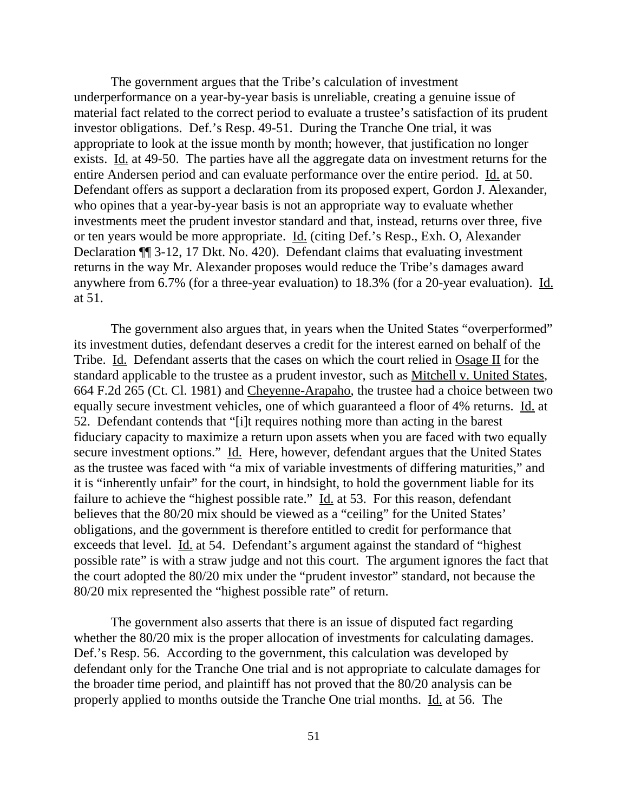The government argues that the Tribe's calculation of investment underperformance on a year-by-year basis is unreliable, creating a genuine issue of material fact related to the correct period to evaluate a trustee's satisfaction of its prudent investor obligations. Def.'s Resp. 49-51. During the Tranche One trial, it was appropriate to look at the issue month by month; however, that justification no longer exists. Id. at 49-50. The parties have all the aggregate data on investment returns for the entire Andersen period and can evaluate performance over the entire period. Id. at 50. Defendant offers as support a declaration from its proposed expert, Gordon J. Alexander, who opines that a year-by-year basis is not an appropriate way to evaluate whether investments meet the prudent investor standard and that, instead, returns over three, five or ten years would be more appropriate. Id. (citing Def.'s Resp., Exh. O, Alexander Declaration ¶¶ 3-12, 17 Dkt. No. 420). Defendant claims that evaluating investment returns in the way Mr. Alexander proposes would reduce the Tribe's damages award anywhere from 6.7% (for a three-year evaluation) to 18.3% (for a 20-year evaluation). Id. at 51.

The government also argues that, in years when the United States "overperformed" its investment duties, defendant deserves a credit for the interest earned on behalf of the Tribe. Id. Defendant asserts that the cases on which the court relied in Osage II for the standard applicable to the trustee as a prudent investor, such as Mitchell v. United States, 664 F.2d 265 (Ct. Cl. 1981) and Cheyenne-Arapaho, the trustee had a choice between two equally secure investment vehicles, one of which guaranteed a floor of 4% returns. Id. at 52. Defendant contends that "[i]t requires nothing more than acting in the barest fiduciary capacity to maximize a return upon assets when you are faced with two equally secure investment options." Id. Here, however, defendant argues that the United States as the trustee was faced with "a mix of variable investments of differing maturities," and it is "inherently unfair" for the court, in hindsight, to hold the government liable for its failure to achieve the "highest possible rate." Id. at 53. For this reason, defendant believes that the 80/20 mix should be viewed as a "ceiling" for the United States' obligations, and the government is therefore entitled to credit for performance that exceeds that level. Id. at 54. Defendant's argument against the standard of "highest possible rate" is with a straw judge and not this court. The argument ignores the fact that the court adopted the 80/20 mix under the "prudent investor" standard, not because the 80/20 mix represented the "highest possible rate" of return.

The government also asserts that there is an issue of disputed fact regarding whether the 80/20 mix is the proper allocation of investments for calculating damages. Def.'s Resp. 56. According to the government, this calculation was developed by defendant only for the Tranche One trial and is not appropriate to calculate damages for the broader time period, and plaintiff has not proved that the 80/20 analysis can be properly applied to months outside the Tranche One trial months. Id. at 56. The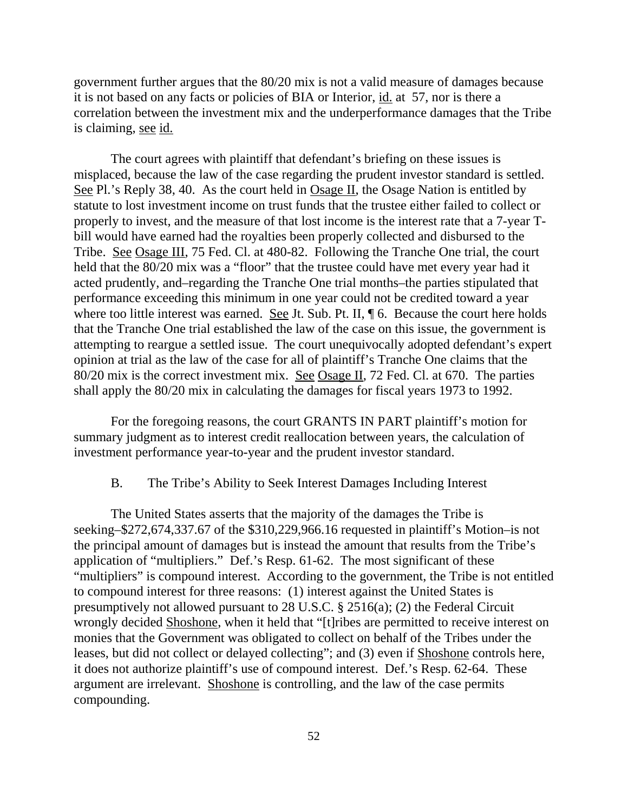government further argues that the 80/20 mix is not a valid measure of damages because it is not based on any facts or policies of BIA or Interior, id. at 57, nor is there a correlation between the investment mix and the underperformance damages that the Tribe is claiming, see id.

The court agrees with plaintiff that defendant's briefing on these issues is misplaced, because the law of the case regarding the prudent investor standard is settled. See Pl.'s Reply 38, 40. As the court held in Osage II, the Osage Nation is entitled by statute to lost investment income on trust funds that the trustee either failed to collect or properly to invest, and the measure of that lost income is the interest rate that a 7-year Tbill would have earned had the royalties been properly collected and disbursed to the Tribe. See Osage III, 75 Fed. Cl. at 480-82. Following the Tranche One trial, the court held that the 80/20 mix was a "floor" that the trustee could have met every year had it acted prudently, and–regarding the Tranche One trial months–the parties stipulated that performance exceeding this minimum in one year could not be credited toward a year where too little interest was earned. See Jt. Sub. Pt. II,  $\P$  6. Because the court here holds that the Tranche One trial established the law of the case on this issue, the government is attempting to reargue a settled issue. The court unequivocally adopted defendant's expert opinion at trial as the law of the case for all of plaintiff's Tranche One claims that the 80/20 mix is the correct investment mix. See Osage II, 72 Fed. Cl. at 670. The parties shall apply the 80/20 mix in calculating the damages for fiscal years 1973 to 1992.

For the foregoing reasons, the court GRANTS IN PART plaintiff's motion for summary judgment as to interest credit reallocation between years, the calculation of investment performance year-to-year and the prudent investor standard.

#### B. The Tribe's Ability to Seek Interest Damages Including Interest

The United States asserts that the majority of the damages the Tribe is seeking–\$272,674,337.67 of the \$310,229,966.16 requested in plaintiff's Motion–is not the principal amount of damages but is instead the amount that results from the Tribe's application of "multipliers." Def.'s Resp. 61-62. The most significant of these "multipliers" is compound interest. According to the government, the Tribe is not entitled to compound interest for three reasons: (1) interest against the United States is presumptively not allowed pursuant to 28 U.S.C. § 2516(a); (2) the Federal Circuit wrongly decided Shoshone, when it held that "[t]ribes are permitted to receive interest on monies that the Government was obligated to collect on behalf of the Tribes under the leases, but did not collect or delayed collecting"; and (3) even if Shoshone controls here, it does not authorize plaintiff's use of compound interest. Def.'s Resp. 62-64. These argument are irrelevant. Shoshone is controlling, and the law of the case permits compounding.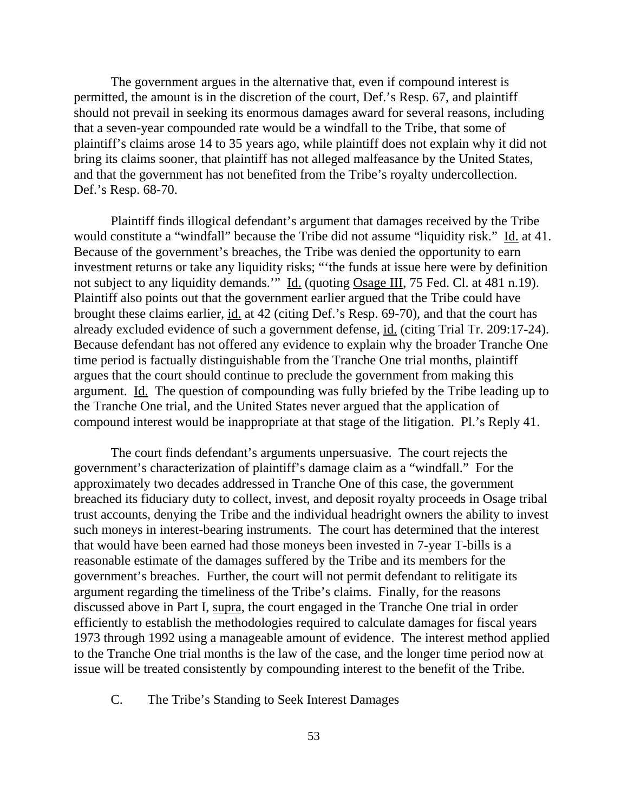The government argues in the alternative that, even if compound interest is permitted, the amount is in the discretion of the court, Def.'s Resp. 67, and plaintiff should not prevail in seeking its enormous damages award for several reasons, including that a seven-year compounded rate would be a windfall to the Tribe, that some of plaintiff's claims arose 14 to 35 years ago, while plaintiff does not explain why it did not bring its claims sooner, that plaintiff has not alleged malfeasance by the United States, and that the government has not benefited from the Tribe's royalty undercollection. Def.'s Resp. 68-70.

Plaintiff finds illogical defendant's argument that damages received by the Tribe would constitute a "windfall" because the Tribe did not assume "liquidity risk." Id. at 41. Because of the government's breaches, the Tribe was denied the opportunity to earn investment returns or take any liquidity risks; "'the funds at issue here were by definition not subject to any liquidity demands." Id. (quoting Osage III, 75 Fed. Cl. at 481 n.19). Plaintiff also points out that the government earlier argued that the Tribe could have brought these claims earlier, id. at 42 (citing Def.'s Resp. 69-70), and that the court has already excluded evidence of such a government defense, id. (citing Trial Tr. 209:17-24). Because defendant has not offered any evidence to explain why the broader Tranche One time period is factually distinguishable from the Tranche One trial months, plaintiff argues that the court should continue to preclude the government from making this argument. Id. The question of compounding was fully briefed by the Tribe leading up to the Tranche One trial, and the United States never argued that the application of compound interest would be inappropriate at that stage of the litigation. Pl.'s Reply 41.

The court finds defendant's arguments unpersuasive. The court rejects the government's characterization of plaintiff's damage claim as a "windfall." For the approximately two decades addressed in Tranche One of this case, the government breached its fiduciary duty to collect, invest, and deposit royalty proceeds in Osage tribal trust accounts, denying the Tribe and the individual headright owners the ability to invest such moneys in interest-bearing instruments. The court has determined that the interest that would have been earned had those moneys been invested in 7-year T-bills is a reasonable estimate of the damages suffered by the Tribe and its members for the government's breaches. Further, the court will not permit defendant to relitigate its argument regarding the timeliness of the Tribe's claims. Finally, for the reasons discussed above in Part I, supra, the court engaged in the Tranche One trial in order efficiently to establish the methodologies required to calculate damages for fiscal years 1973 through 1992 using a manageable amount of evidence. The interest method applied to the Tranche One trial months is the law of the case, and the longer time period now at issue will be treated consistently by compounding interest to the benefit of the Tribe.

C. The Tribe's Standing to Seek Interest Damages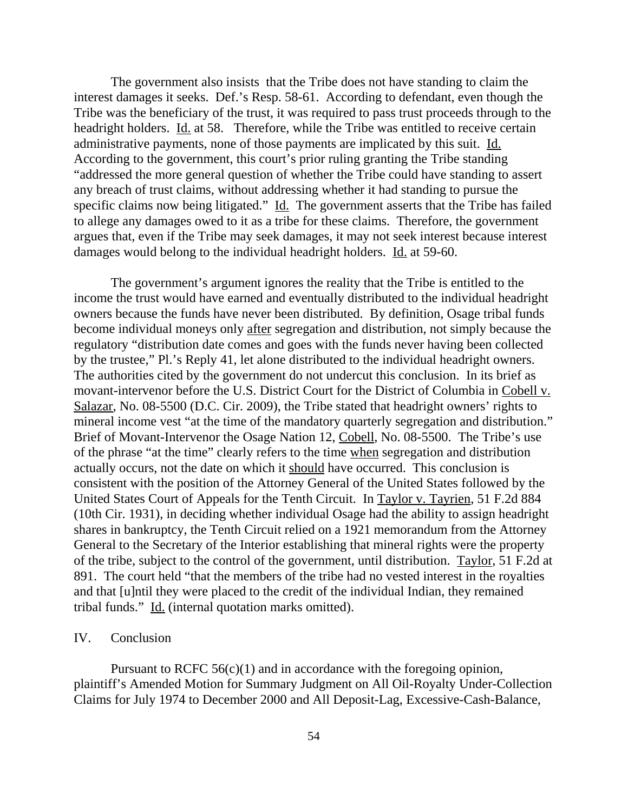The government also insists that the Tribe does not have standing to claim the interest damages it seeks. Def.'s Resp. 58-61. According to defendant, even though the Tribe was the beneficiary of the trust, it was required to pass trust proceeds through to the headright holders. Id. at 58. Therefore, while the Tribe was entitled to receive certain administrative payments, none of those payments are implicated by this suit. Id. According to the government, this court's prior ruling granting the Tribe standing "addressed the more general question of whether the Tribe could have standing to assert any breach of trust claims, without addressing whether it had standing to pursue the specific claims now being litigated." Id. The government asserts that the Tribe has failed to allege any damages owed to it as a tribe for these claims. Therefore, the government argues that, even if the Tribe may seek damages, it may not seek interest because interest damages would belong to the individual headright holders. Id. at 59-60.

The government's argument ignores the reality that the Tribe is entitled to the income the trust would have earned and eventually distributed to the individual headright owners because the funds have never been distributed. By definition, Osage tribal funds become individual moneys only after segregation and distribution, not simply because the regulatory "distribution date comes and goes with the funds never having been collected by the trustee," Pl.'s Reply 41, let alone distributed to the individual headright owners. The authorities cited by the government do not undercut this conclusion. In its brief as movant-intervenor before the U.S. District Court for the District of Columbia in Cobell v. Salazar, No. 08-5500 (D.C. Cir. 2009), the Tribe stated that headright owners' rights to mineral income vest "at the time of the mandatory quarterly segregation and distribution." Brief of Movant-Intervenor the Osage Nation 12, Cobell, No. 08-5500. The Tribe's use of the phrase "at the time" clearly refers to the time when segregation and distribution actually occurs, not the date on which it should have occurred. This conclusion is consistent with the position of the Attorney General of the United States followed by the United States Court of Appeals for the Tenth Circuit. In Taylor v. Tayrien, 51 F.2d 884 (10th Cir. 1931), in deciding whether individual Osage had the ability to assign headright shares in bankruptcy, the Tenth Circuit relied on a 1921 memorandum from the Attorney General to the Secretary of the Interior establishing that mineral rights were the property of the tribe, subject to the control of the government, until distribution. Taylor, 51 F.2d at 891. The court held "that the members of the tribe had no vested interest in the royalties and that [u]ntil they were placed to the credit of the individual Indian, they remained tribal funds." Id. (internal quotation marks omitted).

## IV. Conclusion

Pursuant to RCFC  $56(c)(1)$  and in accordance with the foregoing opinion, plaintiff's Amended Motion for Summary Judgment on All Oil-Royalty Under-Collection Claims for July 1974 to December 2000 and All Deposit-Lag, Excessive-Cash-Balance,